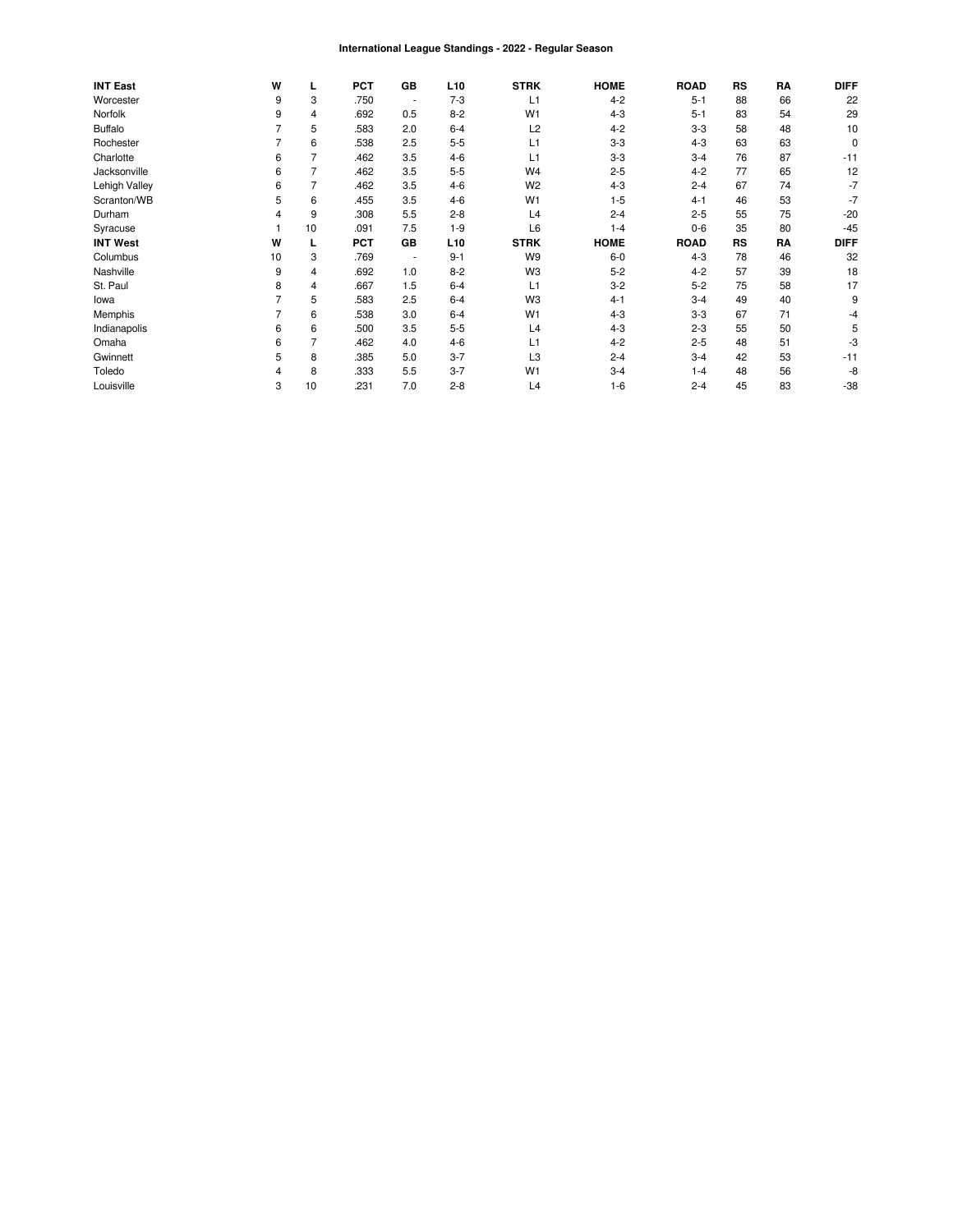#### International League Standings - 2022 - Regular Season

| <b>INT East</b> | W  |                | <b>PCT</b> | GB                       | L <sub>10</sub> | <b>STRK</b>    | <b>HOME</b> | <b>ROAD</b> | <b>RS</b> | RA | <b>DIFF</b> |
|-----------------|----|----------------|------------|--------------------------|-----------------|----------------|-------------|-------------|-----------|----|-------------|
| Worcester       | 9  | 3              | .750       | $\overline{\phantom{a}}$ | $7 - 3$         | L1             | $4 - 2$     | $5 - 1$     | 88        | 66 | 22          |
| Norfolk         | 9  | 4              | .692       | 0.5                      | $8 - 2$         | W <sub>1</sub> | $4 - 3$     | $5 - 1$     | 83        | 54 | 29          |
| <b>Buffalo</b>  |    | 5              | .583       | 2.0                      | $6 - 4$         | L2             | $4 - 2$     | $3 - 3$     | 58        | 48 | 10          |
| Rochester       |    | 6              | .538       | 2.5                      | $5 - 5$         | L1             | $3-3$       | $4 - 3$     | 63        | 63 | 0           |
| Charlotte       | 6  | 7              | .462       | 3.5                      | $4 - 6$         | L1             | $3-3$       | $3 - 4$     | 76        | 87 | $-11$       |
| Jacksonville    | 6  | $\overline{7}$ | .462       | 3.5                      | $5 - 5$         | W4             | $2 - 5$     | $4 - 2$     | 77        | 65 | 12          |
| Lehigh Valley   | 6  | 7              | .462       | 3.5                      | $4 - 6$         | W <sub>2</sub> | $4 - 3$     | $2 - 4$     | 67        | 74 | $-7$        |
| Scranton/WB     | 5  | 6              | .455       | 3.5                      | $4 - 6$         | W <sub>1</sub> | $1 - 5$     | $4 - 1$     | 46        | 53 | $-7$        |
| Durham          | 4  | 9              | .308       | 5.5                      | $2 - 8$         | L4             | $2 - 4$     | $2 - 5$     | 55        | 75 | $-20$       |
| Syracuse        |    | 10             | .091       | 7.5                      | $1-9$           | L <sub>6</sub> | $1 - 4$     | $0 - 6$     | 35        | 80 | $-45$       |
| <b>INT West</b> | W  |                | <b>PCT</b> | GB                       | L <sub>10</sub> | <b>STRK</b>    | <b>HOME</b> | <b>ROAD</b> | <b>RS</b> | RA | <b>DIFF</b> |
| Columbus        | 10 | 3              | .769       | $\overline{\phantom{a}}$ | $9 - 1$         | W <sub>9</sub> | $6-0$       | $4 - 3$     | 78        | 46 | 32          |
| Nashville       | 9  | 4              | .692       | 1.0                      | $8 - 2$         | W <sub>3</sub> | $5 - 2$     | $4 - 2$     | 57        | 39 | 18          |
| St. Paul        | 8  | 4              | .667       | 1.5                      | $6 - 4$         | L1             | $3 - 2$     | $5 - 2$     | 75        | 58 | 17          |
| lowa            |    | 5              | .583       | 2.5                      | $6 - 4$         | W <sub>3</sub> | $4 - 1$     | $3 - 4$     | 49        | 40 | 9           |
| Memphis         |    | 6              | .538       | 3.0                      | $6 - 4$         | W <sub>1</sub> | $4 - 3$     | $3 - 3$     | 67        | 71 | -4          |
| Indianapolis    | 6  | 6              | .500       | 3.5                      | $5 - 5$         | L4             | $4 - 3$     | $2 - 3$     | 55        | 50 |             |
| Omaha           | 6  | 7              | .462       | 4.0                      | $4-6$           | L1             | $4 - 2$     | $2 - 5$     | 48        | 51 | -3          |
| Gwinnett        | 5  | 8              | .385       | 5.0                      | $3 - 7$         | L <sub>3</sub> | $2 - 4$     | $3 - 4$     | 42        | 53 | $-11$       |
| Toledo          | 4  | 8              | .333       | 5.5                      | $3 - 7$         | W <sub>1</sub> | $3 - 4$     | $1 - 4$     | 48        | 56 | -8          |
| Louisville      | 3  | 10             | .231       | 7.0                      | $2 - 8$         | L4             | $1 - 6$     | $2 - 4$     | 45        | 83 | $-38$       |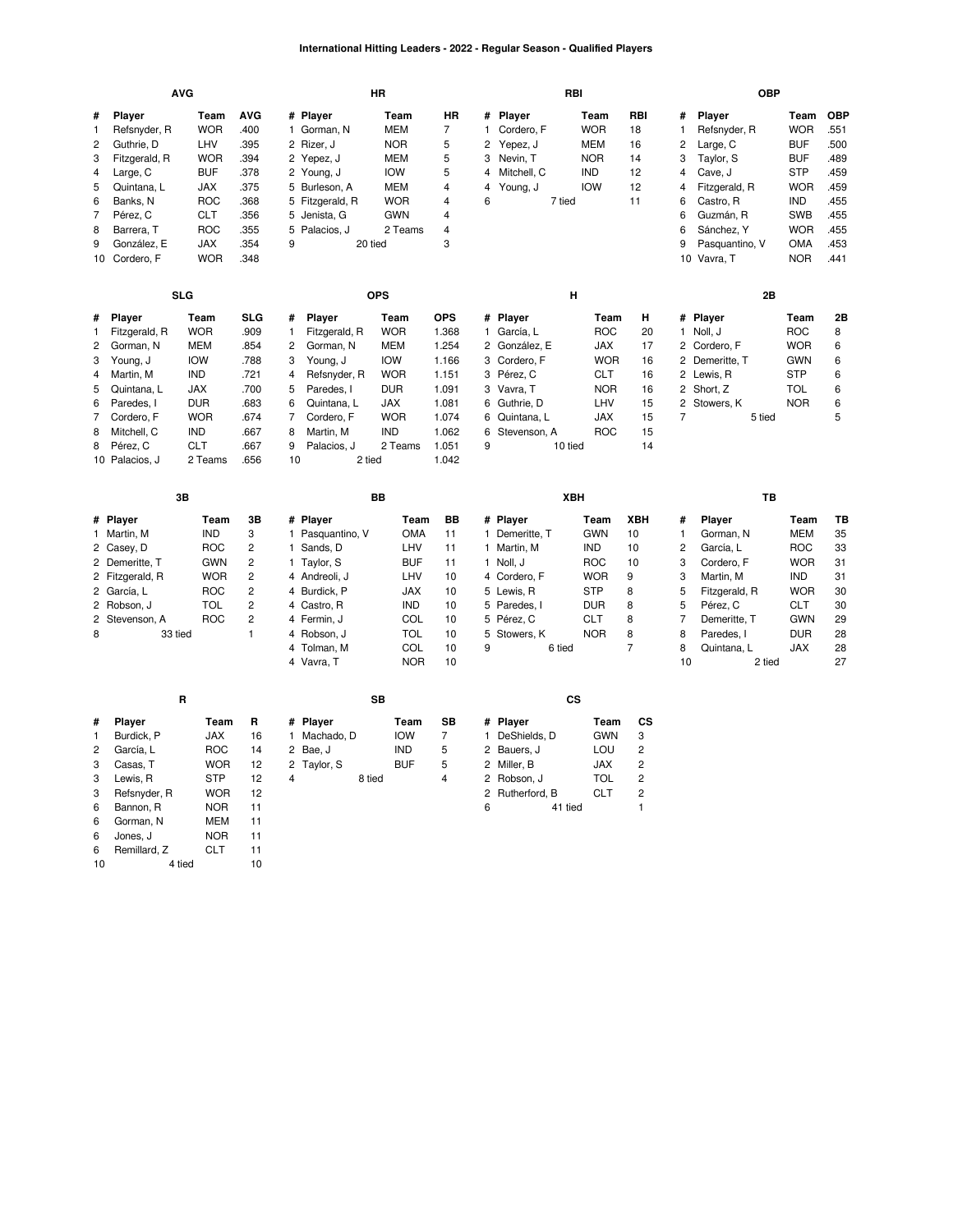# **International Hitting Leaders - 2022 - Regular Season - Qualified Players**

|                |                 | <b>AVG</b> |                |    |                  | <b>HR</b>  |                |                |                | RBI        |                |                | <b>OBP</b>     |            |            |
|----------------|-----------------|------------|----------------|----|------------------|------------|----------------|----------------|----------------|------------|----------------|----------------|----------------|------------|------------|
| #              | Player          | Team       | <b>AVG</b>     |    | # Player         | Team       | <b>HR</b>      |                | # Player       | Team       | <b>RBI</b>     | #              | Player         | Team       | <b>OBP</b> |
| 1              | Refsnyder, R    | <b>WOR</b> | .400           |    | 1 Gorman, N      | <b>MEM</b> | $\overline{7}$ | $\mathbf{1}$   | Cordero, F     | <b>WOR</b> | 18             | $\mathbf{1}$   | Refsnyder, R   | <b>WOR</b> | .551       |
| $\overline{c}$ | Guthrie, D      | LHV        | .395           |    | 2 Rizer, J       | <b>NOR</b> | 5              | $\overline{2}$ | Yepez, J       | <b>MEM</b> | 16             | 2              | Large, C       | <b>BUF</b> | .500       |
| 3              | Fitzgerald, R   | <b>WOR</b> | .394           |    | 2 Yepez, J       | <b>MEM</b> | 5              | 3              | Nevin, T       | <b>NOR</b> | 14             | 3              | Taylor, S      | <b>BUF</b> | .489       |
| 4              | Large, C        | <b>BUF</b> | .378           |    | 2 Young, J       | <b>IOW</b> | 5              | 4              | Mitchell, C    | <b>IND</b> | 12             | 4              | Cave, J        | <b>STP</b> | .459       |
| 5              | Quintana, L     | <b>JAX</b> | .375           |    | 5 Burleson, A    | <b>MEM</b> | 4              | 4              | Young, J       | <b>IOW</b> | 12             | 4              | Fitzgerald, R  | <b>WOR</b> | .459       |
| 6              | Banks, N        | <b>ROC</b> | .368           |    | 5 Fitzgerald, R  | <b>WOR</b> | 4              | 6              | 7 tied         |            | 11             | 6              | Castro, R      | <b>IND</b> | .455       |
| 7              | Pérez, C        | <b>CLT</b> | .356           |    | 5 Jenista, G     | <b>GWN</b> | 4              |                |                |            |                | 6              | Guzmán, R      | <b>SWB</b> | .455       |
| 8              | Barrera, T      | <b>ROC</b> | .355           | 5  | Palacios, J      | 2 Teams    | 4              |                |                |            |                | 6              | Sánchez, Y     | <b>WOR</b> | .455       |
| 9              | González, E     | <b>JAX</b> | .354           | 9  | 20 tied          |            | 3              |                |                |            |                | 9              | Pasquantino, V | <b>OMA</b> | .453       |
|                | 10 Cordero, F   | <b>WOR</b> | .348           |    |                  |            |                |                |                |            |                |                | 10 Vavra, T    | <b>NOR</b> | .441       |
|                |                 | <b>SLG</b> |                |    |                  | <b>OPS</b> |                |                |                | н          |                |                | 2B             |            |            |
| #              | Player          | Team       | <b>SLG</b>     | #  | <b>Player</b>    | Team       | <b>OPS</b>     |                | # Player       | Team       | н              |                | # Player       | Team       | 2Β         |
| 1              | Fitzgerald, R   | <b>WOR</b> | .909           | 1  | Fitzgerald, R    | <b>WOR</b> | 1.368          | $\mathbf{1}$   | García, L      | <b>ROC</b> | 20             |                | 1 Noll, J      | <b>ROC</b> | 8          |
| $\overline{2}$ | Gorman, N       | <b>MEM</b> | .854           | 2  | Gorman, N        | <b>MEM</b> | 1.254          |                | 2 González, E  | <b>JAX</b> | 17             |                | 2 Cordero, F   | <b>WOR</b> | 6          |
| 3              | Young, J        | <b>IOW</b> | .788           | 3  | Young, J         | <b>IOW</b> | 1.166          | 3              | Cordero, F     | <b>WOR</b> | 16             |                | 2 Demeritte, T | <b>GWN</b> | 6          |
| 4              | Martin, M       | <b>IND</b> | .721           | 4  | Refsnyder, R     | <b>WOR</b> | 1.151          |                | 3 Pérez, C     | <b>CLT</b> | 16             |                | 2 Lewis, R     | <b>STP</b> | 6          |
| 5              | Quintana, L     | JAX        | .700           | 5  | Paredes, I       | <b>DUR</b> | 1.091          |                | 3 Vavra, T     | <b>NOR</b> | 16             |                | 2 Short, Z     | <b>TOL</b> | 6          |
| 6              | Paredes, I      | <b>DUR</b> | .683           | 6  | Quintana, L      | <b>JAX</b> | 1.081          | 6              | Guthrie, D     | LHV        | 15             |                | 2 Stowers, K   | <b>NOR</b> | 6          |
| 7              | Cordero, F      | <b>WOR</b> | .674           | 7  | Cordero, F       | <b>WOR</b> | 1.074          | 6              | Quintana, L    | <b>JAX</b> | 15             | $\overline{7}$ | 5 tied         |            | 5          |
| 8              | Mitchell, C     | <b>IND</b> | .667           | 8  | Martin, M        | <b>IND</b> | 1.062          | 6              | Stevenson, A   | <b>ROC</b> | 15             |                |                |            |            |
| 8              | Pérez, C        | <b>CLT</b> | .667           | 9  | Palacios, J      | 2 Teams    | 1.051          | 9              |                | 10 tied    | 14             |                |                |            |            |
|                | 10 Palacios, J  | 2 Teams    | .656           | 10 | 2 tied           |            | 1.042          |                |                |            |                |                |                |            |            |
|                |                 | 3B         |                |    |                  | BB         |                |                |                | XBH        |                |                | TB             |            |            |
|                | # Player        | Team       | 3B             |    | # Player         | Team       | <b>BB</b>      |                | # Player       | Team       | <b>XBH</b>     | #              | Player         | Team       | TB         |
|                | 1 Martin, M     | <b>IND</b> | 3              |    | 1 Pasquantino, V | <b>OMA</b> | 11             |                | 1 Demeritte, T | <b>GWN</b> | 10             | $\mathbf{1}$   | Gorman, N      | <b>MEM</b> | 35         |
|                | 2 Casey, D      | <b>ROC</b> | $\overline{c}$ |    | 1 Sands, D       | LHV        | 11             |                | 1 Martin, M    | <b>IND</b> | 10             | $\overline{2}$ | García, L      | <b>ROC</b> | 33         |
|                | 2 Demeritte, T  | <b>GWN</b> | $\overline{c}$ |    | 1 Taylor, S      | <b>BUF</b> | 11             |                | 1 Noll, J      | <b>ROC</b> | 10             | 3              | Cordero, F     | <b>WOR</b> | 31         |
|                | 2 Fitzgerald, R | <b>WOR</b> | $\overline{c}$ |    | 4 Andreoli, J    | LHV        | 10             |                | 4 Cordero, F   | <b>WOR</b> | 9              | 3              | Martin, M      | <b>IND</b> | 31         |
|                | 2 García, L     | <b>ROC</b> | 2              |    | 4 Burdick, P     | JAX        | 10             |                | 5 Lewis, R     | <b>STP</b> | 8              | 5              | Fitzgerald, R  | <b>WOR</b> | 30         |
|                | 2 Robson, J     | <b>TOL</b> | $\overline{c}$ |    | 4 Castro, R      | <b>IND</b> | 10             |                | 5 Paredes, I   | <b>DUR</b> | 8              | 5              | Pérez, C       | <b>CLT</b> | 30         |
|                | 2 Stevenson, A  | <b>ROC</b> | $\overline{c}$ |    | 4 Fermin, J      | COL        | 10             |                | 5 Pérez, C     | <b>CLT</b> | 8              | $\overline{7}$ | Demeritte, T   | <b>GWN</b> | 29         |
| 8              | 33 tied         |            | $\mathbf{1}$   |    | 4 Robson, J      | <b>TOL</b> | 10             | 5              | Stowers, K     | <b>NOR</b> | 8              | 8              | Paredes, I     | <b>DUR</b> | 28         |
|                |                 |            |                |    | 4 Tolman, M      | COL        | 10             | 9              | 6 tied         |            | $\overline{7}$ | 8              | Quintana, L    | JAX        | 28         |
|                |                 |            |                |    | 4 Vavra, T       | <b>NOR</b> | 10             |                |                |            |                | 10             | 2 tied         |            | 27         |
|                |                 | R          |                |    |                  | <b>SB</b>  |                |                |                | <b>CS</b>  |                |                |                |            |            |
| #              | Player          | Team       | R              | #  | <b>Player</b>    | Team       | SB             |                | # Player       | Team       | СS             |                |                |            |            |
| 1              | Burdick, P      | <b>JAX</b> | 16             |    | 1 Machado, D     | <b>IOW</b> | $\overline{7}$ |                | 1 DeShields, D | <b>GWN</b> | 3              |                |                |            |            |

|   | Burdick, P   | <b>JAX</b> | 16 |   | Machado. D  | <b>IOW</b> |   |   | DeShields, D    | <b>GWN</b> | 3 |
|---|--------------|------------|----|---|-------------|------------|---|---|-----------------|------------|---|
| 2 | García, L    | <b>ROC</b> | 14 |   | 2 Bae, J    | <b>IND</b> | 5 |   | 2 Bauers, J     | LOU        | 2 |
| 3 | Casas, T     | <b>WOR</b> | 12 |   | 2 Taylor, S | <b>BUF</b> | 5 |   | 2 Miller, B     | <b>JAX</b> | 2 |
| 3 | Lewis, R     | <b>STP</b> | 12 | 4 | 8 tied      |            | 4 |   | 2 Robson, J     | TOL        | 2 |
| 3 | Refsnyder, R | <b>WOR</b> | 12 |   |             |            |   |   | 2 Rutherford, B | <b>CLT</b> | 2 |
| 6 | Bannon, R    | <b>NOR</b> | 11 |   |             |            |   | 6 | 41 tied         |            |   |
| 6 | Gorman, N    | MEM        | 11 |   |             |            |   |   |                 |            |   |
| 6 | Jones. J     | <b>NOR</b> | 11 |   |             |            |   |   |                 |            |   |
| 6 | Remillard, Z | CLT        | 11 |   |             |            |   |   |                 |            |   |
|   |              |            |    |   |             |            |   |   |                 |            |   |

10 4 tied 10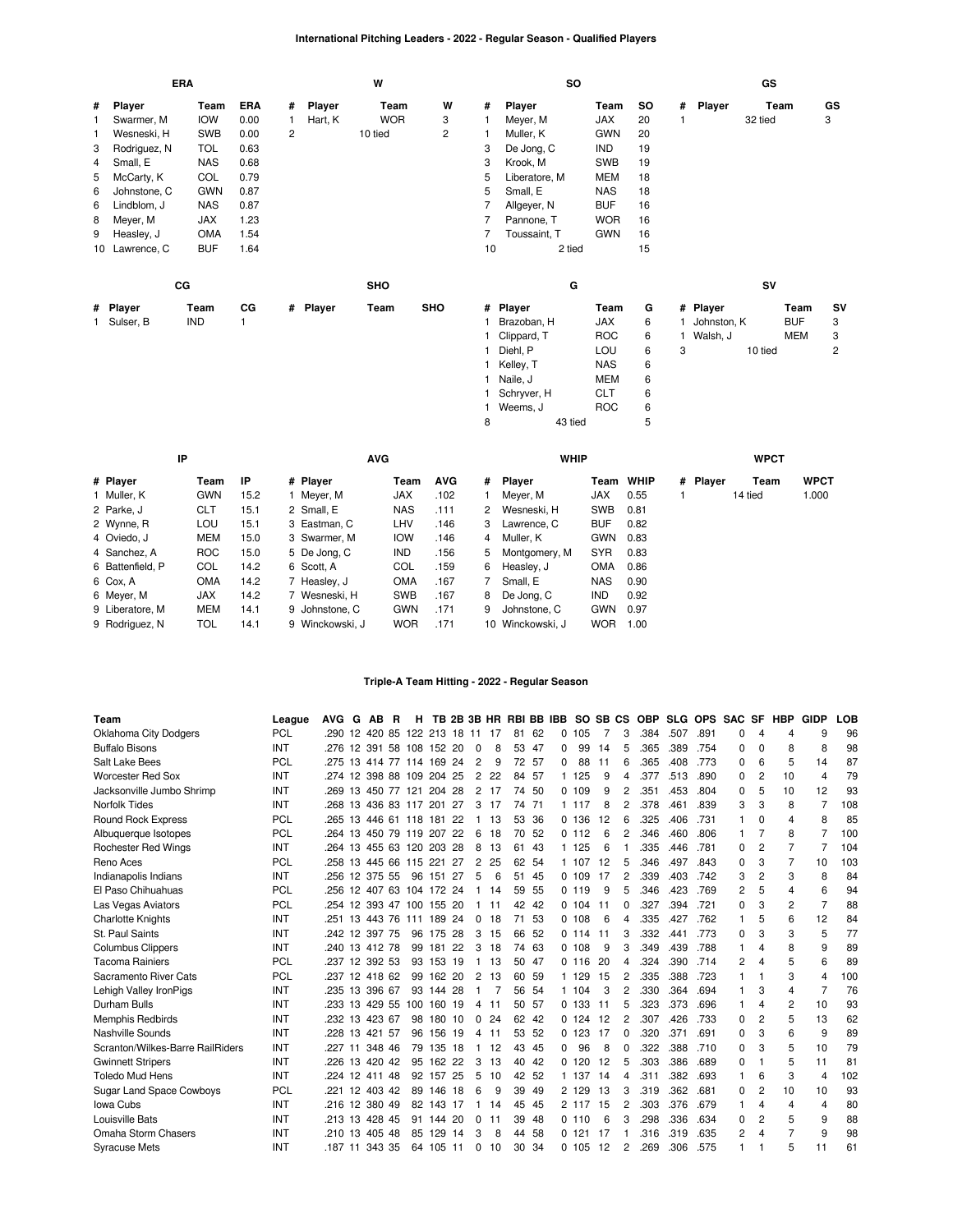# **International Pitching Leaders - 2022 - Regular Season - Qualified Players**

|   |                | <b>ERA</b>  |      |   |          | W          |                |              | <b>SO</b>     |            |     |   |             | GS        |            |                |
|---|----------------|-------------|------|---|----------|------------|----------------|--------------|---------------|------------|-----|---|-------------|-----------|------------|----------------|
| # | Player         | Team        | ERA  | # | Player   | Team       | W              | #            | Player        | Team       | SO. |   | # Player    | Team      |            | GS             |
| 1 | Swarmer, M     | <b>IOW</b>  | 0.00 |   | Hart, K  | <b>WOR</b> | 3              |              | Meyer, M      | <b>JAX</b> | 20  | 1 |             | 32 tied   |            | 3              |
| 1 | Wesneski, H    | <b>SWB</b>  | 0.00 | 2 |          | 10 tied    | $\overline{c}$ |              | Muller, K     | <b>GWN</b> | 20  |   |             |           |            |                |
| 3 | Rodriguez, N   | <b>TOL</b>  | 0.63 |   |          |            |                | 3            | De Jong, C    | IND        | 19  |   |             |           |            |                |
| 4 | Small, E       | <b>NAS</b>  | 0.68 |   |          |            |                | 3            | Krook, M      | <b>SWB</b> | 19  |   |             |           |            |                |
| 5 | McCarty, K     | COL         | 0.79 |   |          |            |                | 5            | Liberatore, M | <b>MEM</b> | 18  |   |             |           |            |                |
| 6 | Johnstone, C   | <b>GWN</b>  | 0.87 |   |          |            |                | 5            | Small, E      | <b>NAS</b> | 18  |   |             |           |            |                |
| 6 | Lindblom, J    | <b>NAS</b>  | 0.87 |   |          |            |                |              | Allgeyer, N   | <b>BUF</b> | 16  |   |             |           |            |                |
| 8 | Meyer, M       | <b>JAX</b>  | 1.23 |   |          |            |                |              | Pannone, T    | <b>WOR</b> | 16  |   |             |           |            |                |
| 9 | Heasley, J     | OMA         | 1.54 |   |          |            |                | 7            | Toussaint, T  | <b>GWN</b> | 16  |   |             |           |            |                |
|   | 10 Lawrence, C | <b>BUF</b>  | 1.64 |   |          |            |                | 10           | 2 tied        |            | 15  |   |             |           |            |                |
|   |                | $_{\rm CG}$ |      |   |          | SHO        |                |              | G             |            |     |   |             | <b>SV</b> |            |                |
|   | # Player       | Team        | CG   |   | # Player | Team       | <b>SHO</b>     |              | # Player      | Team       | G   |   | # Player    |           | Team       | s٧             |
|   | 1 Sulser, B    | <b>IND</b>  |      |   |          |            |                |              | Brazoban, H   | JAX        | 6   |   | Johnston, K |           | <b>BUF</b> | 3              |
|   |                |             |      |   |          |            |                |              | Clippard, T   | <b>ROC</b> | 6   |   | 1 Walsh, J  |           | MEM        | 3              |
|   |                |             |      |   |          |            |                |              | Diehl, P      | LOU        | 6   | 3 |             | 10 tied   |            | $\overline{2}$ |
|   |                |             |      |   |          |            |                |              | Kelley, T     | <b>NAS</b> | 6   |   |             |           |            |                |
|   |                |             |      |   |          |            |                | $\mathbf{1}$ | Naile, J      | <b>MEM</b> | 6   |   |             |           |            |                |
|   |                |             |      |   |          |            |                |              | Schryver, H   | <b>CLT</b> | 6   |   |             |           |            |                |
|   |                |             |      |   |          |            |                |              | Weems, J      | <b>ROC</b> | 6   |   |             |           |            |                |
|   |                |             |      |   |          |            |                | 8            | 43 tied       |            | 5   |   |             |           |            |                |

|                  | IP         |      |                 | <b>AVG</b> |            |   | <b>WHIP</b>      |            |           |          | <b>WPCT</b> |             |
|------------------|------------|------|-----------------|------------|------------|---|------------------|------------|-----------|----------|-------------|-------------|
| # Player         | Team       | ΙP   | # Player        | Team       | <b>AVG</b> | # | Player           |            | Team WHIP | # Player | Team        | <b>WPCT</b> |
| 1 Muller, K      | <b>GWN</b> | 15.2 | 1 Meyer, M      | <b>JAX</b> | .102       |   | Meyer, M         | JAX        | 0.55      |          | 14 tied     | 1.000       |
| 2 Parke, J       | CLT        | 15.1 | 2 Small, E      | NAS        | .111       | 2 | Wesneski, H      | <b>SWB</b> | 0.81      |          |             |             |
| 2 Wynne, R       | LOU        | 15.1 | 3 Eastman, C    | LHV        | .146       | 3 | Lawrence, C      | <b>BUF</b> | 0.82      |          |             |             |
| 4 Oviedo, J      | MEM        | 15.0 | 3 Swarmer, M    | <b>IOW</b> | .146       | 4 | Muller, K        | <b>GWN</b> | 0.83      |          |             |             |
| 4 Sanchez, A     | <b>ROC</b> | 15.0 | 5 De Jong, C    | <b>IND</b> | .156       | 5 | Montgomery, M    | <b>SYR</b> | 0.83      |          |             |             |
| 6 Battenfield, P | COL        | 14.2 | 6 Scott, A      | COL        | .159       | 6 | Heasley, J       | <b>OMA</b> | 0.86      |          |             |             |
| 6 Cox, A         | <b>OMA</b> | 14.2 | 7 Heasley, J    | <b>OMA</b> | .167       |   | Small, E         | <b>NAS</b> | 0.90      |          |             |             |
| 6 Meyer, M       | JAX        | 14.2 | 7 Wesneski, H   | <b>SWB</b> | .167       | 8 | De Jong, C       | <b>IND</b> | 0.92      |          |             |             |
| 9 Liberatore, M  | MEM        | 14.1 | 9 Johnstone, C  | <b>GWN</b> | .171       | 9 | Johnstone, C     | <b>GWN</b> | 0.97      |          |             |             |
| 9 Rodriguez, N   | TOL        | 14.1 | 9 Winckowski, J | <b>WOR</b> | .171       |   | 10 Winckowski, J | <b>WOR</b> | 1.00      |          |             |             |

### **Triple-A Team Hitting - 2022 - Regular Season**

| Team                             | League     | <b>AVG</b>     | G  | <b>AB</b>     | B | н                           |            |     |          |    | TB 2B 3B HR RBI BB IBB |       |   |        | SO SB CS |   | <b>OBP</b> |      | SLG OPS | <b>SAC</b> | <b>SF</b>      | <b>HBP</b> | <b>GIDP</b>    | LOB |
|----------------------------------|------------|----------------|----|---------------|---|-----------------------------|------------|-----|----------|----|------------------------|-------|---|--------|----------|---|------------|------|---------|------------|----------------|------------|----------------|-----|
| <b>Oklahoma City Dodgers</b>     | <b>PCL</b> |                |    |               |   | 290 12 420 85 122 213 18 11 |            |     |          | 17 | 81                     | 62    | 0 | 105    |          | 3 | .384       | .507 | .891    | 0          | 4              | 4          | 9              | 96  |
| <b>Buffalo Bisons</b>            | INT        | .276           |    |               |   | 12 391 58 108 152 20        |            |     | $\Omega$ | 8  | 53                     | -47   | 0 | 99     | 14       | 5 | .365       | .389 | .754    | 0          | 0              | 8          | 8              | 98  |
| Salt Lake Bees                   | <b>PCL</b> | .275           |    |               |   | 13 414 77 114 169 24        |            |     | 2        | 9  |                        | 72 57 | 0 | 88     | 11       | 6 | .365       | .408 | .773    | $\Omega$   | 6              | 5          | 14             | 87  |
| <b>Worcester Red Sox</b>         | INT        | .274 12        |    |               |   | 398 88 109 204 25           |            |     | 2        | 22 | 84                     | -57   |   | 125    | 9        | 4 | .377       | .513 | .890    | 0          | 2              | 10         | 4              | 79  |
| Jacksonville Jumbo Shrimp        | INT        |                |    |               |   | 269 13 450 77 121 204 28    |            |     | 2        | 17 | 74                     | 50    |   | 0.109  | 9        | 2 | .351       | .453 | .804    | 0          | 5              | 10         | 12             | 93  |
| Norfolk Tides                    | INT        | .268           |    |               |   | 13 436 83 117 201           |            | 27  | 3        | 17 | 74                     | 71    |   | 1 117  | 8        | 2 | .378       | .461 | .839    | 3          | 3              | 8          | $\overline{7}$ | 108 |
| Round Rock Express               | <b>PCL</b> | .265           | 13 |               |   | 446 61 118 181              |            | 22  | -1       | 13 | 53                     | 36    |   | 0, 136 | -12      | 6 | .325       | .406 | .731    |            | $\Omega$       | 4          | 8              | 85  |
| Albuquerque Isotopes             | <b>PCL</b> | .264           |    |               |   | 13 450 79 119 207 22        |            |     | 6        | 18 | 70                     | -52   |   | 0, 112 | 6        | 2 | .346       | .460 | .806    | 1          | $\overline{7}$ | 8          | $\overline{7}$ | 100 |
| <b>Rochester Red Wings</b>       | INT        | .264           |    |               |   | 13 455 63 120 203 28        |            |     | 8        | 13 | 61                     | 43    |   | 1 125  | 6        |   | .335       | .446 | .781    | 0          | 2              | 7          | 7              | 104 |
| Reno Aces                        | <b>PCL</b> | .258           |    |               |   | 13 445 66 115 221 27        |            |     | 2        | 25 | 62                     | -54   |   | 1 107  | 12       | 5 | .346       | .497 | .843    | $\Omega$   | 3              | 7          | 10             | 103 |
| Indianapolis Indians             | INT        | .256           |    | 12 375 55     |   | 96                          | 151        | 27  | 5        | 6  | 51                     | 45    |   | 0.109  | 17       | 2 | .339       | .403 | .742    | 3          | $\overline{c}$ | 3          | 8              | 84  |
| El Paso Chihuahuas               | <b>PCL</b> | .256           |    |               |   | 12 407 63 104 172 24        |            |     | -1       | 14 | 59                     | 55    |   | 0.119  | 9        | 5 | .346       | .423 | .769    | 2          | 5              | 4          | 6              | 94  |
| Las Vegas Aviators               | <b>PCL</b> | .254           |    |               |   | 12 393 47 100 155           |            | 20  |          | 11 | 42                     | -42   |   | 0.104  | -11      | 0 | .327       | .394 | .721    | 0          | 3              | 2          | $\overline{7}$ | 88  |
| <b>Charlotte Knights</b>         | INT        | .251           |    | 13 443 76     |   | 111                         | 189        | 24  | 0        | 18 | 71                     | 53    |   | 0.108  | 6        | 4 | .335       | .427 | .762    |            | 5              | 6          | 12             | 84  |
| St. Paul Saints                  | INT        | 242 12 397 75  |    |               |   |                             | 96 175 28  |     | 3        | 15 | 66                     | -52   |   | 0.114  | 11       | 3 | .332       | .441 | .773    | 0          | 3              | 3          | 5              | 77  |
| <b>Columbus Clippers</b>         | INT        | .240           |    | 13 412 78     |   | 99                          | 181        | 22  | 3        | 18 | 74                     | 63    |   | 0.108  | 9        | 3 | .349       | .439 | .788    |            | $\overline{4}$ | 8          | 9              | 89  |
| <b>Tacoma Rainiers</b>           | <b>PCL</b> | .237           |    | 12 392 53     |   |                             | 93 153 19  |     | -1       | 13 | 50                     | -47   |   | 0.116  | 20       | 4 | .324       | .390 | .714    | 2          | $\overline{4}$ | 5          | 6              | 89  |
| Sacramento River Cats            | <b>PCL</b> | .237 12 418 62 |    |               |   | 99                          | 162        | -20 | 2        | 13 | 60                     | 59    |   | 1 129  | 15       | 2 | .335       | .388 | .723    |            |                | 3          | 4              | 100 |
| Lehigh Valley IronPigs           | INT        | .235           |    | 13 396 67     |   |                             | 93 144 28  |     |          |    | 56                     | -54   |   | 1 104  | 3        | 2 | .330       | .364 | .694    |            | 3              | 4          | 7              | 76  |
| Durham Bulls                     | INT        | .233           |    | 13 429 55     |   |                             | 100 160 19 |     | 4        | 11 | 50                     | 57    |   | 0.133  | 11       | 5 | .323       | .373 | .696    |            | 4              | 2          | 10             | 93  |
| Memphis Redbirds                 | INT        | .232           | 13 | 423 67        |   | 98                          | 180        | 10  | 0        | 24 | 62                     | 42    |   | 0.124  | 12       | 2 | .307       | .426 | .733    | 0          | $\overline{c}$ | 5          | 13             | 62  |
| <b>Nashville Sounds</b>          | INT        | .228           |    | 13 421 57     |   | 96                          | 156 19     |     | 4        | 11 | 53                     | 52    |   | 0.123  | 17       | 0 | .320       | .371 | .691    | 0          | 3              | 6          | 9              | 89  |
| Scranton/Wilkes-Barre RailRiders | INT        | .227           | 11 | 348 46        |   | 79                          | 135 18     |     | -1       | 12 | 43                     | 45    | 0 | 96     | 8        | 0 | .322       | .388 | .710    | $\Omega$   | 3              | 5          | 10             | 79  |
| <b>Gwinnett Stripers</b>         | INT        | .226           |    | 13 420 42     |   | 95                          | 162 22     |     | 3        | 13 | 40                     | 42    |   | 0, 120 | 12       | 5 | .303       | .386 | .689    | $\Omega$   | 1              | 5          | 11             | 81  |
| Toledo Mud Hens                  | INT        | 224 12 411 48  |    |               |   |                             | 92 157     | 25  | 5        | 10 | 42                     | -52   |   | 1 137  | 14       | 4 | .311       | .382 | .693    | 1          | 6              | 3          | 4              | 102 |
| <b>Sugar Land Space Cowboys</b>  | <b>PCL</b> | .221           |    | 12 403 42     |   | 89                          | 146        | 18  | 6        | 9  | 39                     | 49    |   | 2 129  | 13       | 3 | .319       | .362 | .681    | 0          | 2              | 10         | 10             | 93  |
| Iowa Cubs                        | INT        |                |    | 216 12 380 49 |   |                             | 82 143 17  |     |          | 14 | 45                     | 45    |   | 2 117  | -15      | 2 | .303       | .376 | .679    | 1          | $\overline{4}$ | 4          | 4              | 80  |
| Louisville Bats                  | INT        | .213           | 13 | 428 45        |   |                             | 91 144     | 20  | $\Omega$ | 11 | 39                     | 48    |   | 0, 110 | 6        | 3 | .298       | .336 | .634    | 0          | $\overline{c}$ | 5          | 9              | 88  |
| Omaha Storm Chasers              | INT        | .210           | 13 | 405 48        |   | 85                          | 129        | 14  | 3        | 8  | 44                     | 58    |   | 0, 121 | 17       |   | .316       | .319 | .635    | 2          | $\overline{4}$ | 7          | 9              | 98  |
| <b>Syracuse Mets</b>             | INT        | .187 11 343 35 |    |               |   |                             | 64 105 11  |     | 0        | 10 | 30                     | 34    |   | 0.105  | -12      | 2 | .269       | .306 | .575    |            |                | 5          | 11             | 61  |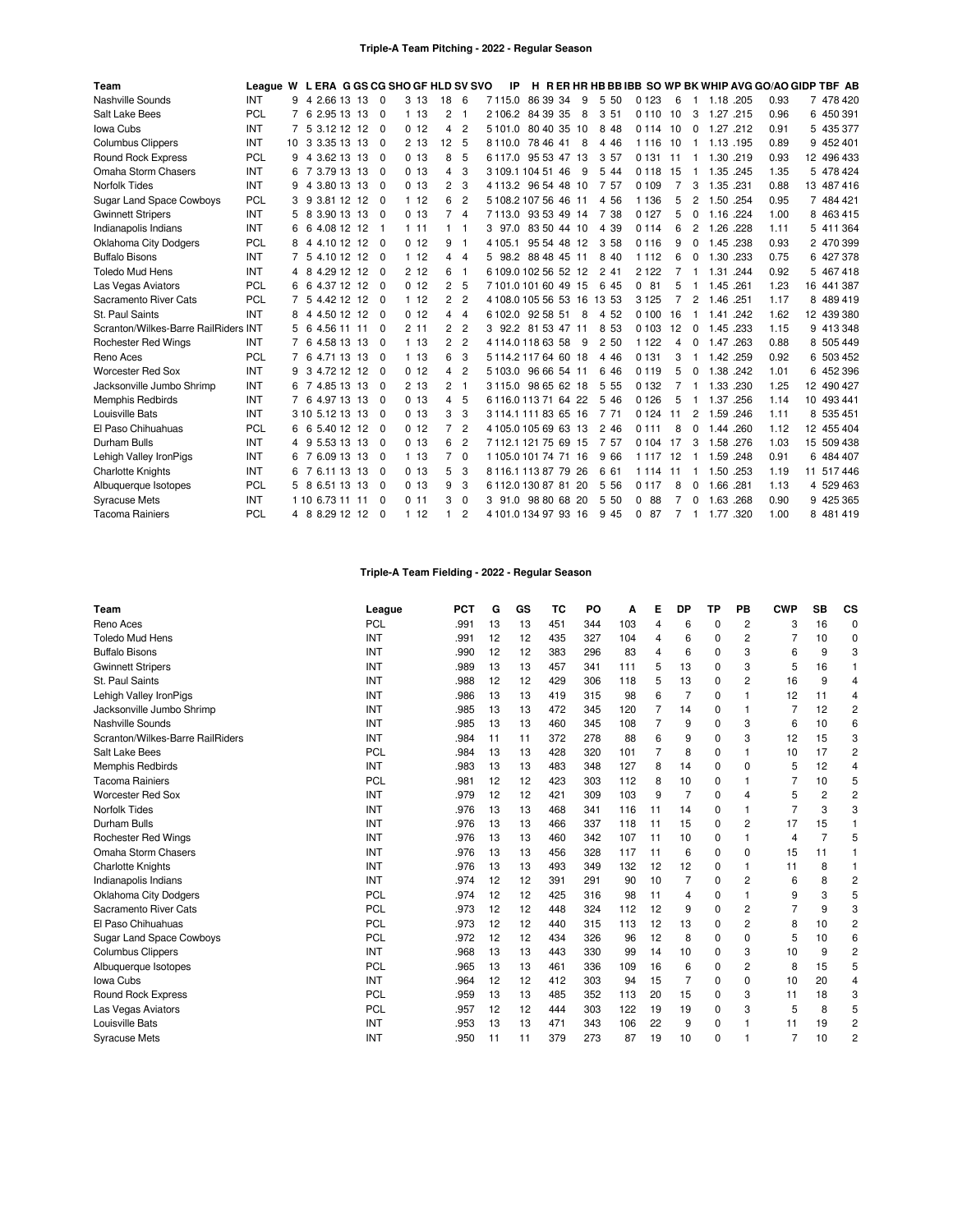| Team                                 | League W L ERA G GS CG SHO GF HLD SV SVO |    |                  |    |             |                 |                |                | IP                   |             |             |     |         |                |    |                |           |      | H RERHRHBBBIBB SO WP BK WHIP AVG GO/AO GIDP TBF AB |            |
|--------------------------------------|------------------------------------------|----|------------------|----|-------------|-----------------|----------------|----------------|----------------------|-------------|-------------|-----|---------|----------------|----|----------------|-----------|------|----------------------------------------------------|------------|
| Nashville Sounds                     | <b>INT</b>                               | 9  | 4 2.66 13 13     |    | $\mathbf 0$ | 313             | 18             | 6              | 7115.0               | 86 39 34    |             | 9   | 5 50    | 0 1 2 3        | 6  | -1             | 1.18 .205 |      | 0.93                                               | 7 478 420  |
| Salt Lake Bees                       | PCL                                      |    | 6 2.95 13        | 13 | $\Omega$    | 113             | 2              | -1             | 2106.2               | 84 39 35    |             | 8   | 3 51    | 0110           | 10 | 3              | 1.27      | .215 | 0.96                                               | 6 450 391  |
| Iowa Cubs                            | <b>INT</b>                               |    | 5 3.12 12 12     |    | $\Omega$    | 0, 12           | 4              | $\overline{2}$ | 5101.0               |             | 80 40 35 10 |     | 8 4 8   | 0 1 1 4        | 10 | $\Omega$       | 1.27 .212 |      | 0.91                                               | 5 435 377  |
| <b>Columbus Clippers</b>             | INT                                      | 10 | 3 3.35 13        | 13 | $\Omega$    | 2 13            | 12             | 5              | 8110.0               | 78 46 41    |             | 8   | 4 4 6   | 1 1 1 6        | 10 | -1             | 1.13 .195 |      | 0.89                                               | 9 452 401  |
| Round Rock Express                   | PCL                                      | 9  | 3.62 13<br>4     | 13 | 0           | 0 <sub>13</sub> | 8              | 5              | 6117.0               | 95 53 47    |             | -13 | 3 57    | 0 1 3 1        | 11 |                | 1.30 .219 |      | 0.93                                               | 12 496 433 |
| Omaha Storm Chasers                  | <b>INT</b>                               | 6  | 7 3.79 13 13     |    | $\Omega$    | 0 <sub>13</sub> | 4              | 3              | 3 109 1 104 51 46    |             |             | -9  | 5 4 4   | 0 1 1 8        | 15 |                | 1.35 .245 |      | 1.35                                               | 5 478 424  |
| Norfolk Tides                        | INT                                      | 9  | 3.80 13 13<br>4  |    | $\Omega$    | 0, 13           | 2              | 3              | 4 1 1 3 .2           | 96 54 48 10 |             |     | 7 57    | 0 109          | 7  | З              | 1.35 .231 |      | 0.88                                               | 13 487 416 |
| <b>Sugar Land Space Cowboys</b>      | <b>PCL</b>                               | 3  | 9 3.81 12 12     |    | $\Omega$    | 112             | 6              | $\overline{c}$ | 5 108 2 107 56 46 11 |             |             |     | 4 5 6   | 1 1 3 6        | 5  | $\overline{c}$ | 1.50 .254 |      | 0.95                                               | 7 484 421  |
| <b>Gwinnett Stripers</b>             | <b>INT</b>                               | 5  | 8 3.90 13 13     |    | $\Omega$    | 013             | 7              | $\overline{4}$ | 7113.0               | 93 53 49 14 |             |     | 7 38    | 0 1 2 7        | 5  | $\Omega$       | 1.16 .224 |      | 1.00                                               | 8 463 415  |
| Indianapolis Indians                 | INT                                      | 6  | 4.08 12 12<br>6  |    | -1          | 111             | 1              | -1             | 3 97.0               |             | 83 50 44 10 |     | 39<br>4 | 0 1 1 4        | 6  | $\overline{c}$ | 1.26      | .228 | 1.11                                               | 5 411 364  |
| <b>Oklahoma City Dodgers</b>         | PCL                                      | 8  | 4 4.10 12 12     |    | $\Omega$    | 0 <sub>12</sub> | 9              | $\mathbf{1}$   | 4 1 0 5 1            |             | 95 54 48 12 |     | 3 58    | 0 1 1 6        | 9  | $\Omega$       | 1.45 .238 |      | 0.93                                               | 2 470 399  |
| <b>Buffalo Bisons</b>                | <b>INT</b>                               |    | 5 4.10 12 12     |    | $\Omega$    | 112             | 4              | $\overline{4}$ | 5 98.2               | 88 48 45 11 |             |     | 8 40    | 1 1 1 2        | 6  | 0              | 1.30 .233 |      | 0.75                                               | 6 427 378  |
| <b>Toledo Mud Hens</b>               | <b>INT</b>                               | 4  | 4.29 12<br>8     | 12 | $\Omega$    | 212             | 6              | -1             | 6109.0102565212      |             |             |     | 2,41    | 2 1 2 2        | 7  | -1             | 1.31      | .244 | 0.92                                               | 5 467 418  |
| Las Vegas Aviators                   | <b>PCL</b>                               | 6  | 4.37 12 12<br>-6 |    | $\Omega$    | 0 <sub>12</sub> | 2              | 5              | 7101.0101604915      |             |             |     | 6 45    | 0 81           | 5  | -1             | 1.45 .261 |      | 1.23                                               | 16 441 387 |
| Sacramento River Cats                | PCL                                      | 7  | 5 4.42 12 12     |    | $\Omega$    | 112             | $\overline{c}$ | $\overline{c}$ | 4 108.0 105 56 53 16 |             |             |     | 13 53   | 3 1 2 5        | 7  | 2              | 1.46 .251 |      | 1.17                                               | 8 489 419  |
| St. Paul Saints                      | <b>INT</b>                               | 8  | 4 4.50 12 12     |    | 0           | 0 <sub>12</sub> | 4              | $\overline{4}$ | 6 102.0              | 92 58 51    |             | 8   | 52<br>4 | 0 100          | 16 | $\mathbf 1$    | 1.41      | .242 | 1.62                                               | 12 439 380 |
| Scranton/Wilkes-Barre RailRiders INT |                                          | 5  | 6 4.56 11 11     |    | $\mathbf 0$ | 211             | 2              | $\overline{2}$ | 3 92.2               | 81 53 47 11 |             |     | 8 5 3   | 0 1 0 3        | 12 | 0              | 1.45 .233 |      | 1.15                                               | 9 413 348  |
| <b>Rochester Red Wings</b>           | <b>INT</b>                               | 7  | 4.58 13 13<br>6  |    | $\Omega$    | 1 13            | 2              | $\overline{2}$ | 4114.01186358        |             |             | 9   | 2 50    | 1 1 2 2        | 4  | 0              | 1.47      | .263 | 0.88                                               | 8 505 449  |
| Reno Aces                            | <b>PCL</b>                               |    | 4.71 13<br>-6    | 13 | $\Omega$    | 113             | 6              | 3              | 5114.2117646018      |             |             |     | 4 4 6   | 0 1 3 1        | 3  | -1             | 1.42 .259 |      | 0.92                                               | 6 503 452  |
| Worcester Red Sox                    | INT                                      | 9  | 3 4.72 12 12     |    | $\Omega$    | 0 <sub>12</sub> | 4              | $\overline{2}$ | 5 103.0              | 96 66 54 11 |             |     | 6 4 6   | 0 1 1 9        | 5  | $\Omega$       | 1.38 .242 |      | 1.01                                               | 6 452 396  |
| Jacksonville Jumbo Shrimp            | INT                                      | 6  | 7 4.85 13        | 13 | $\Omega$    | 213             | $\overline{c}$ | $\mathbf{1}$   | 3115.0               |             | 98 65 62 18 |     | 5<br>55 | 0 1 3 2        |    | -1             | 1.33 .230 |      | 1.25                                               | 12 490 427 |
| <b>Memphis Redbirds</b>              | INT                                      |    | 6 4.97 13 13     |    | $\Omega$    | 0 <sub>13</sub> | 4              | 5              | 6 116 0 113 71 64 22 |             |             |     | 5 4 6   | 0 1 2 6        | 5  | 1              | 1.37      | .256 | 1.14                                               | 10 493 441 |
| Louisville Bats                      | INT                                      |    | 3 10 5 12 13 13  |    | $\Omega$    | 0 <sub>13</sub> | 3              | 3              | 3 114 1 111 83 65 16 |             |             |     | 7 71    | 0124           | 11 | $\overline{c}$ | 1.59 .246 |      | 1.11                                               | 8 535 451  |
| El Paso Chihuahuas                   | <b>PCL</b>                               | 6  | 6 5.40 12        | 12 | $\Omega$    | 0 <sub>12</sub> | 7              | $\overline{2}$ | 4 105.0 105 69 63 13 |             |             |     | 2,46    | 0 1 1 1        | 8  | 0              | 1.44      | .260 | 1.12                                               | 12 455 404 |
| Durham Bulls                         | INT                                      | 4  | 9 5.53 13 13     |    | $\Omega$    | 0 <sub>13</sub> | 6              | $\overline{c}$ | 7112.112175 69 15    |             |             |     | 7 57    | 0 1 0 4        | 17 | 3              | 1.58 .276 |      | 1.03                                               | 15 509 438 |
| Lehigh Valley IronPigs               | INT                                      | 6  | 7 6.09 13 13     |    | $\Omega$    | 1 13            | 7              | $\mathbf 0$    | 1105.0101747116      |             |             |     | 9 66    | 1 1 1 7        | 12 | -1             | 1.59 .248 |      | 0.91                                               | 6 484 407  |
| <b>Charlotte Knights</b>             | <b>INT</b>                               | 6  | 6.11 13<br>7     | 13 | 0           | 013             | 5              | 3              | 8 116 1 113 87 79 26 |             |             |     | 6 61    | 1 1 1 4        | 11 |                | 1.50      | .253 | 1.19                                               | 11 517 446 |
| Albuquerque Isotopes                 | PCL                                      | 5  | 8 6.51 13 13     |    | $\Omega$    | 013             | 9              | 3              | 6112.0130878120      |             |             |     | 5 5 6   | 0 1 1 7        | 8  | $\Omega$       | 1.66 .281 |      | 1.13                                               | 4 529 463  |
| <b>Syracuse Mets</b>                 | <b>INT</b>                               |    | 1 10 6.73 11 11  |    | $\Omega$    | 0.11            | 3              | $\mathbf 0$    | 3 91.0               | 98 80 68 20 |             |     | 5 50    | 88<br>0        | 7  | 0              | 1.63      | .268 | 0.90                                               | 9 425 365  |
| <b>Tacoma Rainiers</b>               | <b>PCL</b>                               |    | 4 8 8.29 12 12   |    | $\Omega$    | 112             |                | $\overline{c}$ | 4 101.0 134 97 93 16 |             |             |     | 9 4 5   | 87<br>$\Omega$ | 7  | -1             | 1.77 .320 |      | 1.00                                               | 8 481 419  |

# **Triple-A Team Fielding - 2022 - Regular Season**

| Team                             | League     | <b>PCT</b> | G  | GS | TC  | PO. | А   | Е              | <b>DP</b>      | <b>TP</b> | PB             | <b>CWP</b>     | <b>SB</b> | <b>CS</b>      |
|----------------------------------|------------|------------|----|----|-----|-----|-----|----------------|----------------|-----------|----------------|----------------|-----------|----------------|
| Reno Aces                        | <b>PCL</b> | .991       | 13 | 13 | 451 | 344 | 103 | $\overline{4}$ | 6              | 0         | 2              | 3              | 16        | $\Omega$       |
| <b>Toledo Mud Hens</b>           | INT        | .991       | 12 | 12 | 435 | 327 | 104 | $\overline{4}$ | 6              | 0         | $\overline{2}$ |                | 10        | 0              |
| <b>Buffalo Bisons</b>            | INT        | .990       | 12 | 12 | 383 | 296 | 83  | $\overline{4}$ | 6              | 0         | 3              | 6              | 9         | 3              |
| <b>Gwinnett Stripers</b>         | INT        | .989       | 13 | 13 | 457 | 341 | 111 | 5              | 13             | $\Omega$  | 3              | 5              | 16        |                |
| St. Paul Saints                  | INT        | .988       | 12 | 12 | 429 | 306 | 118 | 5              | 13             | 0         | 2              | 16             | 9         | 4              |
| Lehigh Valley IronPigs           | INT        | .986       | 13 | 13 | 419 | 315 | 98  | 6              | $\overline{7}$ | $\Omega$  |                | 12             | 11        | 4              |
| Jacksonville Jumbo Shrimp        | INT        | .985       | 13 | 13 | 472 | 345 | 120 | $\overline{7}$ | 14             | $\Omega$  |                | $\overline{7}$ | 12        | 2              |
| Nashville Sounds                 | INT        | .985       | 13 | 13 | 460 | 345 | 108 | $\overline{7}$ | 9              | $\Omega$  | 3              | 6              | 10        | 6              |
| Scranton/Wilkes-Barre RailRiders | INT        | .984       | 11 | 11 | 372 | 278 | 88  | 6              | 9              | $\Omega$  | 3              | 12             | 15        | 3              |
| Salt Lake Bees                   | <b>PCL</b> | .984       | 13 | 13 | 428 | 320 | 101 | $\overline{7}$ | 8              | $\Omega$  |                | 10             | 17        | 2              |
| Memphis Redbirds                 | INT        | .983       | 13 | 13 | 483 | 348 | 127 | 8              | 14             | 0         | $\Omega$       | 5              | 12        | 4              |
| <b>Tacoma Rainiers</b>           | <b>PCL</b> | .981       | 12 | 12 | 423 | 303 | 112 | 8              | 10             | 0         |                | 7              | 10        | 5              |
| <b>Worcester Red Sox</b>         | INT        | .979       | 12 | 12 | 421 | 309 | 103 | 9              | 7              | $\Omega$  | 4              | 5              | 2         | $\overline{2}$ |
| <b>Norfolk Tides</b>             | INT        | .976       | 13 | 13 | 468 | 341 | 116 | 11             | 14             | $\Omega$  | 1              | 7              | 3         | 3              |
| Durham Bulls                     | INT        | .976       | 13 | 13 | 466 | 337 | 118 | 11             | 15             | $\Omega$  | $\overline{2}$ | 17             | 15        |                |
| Rochester Red Wings              | INT        | .976       | 13 | 13 | 460 | 342 | 107 | 11             | 10             | 0         |                | 4              | 7         | 5              |
| Omaha Storm Chasers              | INT        | .976       | 13 | 13 | 456 | 328 | 117 | 11             | 6              | $\Omega$  | 0              | 15             | 11        |                |
| <b>Charlotte Knights</b>         | INT        | .976       | 13 | 13 | 493 | 349 | 132 | 12             | 12             | 0         |                | 11             | 8         | 1              |
| Indianapolis Indians             | INT        | .974       | 12 | 12 | 391 | 291 | 90  | 10             | 7              | $\Omega$  | 2              | 6              | 8         | $\overline{2}$ |
| <b>Oklahoma City Dodgers</b>     | <b>PCL</b> | .974       | 12 | 12 | 425 | 316 | 98  | 11             | 4              | 0         |                | 9              | 3         | 5              |
| Sacramento River Cats            | <b>PCL</b> | .973       | 12 | 12 | 448 | 324 | 112 | 12             | 9              | $\Omega$  | 2              | 7              | 9         | 3              |
| El Paso Chihuahuas               | <b>PCL</b> | .973       | 12 | 12 | 440 | 315 | 113 | 12             | 13             | $\Omega$  | $\overline{2}$ | 8              | 10        | 2              |
| <b>Sugar Land Space Cowboys</b>  | <b>PCL</b> | .972       | 12 | 12 | 434 | 326 | 96  | 12             | 8              | $\Omega$  | $\Omega$       | 5              | 10        | 6              |
| <b>Columbus Clippers</b>         | INT        | .968       | 13 | 13 | 443 | 330 | 99  | 14             | 10             | $\Omega$  | 3              | 10             | 9         | 2              |
| Albuquerque Isotopes             | <b>PCL</b> | .965       | 13 | 13 | 461 | 336 | 109 | 16             | 6              | 0         | $\overline{2}$ | 8              | 15        | 5              |
| Iowa Cubs                        | INT        | .964       | 12 | 12 | 412 | 303 | 94  | 15             | $\overline{7}$ | 0         | 0              | 10             | 20        | 4              |
| <b>Round Rock Express</b>        | <b>PCL</b> | .959       | 13 | 13 | 485 | 352 | 113 | 20             | 15             | $\Omega$  | 3              | 11             | 18        | 3              |
| Las Vegas Aviators               | <b>PCL</b> | .957       | 12 | 12 | 444 | 303 | 122 | 19             | 19             | 0         | 3              | 5              | 8         | 5              |
| Louisville Bats                  | INT        | .953       | 13 | 13 | 471 | 343 | 106 | 22             | 9              | $\Omega$  |                | 11             | 19        | 2              |
| <b>Syracuse Mets</b>             | INT        | .950       | 11 | 11 | 379 | 273 | 87  | 19             | 10             | 0         |                | $\overline{7}$ | 10        | 2              |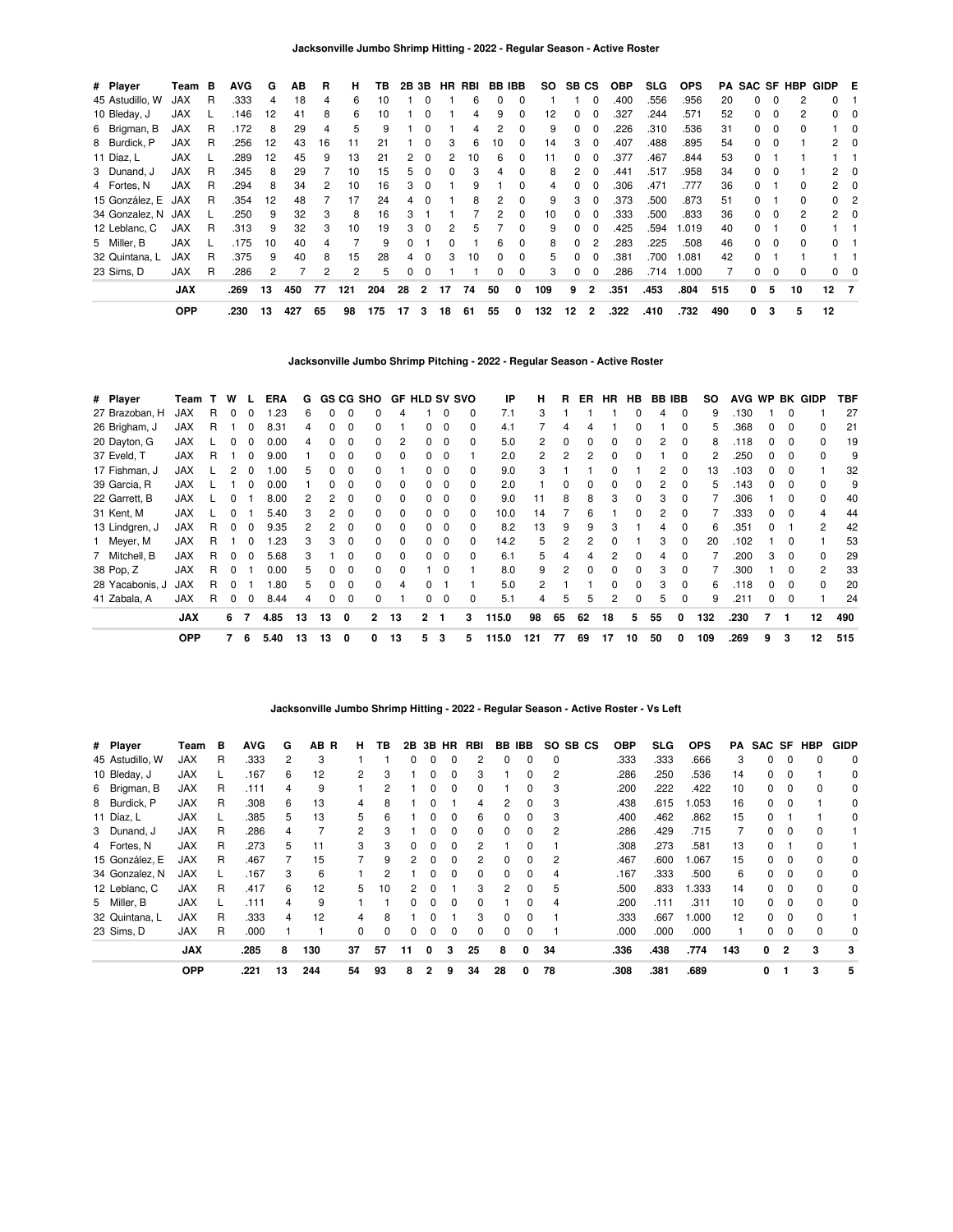| # Player        | Team       | в | <b>AVG</b> | G  | ΑВ  | R  | н   | ΤВ  |    | 2B 3B    |    | HR RBI | <b>BB IBB</b> |              | SO  | SB CS    |                | <b>OBP</b> | <b>SLG</b> | <b>OPS</b> | PA  |              |          | <b>SAC SF HBP</b> | GIDP E       |             |
|-----------------|------------|---|------------|----|-----|----|-----|-----|----|----------|----|--------|---------------|--------------|-----|----------|----------------|------------|------------|------------|-----|--------------|----------|-------------------|--------------|-------------|
| 45 Astudillo, W | <b>JAX</b> | R | .333       | 4  | 18  | 4  | 6   | 10  |    | $\Omega$ |    | 6      | 0             | $\Omega$     |     |          | 0              | .400       | .556       | .956       | 20  | <sup>0</sup> | $\Omega$ | 2                 | 0            |             |
| 10 Bleday, J    | <b>JAX</b> |   | .146       | 12 | 41  | 8  | 6   | 10  |    |          |    | 4      | 9             |              | 12  | $\Omega$ | 0              | .327       | .244       | .571       | 52  | 0            | $\Omega$ | 2                 | 0            |             |
| 6 Brigman, B    | <b>JAX</b> | R | .172       | 8  | 29  |    | 5   | 9   |    | $\Omega$ |    |        |               | 0            | 9   | 0        | 0              | .226       | .310       | .536       | 31  | 0            | 0        | 0                 |              | -0          |
| 8 Burdick, P    | <b>JAX</b> | R | .256       | 12 | 43  | 16 | 11  | 21  |    | $\Omega$ | 3  | 6      | 10            | $\Omega$     | 14  | 3        | 0              | .407       | .488       | .895       | 54  | 0            | $\Omega$ |                   |              | $2 \quad 0$ |
| 11 Díaz, L      | <b>JAX</b> |   | .289       | 12 | 45  | 9  | 13  | 21  | 2  | $\Omega$ | 2  | 10     | 6             | $\Omega$     | 11  | $\Omega$ | 0              | .377       | .467       | .844       | 53  | $\Omega$     |          |                   |              |             |
| 3 Dunand, J     | <b>JAX</b> | R | .345       | 8  | 29  |    | 10  | 15  | 5. | $\Omega$ | 0  | з      | 4             | $\Omega$     | 8   | 2        | 0              | .441       | .517       | .958       | 34  | <sup>0</sup> | $\Omega$ |                   | $\mathbf{2}$ | $\Omega$    |
| 4 Fortes, N     | JAX        | R | .294       | 8  | 34  |    | 10  | 16  | 3  | $\Omega$ |    |        |               |              |     | 0        | 0              | .306       | .471       | .777       | 36  | <sup>0</sup> |          | <sup>0</sup>      | 2            | 0           |
| 15 González, E  | JAX        | R | .354       | 12 | 48  |    | 17  | 24  | 4  | $\Omega$ |    | 8      | 2             | $\Omega$     | 9   | 3        | 0              | .373       | .500       | .873       | 51  | <sup>0</sup> |          | <sup>0</sup>      | $^{\circ}$   | -2          |
| 34 Gonzalez, N  | JAX        |   | .250       | 9  | 32  | 3  | 8   | 16  | 3  |          |    |        | 2             | $\Omega$     | 10  | 0        | 0              | .333       | .500       | .833       | 36  | 0            | $\Omega$ | 2                 |              | $2 \quad 0$ |
| 12 Leblanc, C   | <b>JAX</b> | R | .313       | 9  | 32  | 3  | 10  | 19  | 3  | $\Omega$ | 2  | h      |               | <sup>0</sup> | 9   | $\Omega$ | 0              | .425       | .594       | 1.019      | 40  | <sup>0</sup> |          | <sup>0</sup>      |              |             |
| 5 Miller, B     | <b>JAX</b> |   | .175       | 10 | 40  | 4  |     | 9   | 0  |          | 0  |        | 6             | $\Omega$     | 8   | $\Omega$ | 2              | .283       | .225       | .508       | 46  | 0            | $\Omega$ | 0                 | 0            |             |
| 32 Quintana, L  | JAX        | R | 375        | 9  | 40  | 8  | 15  | 28  | 4  | $\Omega$ | 3  | 10     | $\Omega$      | $\Omega$     | 5   | 0        | 0              | .381       | .700       | 1.081      | 42  |              |          |                   |              |             |
| 23 Sims. D      | <b>JAX</b> | R | .286       | 2  |     | 2  | 2   | 5   | 0  | $\Omega$ |    |        | 0             | $\Omega$     | 3   | 0        | 0              | .286       | .714       | 1.000      |     | 0            | $\Omega$ | 0                 | $^{\circ}$   | 0           |
|                 | <b>JAX</b> |   | .269       | 13 | 450 | 77 | 121 | 204 | 28 | 2        | 17 | 74     | 50            | 0            | 109 | 9        | $\mathbf{2}$   | .351       | .453       | .804       | 515 | 0            | 5        | 10                | $12 \quad 7$ |             |
|                 | <b>OPP</b> |   | .230       | 13 | 427 | 65 | 98  | 175 | 17 | 3        | 18 | 61     | 55            | 0            | 132 | 12       | $\overline{2}$ | .322       | .410       | .732       | 490 | 0            | 3        | 5                 | 12           |             |

**Jacksonville Jumbo Shrimp Pitching - 2022 - Regular Season - Active Roster**

| # Player        | Team       | т. | w        |              | ERA  | G  |    |             | GS CG SHO      | <b>GF HLD SV SVO</b> |              |          |   | ΙP    | н            | R              | ER.          | <b>HR</b> | <b>HB</b>    | <b>BB IBB</b> |             | SO  |      |              |              | AVG WP BK GIDP | TBF |
|-----------------|------------|----|----------|--------------|------|----|----|-------------|----------------|----------------------|--------------|----------|---|-------|--------------|----------------|--------------|-----------|--------------|---------------|-------------|-----|------|--------------|--------------|----------------|-----|
| 27 Brazoban, H  | <b>JAX</b> | R. | $\Omega$ | 0            | .23  | 6  |    | 0           |                | 4                    |              | 0        | 0 | 7.1   | 3            |                |              |           | $\Omega$     | 4             | $\Omega$    | 9   | .130 |              | 0            |                | 27  |
| 26 Brigham, J   | <b>JAX</b> | R  |          | 0            | 8.31 | 4  |    | 0           |                |                      |              | $\Omega$ | 0 | 4.1   |              | 4              | 4            |           | 0            |               | $\Omega$    | 5   | .368 | 0            | $\Omega$     | 0              | 21  |
| 20 Dayton, G    | JAX        |    |          |              | 0.00 | 4  |    | 0           |                | 2                    | 0            | $\Omega$ | 0 | 5.0   | $\mathbf{2}$ | 0              | 0            |           | $\Omega$     | 2             | $\Omega$    | 8   | .118 | 0            | 0            | <sup>0</sup>   | 19  |
| 37 Eveld, T     | <b>JAX</b> | R  |          | ŋ            | 9.00 |    |    |             |                | 0                    |              | $\Omega$ |   | 2.0   | 2            | $\overline{2}$ | 2            |           |              |               | 0           | 2   | .250 | 0            | 0            | <sup>0</sup>   | 9   |
| 17 Fishman, J   | <b>JAX</b> |    |          |              | .00  | 5  |    |             |                |                      |              | $\Omega$ | 0 | 9.0   | 3            |                |              |           |              | 2             | $\Omega$    | 13  | .103 | 0            | 0            |                | 32  |
| 39 Garcia, R    | <b>JAX</b> |    |          |              | 0.00 |    |    | O           |                | <sup>0</sup>         |              | 0        |   | 2.0   |              | 0              | ŋ            |           | <sup>0</sup> | 2             | $\Omega$    | 5   | 143  | 0            | <sup>0</sup> | <sup>0</sup>   | 9   |
| 22 Garrett, B   | JAX        |    |          |              | 8.00 | 2  | 2  | n           |                | 0                    |              | 0        |   | 9.0   | 11           | 8              | 8            | з         | $\Omega$     | 3             | 0           |     | .306 |              | 0            | <sup>0</sup>   | 40  |
| 31 Kent, M      | <b>JAX</b> |    |          |              | 5.40 | 3  |    | 0           |                | 0                    | 0            | 0        | 0 | 10.0  | 14           |                | 6            |           | 0            |               | 0           |     | .333 | 0            | 0            |                | 44  |
| 13 Lindgren, J  | <b>JAX</b> | R. | $\Omega$ | 0            | 9.35 |    |    | 0           |                | 0                    | 0            | $\Omega$ | 0 | 8.2   | 13           | 9              | 9            |           |              |               | $\mathbf 0$ | 6   | .351 | 0            |              | 2              | 42  |
| 1 Meyer, M      | <b>JAX</b> | R. |          | <sup>0</sup> | .23  | 3  | 3  | $\Omega$    | 0              | 0                    | <sup>0</sup> | 0        | 0 | 14.2  | 5.           | 2              |              |           |              | 3             | $\Omega$    | 20  | .102 |              | 0            |                | 53  |
| 7 Mitchell, B   | <b>JAX</b> | R. | $\Omega$ | <sup>0</sup> | 5.68 | 3  |    | $\Omega$    | <sup>0</sup>   | $\Omega$             | <sup>0</sup> | $\Omega$ | 0 | 6.1   | 5.           | 4              | Δ            | 2         | $\Omega$     | 4             | $\Omega$    |     | .200 | 3            | 0            | $\Omega$       | 29  |
| 38 Pop, Z       | <b>JAX</b> | R  | $\Omega$ |              | 0.00 | 5  |    | 0           | <sup>0</sup>   | $\Omega$             |              | 0        |   | 8.0   | 9            | 2              | <sup>0</sup> |           | $\Omega$     | 3             | $\Omega$    |     | .300 |              | 0            | 2              | 33  |
| 28 Yacabonis, J | <b>JAX</b> | R  |          |              | .80  | 5  |    | 0           |                | Δ                    |              |          |   | 5.0   | 2            |                |              |           | $\Omega$     | 3             | $\Omega$    | 6   | .118 | <sup>0</sup> | <sup>0</sup> | $\Omega$       | 20  |
| 41 Zabala, A    | <b>JAX</b> | R  | 0        | 0            | 8.44 | 4  | 0  | 0           |                |                      | 0            | 0        | 0 | 5.1   | 4            | 5              | 5            |           | $\Omega$     | 5             | $\Omega$    | 9   | .211 | 0            | $\Omega$     |                | 24  |
|                 | <b>JAX</b> |    | 6        | 7            | 4.85 | 13 | 13 | 0           | $\overline{2}$ | 13                   | $\mathbf{2}$ | - 1      | 3 | 115.0 | 98           | 65             | 62           | 18        | 5            | 55            | 0           | 132 | .230 |              |              | 12             | 490 |
|                 | <b>OPP</b> |    | 7        | 6            | 5.40 | 13 | 13 | $\mathbf 0$ | 0              | 13                   | 5            | 3        | 5 | 115.0 | 121          | 77             | 69           | 17        | 10           | 50            | 0           | 109 | .269 | 9            | 3            | 12             | 515 |

**Jacksonville Jumbo Shrimp Hitting - 2022 - Regular Season - Active Roster - Vs Left**

| 3 Dunand, J<br>4 Fortes, N   | <b>JAX</b><br><b>JAX</b> | R<br>R | .286<br>.273 | 4<br>5 | 11      | $\overline{2}$<br>3 | 3<br>3 | <sup>0</sup> | $\Omega$ | 0<br>$\Omega$ | 2             | 0  | 0<br>0        | 2      | .286<br>.308 | .429<br>.273 | .715<br>.581 | 13       | 0<br>0 | 0             | n |        |
|------------------------------|--------------------------|--------|--------------|--------|---------|---------------------|--------|--------------|----------|---------------|---------------|----|---------------|--------|--------------|--------------|--------------|----------|--------|---------------|---|--------|
| 15 González, E               | <b>JAX</b>               | R      | .467         |        | 15      |                     | 9      |              |          |               |               |    | <sup>0</sup>  | 2      | .467         | .600         | .067         | 15       | 0      |               |   | 0      |
| 34 Gonzalez, N               | JAX                      |        | .167         | 3      | 6       |                     |        |              |          | <sup>0</sup>  |               | n  | <sup>0</sup>  | 4      | .167         | .333         | .500         | 6        | 0      |               |   | 0      |
| 12 Leblanc, C<br>5 Miller, B | <b>JAX</b><br><b>JAX</b> | R      | .417<br>.111 | 6<br>4 | 12<br>9 | 5                   | 10     | 0            | $\Omega$ | $\Omega$      | 3<br>$\Omega$ | 2  | $\Omega$<br>0 | 5<br>4 | .500<br>.200 | .833<br>.111 | .333<br>.311 | 14<br>10 | 0<br>0 | 0<br>$\Omega$ |   | 0<br>0 |
| 32 Quintana, L               | <b>JAX</b>               | R      | .333         | 4      | 12      | 4                   | 8      |              |          |               | 3             | 0  | 0             |        | .333         | .667         | 1.000        | 12       | 0      | <sup>0</sup>  |   |        |
| 23 Sims, D                   | <b>JAX</b>               | R      | .000         |        |         | 0                   | 0      |              | 0        | 0             |               | 0  | 0             |        | .000         | .000         | .000         |          | 0      |               |   | 0      |
|                              | <b>JAX</b>               |        | .285         | 8      | 130     | 37                  | 57     | 11           | $\Omega$ | 3             | 25            | 8  | 0             | 34     | .336         | .438         | .774         | 143      | 0      | 2             | 3 | 3      |
|                              | <b>OPP</b>               |        | .221         | 13     | 244     | 54                  | 93     | 8            | 2        | 9             | 34            | 28 | 0             | 78     | .308         | .381         | .689         |          | 0      |               | 3 | 5      |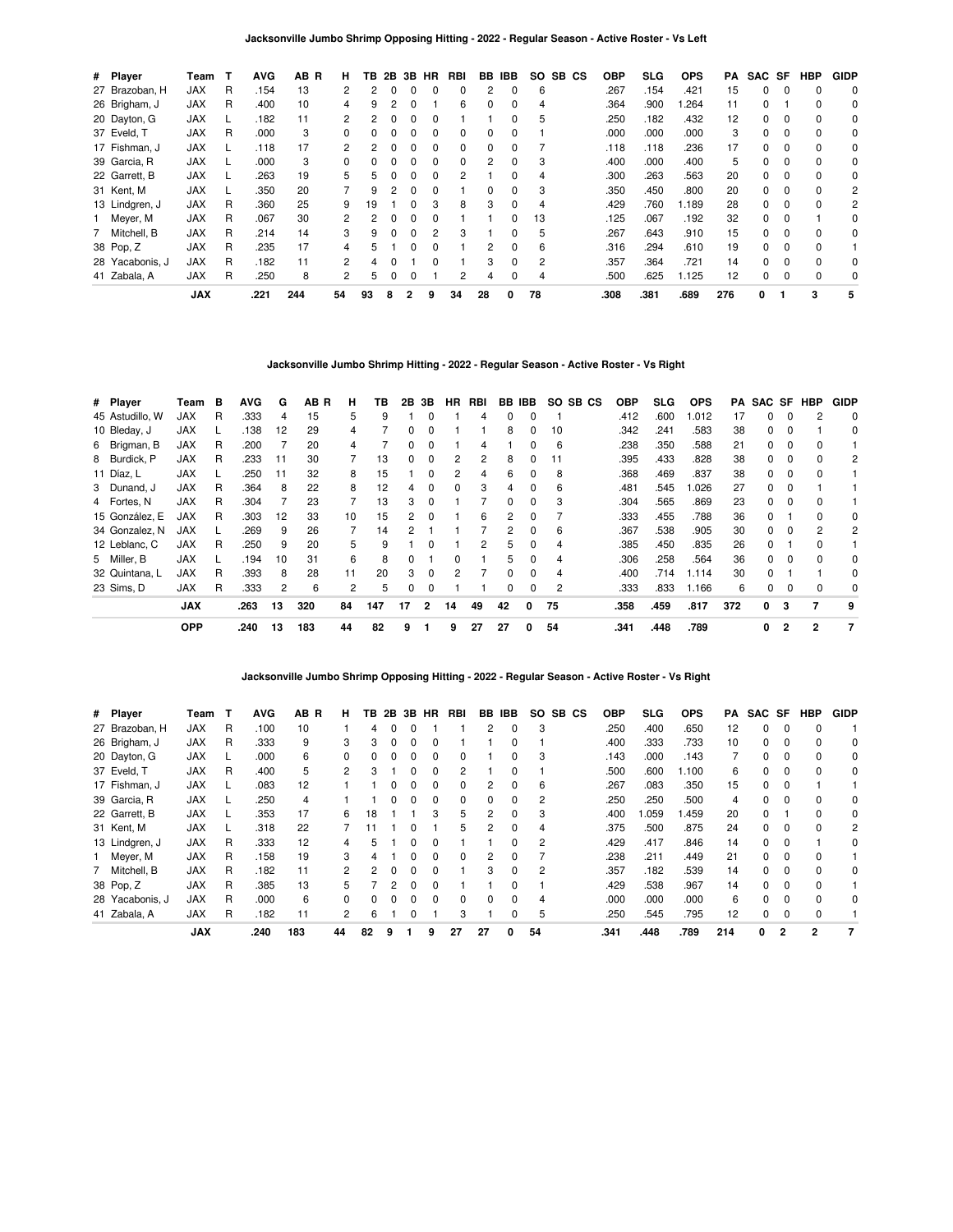| # Player        | Team       | т | <b>AVG</b> | AB R | н.           | ΤВ | 2B | 3B           | HR           | RBI | BB       | <b>IBB</b>   | SO. | SB CS | <b>OBP</b> | SLG  | <b>OPS</b> | РA  | SAC SF |          | <b>HBP</b> | <b>GIDP</b> |
|-----------------|------------|---|------------|------|--------------|----|----|--------------|--------------|-----|----------|--------------|-----|-------|------------|------|------------|-----|--------|----------|------------|-------------|
| 27 Brazoban, H  | <b>JAX</b> | R | .154       | 13   | 2            |    |    |              |              | 0   |          | $\Omega$     | 6   |       | .267       | .154 | .421       | 15  | 0      |          | 0          | 0           |
| 26 Brigham, J   | <b>JAX</b> | R | .400       | 10   | 4            | 9  |    |              |              | 6   | 0        | $\Omega$     | 4   |       | .364       | .900 | .264       | 11  | 0      |          | 0          | 0           |
| 20 Dayton, G    | <b>JAX</b> |   | .182       | 11   | 2            | 2  |    |              |              |     |          | 0            | 5   |       | .250       | .182 | .432       | 12  | 0      | $\Omega$ | 0          | 0           |
| 37 Eveld, T     | <b>JAX</b> | R | .000       | 3    | $\Omega$     |    |    |              | O            | 0   | $\Omega$ | <sup>0</sup> |     |       | .000       | .000 | .000       | 3   | 0      | $\Omega$ | $\Omega$   | 0           |
| 17 Fishman, J   | <b>JAX</b> |   | .118       | 17   | $\mathbf{2}$ | 2  |    |              |              | 0   | 0        |              |     |       | .118       | .118 | .236       | 17  | 0      |          | 0          | 0           |
| 39 Garcia, R    | <b>JAX</b> |   | .000       | 3    | $\Omega$     | 0  |    |              |              | 0   | 2        | 0            | 3   |       | .400       | .000 | .400       | 5   | 0      | $\Omega$ | 0          | 0           |
| 22 Garrett, B   | <b>JAX</b> |   | .263       | 19   | 5.           | 5  |    | <sup>0</sup> | <sup>0</sup> | 2   |          | 0            | 4   |       | .300       | .263 | .563       | 20  | 0      | $\Omega$ | $\Omega$   | 0           |
| 31 Kent, M      | <b>JAX</b> |   | .350       | 20   |              | 9  |    |              |              |     | $\Omega$ | 0            | 3   |       | .350       | .450 | .800       | 20  | 0      | $\Omega$ | $\Omega$   | 2           |
| 13 Lindgren, J  | <b>JAX</b> | R | .360       | 25   | 9            | 19 |    |              | 3            | 8   | 3        | 0            | 4   |       | .429       | .760 | 1.189      | 28  | 0      | $\Omega$ | 0          | 2           |
| Meyer, M        | <b>JAX</b> | R | .067       | 30   | 2            | 2  |    |              |              |     |          | 0            | 13  |       | .125       | .067 | .192       | 32  | 0      | $\Omega$ |            | 0           |
| 7 Mitchell, B   | <b>JAX</b> | R | .214       | 14   | 3            | 9  |    |              | 2            | 3   |          | 0            | 5   |       | .267       | .643 | .910       | 15  | 0      | $\Omega$ | $\Omega$   | 0           |
| 38 Pop, Z       | <b>JAX</b> | R | .235       | 17   | 4            | 5  |    |              |              |     | 2        | 0            | 6   |       | .316       | .294 | .610       | 19  | 0      | $\Omega$ | $\Omega$   |             |
| 28 Yacabonis, J | <b>JAX</b> | R | .182       | 11   | $\mathbf{2}$ | 4  |    |              | 0            |     | 3        | $\Omega$     | 2   |       | .357       | .364 | .721       | 14  | 0      | $\Omega$ | 0          | 0           |
| 41 Zabala, A    | <b>JAX</b> | R | .250       | 8    | $\mathbf{2}$ | 5  |    | 0            |              | 2   | 4        | $\Omega$     | 4   |       | .500       | .625 | 1.125      | 12  | 0      | $\Omega$ | 0          | 0           |
|                 | <b>JAX</b> |   | .221       | 244  | 54           | 93 | 8  | 2            | 9            | 34  | 28       | 0            | 78  |       | .308       | .381 | .689       | 276 | 0      |          | 3          | 5           |

# **Jacksonville Jumbo Shrimp Hitting - 2022 - Regular Season - Active Roster - Vs Right**

| # Player        | Team       | в | <b>AVG</b> | G  | AB R | н  | ΤВ  | 2B | 3B           | HR | RBI |               | BB IBB       |    | SO SB CS | <b>OBP</b> | <b>SLG</b> | <b>OPS</b> | PA  | SAC SF HBP |          |              | <b>GIDP</b> |
|-----------------|------------|---|------------|----|------|----|-----|----|--------------|----|-----|---------------|--------------|----|----------|------------|------------|------------|-----|------------|----------|--------------|-------------|
| 45 Astudillo, W | JAX        | R | .333       | 4  | 15   | 5  | 9   |    | 0            |    | 4   | 0             | 0            |    |          | .412       | .600       | 1.012      | 17  | 0          | 0        |              | 0           |
| 10 Bleday, J    | <b>JAX</b> |   | .138       | 12 | 29   | 4  |     | 0  | 0            |    |     | 8             | 0            | 10 |          | .342       | .241       | .583       | 38  | 0          | $\Omega$ |              | 0           |
| 6 Brigman, B    | <b>JAX</b> | R | .200       |    | 20   | 4  |     | 0  | 0            |    | 4   |               |              | 6  |          | .238       | .350       | .588       | 21  | 0          |          | $\Omega$     |             |
| 8 Burdick, P    | JAX        | R | .233       | 11 | 30   |    | 13  | 0  | 0            | 2  | 2   | 8             |              | 11 |          | .395       | .433       | .828       | 38  | 0          |          |              | 2           |
| 11 Díaz, L      | <b>JAX</b> | L | .250       | 11 | 32   | 8  | 15  |    | 0            | 2  | 4   | 6             | 0            | 8  |          | .368       | .469       | .837       | 38  | 0          | 0        | 0            |             |
| 3 Dunand, J     | <b>JAX</b> | R | .364       | 8  | 22   | 8  | 12  | 4  | 0            | 0  | 3   | 4             | 0            | 6  |          | .481       | .545       | 1.026      | 27  | 0          | 0        |              |             |
| 4 Fortes, N     | <b>JAX</b> | R | .304       |    | 23   |    | 13  | 3  | 0            |    |     | <sup>0</sup>  | <sup>0</sup> | 3  |          | .304       | .565       | .869       | 23  | 0          |          |              |             |
| 15 González, E  | <b>JAX</b> | R | .303       | 12 | 33   | 10 | 15  | 2  | 0            |    | 6   | $\mathcal{P}$ |              |    |          | .333       | .455       | .788       | 36  | O.         |          | <sup>0</sup> | 0           |
| 34 Gonzalez, N  | JAX        | L | .269       | 9  | 26   |    | 14  |    |              |    |     | 2             | 0            | 6  |          | .367       | .538       | .905       | 30  | 0          | 0        |              | 2           |
| 12 Leblanc, C   | <b>JAX</b> | R | .250       | 9  | 20   | 5  | 9   |    | 0            |    | 2   | 5             | 0            | 4  |          | .385       | .450       | .835       | 26  | 0          |          | $\Omega$     |             |
| 5 Miller, B     | <b>JAX</b> |   | .194       | 10 | 31   | 6  | 8   | 0  |              | ŋ  |     | 5             | 0            | 4  |          | .306       | .258       | .564       | 36  | 0          | $\Omega$ | $\Omega$     | 0           |
| 32 Quintana, L  | <b>JAX</b> | R | .393       | 8  | 28   | 11 | 20  | 3  | $\Omega$     | 2  |     | <sup>0</sup>  |              | 4  |          | .400       | .714       | 1.114      | 30  | 0          |          |              | 0           |
| 23 Sims. D      | JAX        | R | .333       | 2  | 6    | 2  | 5   | 0  | 0            |    |     | 0             | 0            | 2  |          | .333       | .833       | 1.166      | 6   | 0          |          |              | 0           |
|                 | <b>JAX</b> |   | .263       | 13 | 320  | 84 | 147 | 17 | $\mathbf{2}$ | 14 | 49  | 42            | 0            | 75 |          | .358       | .459       | .817       | 372 | 0          | 3        |              | 9           |
|                 | <b>OPP</b> |   | .240       | 13 | 183  | 44 | 82  | 9  |              | 9  | 27  | 27            | 0            | 54 |          | .341       | .448       | .789       |     | 0          | 2        | 2            | -7          |

**Jacksonville Jumbo Shrimp Opposing Hitting - 2022 - Regular Season - Active Roster - Vs Right**

| # Player        | Team       | т | AVG  | AB R | н.           | ΤВ       | 2В | 3В       | HR           | RBI      | BB       | IBB      | SO. | SB CS | OBP  | <b>SLG</b> | <b>OPS</b> | PA  | SAC SF   |              | HBP      | <b>GIDP</b> |
|-----------------|------------|---|------|------|--------------|----------|----|----------|--------------|----------|----------|----------|-----|-------|------|------------|------------|-----|----------|--------------|----------|-------------|
| 27 Brazoban, H  | <b>JAX</b> | R | .100 | 10   |              | 4        |    |          |              |          |          | 0        | 3   |       | .250 | .400       | .650       | 12  | 0        | 0            | $\Omega$ |             |
| 26 Brigham, J   | <b>JAX</b> | R | .333 | 9    | 3            | 3        |    | $\Omega$ | 0            |          |          | 0        |     |       | .400 | .333       | .733       | 10  | 0        | 0            | $\Omega$ | 0           |
| 20 Dayton, G    | <b>JAX</b> |   | .000 | 6    | 0            | 0        |    |          | $\Omega$     | 0        |          | 0        | 3   |       | .143 | .000       | .143       | 7   | 0        | $\Omega$     | $\Omega$ | 0           |
| 37 Eveld, T     | <b>JAX</b> | R | .400 | 5    | 2            | 3        |    |          |              | 2        |          | 0        |     |       | .500 | .600       | 1.100      | 6   | 0        |              | $\Omega$ | 0           |
| 17 Fishman, J   | <b>JAX</b> |   | .083 | 12   |              |          |    |          | 0            | 0        |          | 0        | 6   |       | .267 | .083       | .350       | 15  | 0        | 0            |          |             |
| 39 Garcia, R    | <b>JAX</b> |   | .250 | 4    |              |          |    |          | 0            | $\Omega$ | 0        | 0        | 2   |       | .250 | .250       | .500       | 4   | $\Omega$ | $\Omega$     | $\Omega$ | 0           |
| 22 Garrett, B   | <b>JAX</b> |   | .353 | 17   | 6            | 18       |    |          | 3            | 5        | 2        | $\Omega$ | 3   |       | .400 | .059       | 1.459      | 20  | 0        |              | $\Omega$ | 0           |
| 31 Kent, M      | <b>JAX</b> |   | .318 | 22   |              |          |    |          |              | 5        | 2        | 0        | 4   |       | .375 | .500       | .875       | 24  | 0        | 0            | $\Omega$ | 2           |
| 13 Lindgren, J  | JAX        | R | .333 | 12   | 4            | 5.       |    | $\Omega$ | 0            |          |          | 0        | 2   |       | .429 | .417       | .846       | 14  | 0        | $\Omega$     |          | 0           |
| 1 Meyer, M      | <b>JAX</b> | R | .158 | 19   | 3            | 4        |    |          | <sup>0</sup> | 0        | 2        | 0        |     |       | .238 | .211       | .449       | 21  | 0        | $\Omega$     | $\Omega$ |             |
| 7 Mitchell, B   | <b>JAX</b> | R | .182 | 11   | 2            | 2        |    |          |              |          | 3        | 0        | 2   |       | .357 | .182       | .539       | 14  | 0        | $\Omega$     | $\Omega$ | 0           |
| 38 Pop, Z       | <b>JAX</b> | R | .385 | 13   | 5.           |          | 2  | n        | <sup>0</sup> |          |          | 0        |     |       | .429 | .538       | .967       | 14  | 0        | $\Omega$     | $\Omega$ |             |
| 28 Yacabonis, J | <b>JAX</b> | R | .000 | 6    | <sup>0</sup> | $\Omega$ |    |          | <sup>0</sup> | 0        | $\Omega$ | 0        | 4   |       | .000 | .000       | .000       | 6   | 0        | $\Omega$     | $\Omega$ | 0           |
| 41 Zabala, A    | <b>JAX</b> | R | .182 | 11   | 2            | 6        |    |          |              | 3        |          | 0        | 5   |       | .250 | .545       | .795       | 12  | 0        | 0            | $\Omega$ |             |
|                 | <b>JAX</b> |   | .240 | 183  | 44           | 82       | 9  |          | 9            | 27       | 27       | 0        | 54  |       | .341 | .448       | .789       | 214 | 0        | $\mathbf{2}$ | 2        |             |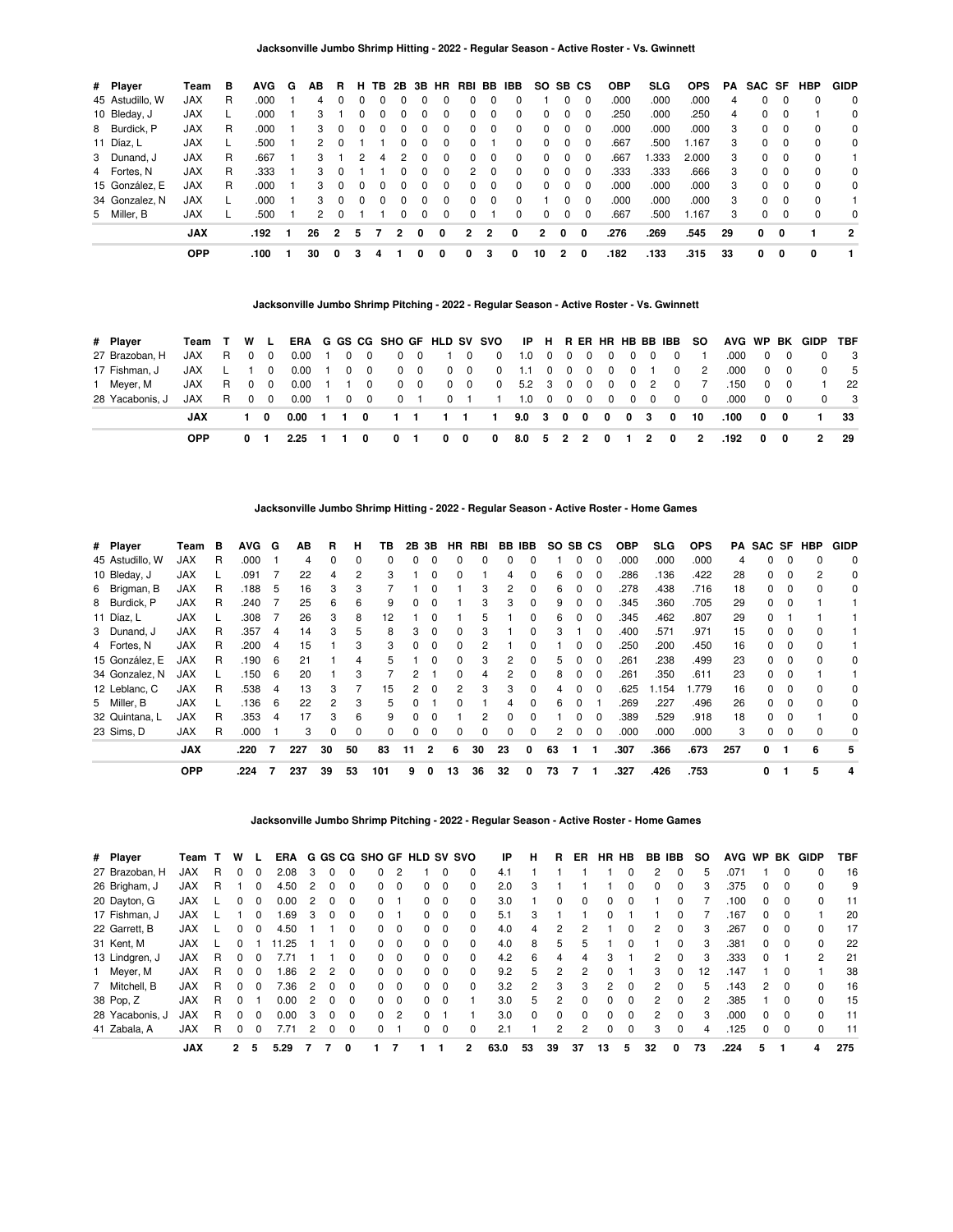| # Player        | Team       | в | <b>AVG</b> | G | AВ                   | R.             | н        | TB.          | 2B       | 3B       |          |              |              | HR RBI BB IBB | SO.            |          | SB CS       | <b>OBP</b> | SLG.  | <b>OPS</b> | PA | SAC SF       |          | <b>HBP</b>  | <b>GIDP</b>    |
|-----------------|------------|---|------------|---|----------------------|----------------|----------|--------------|----------|----------|----------|--------------|--------------|---------------|----------------|----------|-------------|------------|-------|------------|----|--------------|----------|-------------|----------------|
| 45 Astudillo, W | <b>JAX</b> | R | .000       |   | 4                    |                |          |              |          |          | 0        | 0            |              | 0             |                | 0        | $\Omega$    | .000       | .000  | .000       | 4  | $\Omega$     | $\Omega$ | $\Omega$    | 0              |
| 10 Bleday, J    | <b>JAX</b> |   | .000       |   | 3                    |                | $\Omega$ |              |          |          | 0        | 0            | 0            | 0             | $\Omega$       | 0        | $\Omega$    | .250       | .000  | .250       | 4  | 0            | $\Omega$ |             | $\Omega$       |
| 8 Burdick, P    | JAX        | R | .000       |   | 3                    | $\Omega$       | $\Omega$ | <sup>0</sup> | $\Omega$ | $\Omega$ | $\Omega$ | 0            | $\Omega$     | 0             | $\Omega$       | $\Omega$ | $\Omega$    | .000       | .000  | .000       | 3  | 0            | $\Omega$ | $\mathbf 0$ | 0              |
| 11 Díaz, L      | <b>JAX</b> |   | .500       |   | 2                    |                |          |              |          | $\Omega$ | 0        | 0            |              | 0             | $\Omega$       | $\Omega$ | $\Omega$    | .667       | .500  | 1.167      | 3  | 0            | $\Omega$ | $\mathbf 0$ | 0              |
| 3 Dunand, J     | <b>JAX</b> | R | .667       |   | 3                    |                | 2        | Δ            |          |          | $\Omega$ | 0            | $\Omega$     | 0             | $\Omega$       | $\Omega$ | $\Omega$    | .667       | 1.333 | 2.000      | 3  | $\Omega$     | $\Omega$ | $\Omega$    |                |
| 4 Fortes, N     | <b>JAX</b> | R | .333       |   | 3                    |                |          |              |          | $\Omega$ | 0        | 2            | $\Omega$     | $\Omega$      | $\Omega$       | $\Omega$ | $\Omega$    | .333       | .333  | .666       | 3  | 0            | $\Omega$ | $\Omega$    | 0              |
| 15 González, E  | <b>JAX</b> | R | .000       |   | 3                    | $\Omega$       | $\Omega$ | <sup>0</sup> |          |          | 0        | 0            | <sup>0</sup> | $\Omega$      | $\Omega$       | $\Omega$ | $\Omega$    | .000       | .000  | .000       | 3  | $\Omega$     | $\Omega$ | 0           | 0              |
| 34 Gonzalez, N  | <b>JAX</b> |   | .000       |   | 3                    | $\Omega$       | $\Omega$ | <sup>0</sup> |          |          | 0        | 0            | $\Omega$     | 0             |                | $\Omega$ | $\Omega$    | .000       | .000  | .000       | 3  | $\Omega$     | $\Omega$ | $\Omega$    |                |
| 5 Miller, B     | <b>JAX</b> |   | .500       |   | $\mathcal{P} \equiv$ | $\Omega$       |          |              |          | $\Omega$ | $\Omega$ | 0            |              | 0             | $\Omega$       | $\Omega$ | $\Omega$    | .667       | .500  | 1.167      | 3  | 0            | $\Omega$ | $\Omega$    | $\Omega$       |
|                 | <b>JAX</b> |   | .192       |   | 26                   | $\overline{2}$ | 5        |              | 2        | 0        | 0        | $\mathbf{2}$ | 2            | 0             | $\overline{2}$ | 0        | $\mathbf 0$ | .276       | .269  | .545       | 29 | $\mathbf{0}$ | 0        |             | $\overline{2}$ |
|                 | <b>OPP</b> |   | .100       |   | 30                   | 0              | з        | 4            |          | 0        | 0        | 0            | 3            | 0             | 10             | 2        | 0           | .182       | .133  | .315       | 33 | 0            | 0        | 0           | 1.             |

#### **Jacksonville Jumbo Shrimp Pitching - 2022 - Regular Season - Active Roster - Vs. Gwinnett**

| # Player        | Team T W L |    |          |          |                                          |                |       |            |   |            |   |   | ERA G GS CG SHO GF HLD SV SVO IP H R ER HR HB BB IBB SO |                 |  |                         |            |                   |                |          |          |            | AVG WP BK GIDP TBF |                         |
|-----------------|------------|----|----------|----------|------------------------------------------|----------------|-------|------------|---|------------|---|---|---------------------------------------------------------|-----------------|--|-------------------------|------------|-------------------|----------------|----------|----------|------------|--------------------|-------------------------|
| 27 Brazoban, H  | JAX        | R. | $\Omega$ | - 0      | 0.00                                     | $\overline{1}$ |       | $0\quad 0$ |   | $0\quad 0$ |   |   | 1 0 0 1.0 0 0 0                                         |                 |  | $\overline{\mathbf{0}}$ |            | $0\quad 0\quad 0$ |                | .000     |          | $0\quad 0$ | $\Omega$           | $_{3}$                  |
| 17 Fishman, J   | JAX L 1 0  |    |          |          | $0.00 \quad 1$                           |                |       | $0\quad 0$ |   | $0\quad 0$ |   |   | 0 0 0 1.1 0 0 0                                         |                 |  |                         |            | 0 0 1 0           | $\overline{2}$ | .000     |          | $0\quad 0$ |                    | - 5                     |
| 1 Mever, M      | JAX        |    | R 0 0    |          | 0.00                                     |                | 1 1 0 |            |   | $0\quad 0$ |   |   | 0 0 0 5.2 3 0 0                                         |                 |  | $\mathbf{0}$            | $0\quad 2$ | $\overline{0}$    | $\overline{7}$ | .150     |          | $0\quad 0$ |                    | 22                      |
| 28 Yacabonis, J | JAX        |    | R 0      | $\Omega$ | $0.00 \quad 1$                           |                |       | $0\quad 0$ |   |            |   |   | 0 1 0 1 1 1.0 0 0 0                                     |                 |  |                         |            |                   | $\Omega$       | .000     |          | $0\quad 0$ | $\Omega$           | $\overline{\mathbf{3}}$ |
|                 | JAX        |    | 10       |          | 0.00 1 1 0 1 1 1 1 1 1 9.0 3 0 0 0 0 3 0 |                |       |            |   |            |   |   |                                                         |                 |  |                         |            |                   | - 10           | .100 0 0 |          |            | $\sim$ 1           | 33                      |
|                 | <b>OPP</b> |    | 0 1      |          | 2.25                                     |                |       | 0          | 0 |            | 0 | 0 | $\mathbf 0$                                             | 8.0 5 2 2 0 1 2 |  |                         |            | $\mathbf{0}$      | 2              | .192     | $\Omega$ | 0          | $\overline{2}$     | -29                     |

#### **Jacksonville Jumbo Shrimp Hitting - 2022 - Regular Season - Active Roster - Home Games**

| # Player        | Геаm       | в | <b>AVG</b> | G  | AВ  | R        | н        | ΤВ  | 2B 3B |                | HR.          | RBI |              | BB IBB       | SO SB CS |   |              | <b>OBP</b> | SLG  | <b>OPS</b> | PA  |    |              | SAC SF HBP | <b>GIDP</b> |
|-----------------|------------|---|------------|----|-----|----------|----------|-----|-------|----------------|--------------|-----|--------------|--------------|----------|---|--------------|------------|------|------------|-----|----|--------------|------------|-------------|
| 45 Astudillo, W | <b>JAX</b> | R | .000       |    | 4   | $\Omega$ | $\Omega$ | 0   | 0     | $\Omega$       | $\Omega$     | 0   | <sup>0</sup> | 0            |          | 0 | $\Omega$     | .000       | .000 | .000       | 4   | 0  | $\Omega$     | $\Omega$   | $\mathbf 0$ |
| 10 Bleday, J    | <b>JAX</b> |   | .091       |    | 22  | 4        | 2        | з   |       |                |              |     |              |              | 6        |   | <sup>0</sup> | 286        | .136 | .422       | 28  | 0  | <sup>0</sup> | 2          | 0           |
| 6 Brigman, B    | <b>JAX</b> | R | .188       | 5  | 16  | 3        | 3        |     |       |                |              | 3   | 2            | 0            | 6        |   | $\Omega$     | .278       | .438 | .716       | 18  | 0  | 0            |            | 0           |
| 8 Burdick, P    | <b>JAX</b> | R | .240       |    | 25  | 6        | 6        | 9   | 0     | $\Omega$       |              | 3   | 3            | $\Omega$     | 9        | 0 | 0            | .345       | .360 | .705       | 29  | 0  | 0            |            |             |
| 11 Díaz, L      | <b>JAX</b> |   | .308       |    | 26  | 3        | 8        | 12  |       | $\Omega$       |              | 5   |              | 0            | 6        | 0 | $\Omega$     | .345       | .462 | .807       | 29  | 0  |              |            |             |
| 3 Dunand, J     | <b>JAX</b> | R | .357       | 4  | 14  | з        | 5        | 8   | 3     | $\Omega$       |              | 3   |              |              | 3        |   |              | .400       | .571 | .971       | 15  | 0  |              |            |             |
| 4 Fortes, N     | <b>JAX</b> | R | .200       | 4  | 15  |          | 3        | 3   | 0     | $\Omega$       |              | 2   |              |              |          |   | 0            | .250       | .200 | .450       | 16  | 0  | 0            |            |             |
| 15 González, E  | <b>JAX</b> | R | .190       | 6  | 21  |          | 4        | 5   |       | $\Omega$       | $\Omega$     | 3   | 2            | 0            | 5.       | 0 | $\Omega$     | 261        | .238 | .499       | 23  | 0  | $\Omega$     | $\Omega$   | 0           |
| 34 Gonzalez, N  | <b>JAX</b> |   | .150       | 6  | 20  |          | 3        |     | 2     |                | <sup>0</sup> | 4   | 2            | <sup>0</sup> | 8        | 0 | $\Omega$     | 261        | .350 | .611       | 23  | 0  |              |            |             |
| 12 Leblanc, C   | <b>JAX</b> | R | .538       | 4  | 13  | з        |          | 15  | 2     |                |              | 3   | 3            | <sup>0</sup> | 4        |   | <sup>0</sup> | .625       | .154 | 1.779      | 16  | O. |              |            | 0           |
| 5 Miller, B     | <b>JAX</b> |   | .136       | -6 | 22  | 2        | 3        | 5   |       |                |              |     |              | 0            | 6        | 0 |              | .269       | .227 | .496       | 26  | 0  | 0            |            | 0           |
| 32 Quintana, L  | <b>JAX</b> | R | .353       | 4  | 17  | 3        | 6        | 9   | 0     | $\Omega$       |              | 2   | $\Omega$     | <sup>0</sup> |          | 0 | $\Omega$     | .389       | .529 | .918       | 18  | 0  |              |            | 0           |
| 23 Sims, D      | <b>JAX</b> | R | .000       |    | 3   | $\Omega$ | 0        | 0   | 0     | $\Omega$       |              | 0   | 0            | 0            | 2        | 0 | $\Omega$     | .000       | .000 | .000       | 3   | 0  |              |            | 0           |
|                 | <b>JAX</b> |   | .220       | 7  | 227 | 30       | 50       | 83  | 11    | $\overline{2}$ | 6            | 30  | 23           | 0            | 63       |   |              | .307       | .366 | .673       | 257 | 0  |              | 6          | 5           |
|                 | <b>OPP</b> |   | .224       |    | 237 | 39       | 53       | 101 | 9     | 0              | 13           | 36  | 32           | 0            | 73       |   |              | .327       | .426 | .753       |     | 0  |              | 5          |             |

# **Jacksonville Jumbo Shrimp Pitching - 2022 - Regular Season - Active Roster - Home Games**

| # Player        | Team       |   | w            |              | ERA  |   |   |              | G GS CG SHO GF HLD SV SVO |               |              |          |              | IP   | н        | R        | ER. | <b>HR</b>      | <b>HB</b> | BB IBB         |              | so | <b>AVG</b> | <b>WP</b> | BK       | GIDP         | TBF |
|-----------------|------------|---|--------------|--------------|------|---|---|--------------|---------------------------|---------------|--------------|----------|--------------|------|----------|----------|-----|----------------|-----------|----------------|--------------|----|------------|-----------|----------|--------------|-----|
| 27 Brazoban, H  | <b>JAX</b> | R |              |              | 2.08 | 3 |   |              | 0                         | 2             |              |          | 0            | 4.1  |          |          |     |                | 0         | 2              |              | 5  | .071       |           | $\Omega$ |              | 16  |
| 26 Brigham, J   | <b>JAX</b> | R |              | $\Omega$     | 4.50 | 2 | 0 |              | 0                         | $\Omega$      | 0            | 0        | 0            | 2.0  | з        |          |     |                | 0         | 0              | $\Omega$     | 3  | .375       | 0         | 0        | 0            | 9   |
| 20 Dayton, G    | JAX        |   |              |              | 0.00 |   |   |              | 0                         |               |              | 0        |              | 3.0  |          | O        | 0   |                | 0         |                |              |    | .100       | 0         |          | 0            | 11  |
| 17 Fishman, J   | JAX        |   |              | $\Omega$     | .69  | 3 | 0 |              | 0                         |               | 0            | 0        | 0            | 5.1  | 3        |          |     | $\Omega$       |           |                | 0            |    | .167       | 0         | $\Omega$ |              | 20  |
| 22 Garrett, B   | <b>JAX</b> |   | 0            | $\Omega$     | 4.50 |   |   |              | 0                         | 0             | 0            | 0        | 0            | 4.0  | 4        | 2        | 2   |                | 0         | 2              | 0            | з  | .267       | 0         | $\Omega$ |              | 17  |
| 31 Kent, M      | <b>JAX</b> |   | U            |              | 1.25 |   |   |              | 0                         | $\Omega$      | 0            | $\Omega$ | $\Omega$     | 4.0  | 8        | 5        | 5   |                | $\Omega$  |                | $\Omega$     | з  | .381       | 0         | $\Omega$ | $\Omega$     | 22  |
| 13 Lindgren, J  | JAX        | R | <sup>0</sup> | <sup>0</sup> |      |   |   |              | 0                         | $\Omega$      | <sup>0</sup> | $\Omega$ | 0            | 4.2  | 6        | 4        | 4   | 3              |           | 2              | $\Omega$     | з  | .333       | $\Omega$  |          | 2            | 21  |
| 1 Meyer, M      | <b>JAX</b> | R |              | 0            | .86  | 2 |   |              | 0                         | $\Omega$      | 0            | 0        | 0            | 9.2  | 5        | 2        | 2   |                |           | 3              | 0            | 12 | .147       |           |          |              | 38  |
| 7 Mitchell, B   | <b>JAX</b> | R | <sup>0</sup> | $\Omega$     | 7.36 | 2 | 0 | <sup>n</sup> | 0                         | $\Omega$      | 0            | $\Omega$ | 0            | 3.2  | 2        | 3        | 3   | $\mathfrak{p}$ | $\Omega$  | 2              | $\Omega$     | 5  | .143       | 2         | $\Omega$ | <sup>0</sup> | 16  |
| 38 Pop, Z       | <b>JAX</b> | R | 0            |              | 0.00 | 2 | 0 |              | 0                         | 0             | 0            | $\Omega$ |              | 3.0  | 5        | 2        | 0   | 0              | $\Omega$  | 2              | <sup>0</sup> |    | .385       |           | $\Omega$ | 0            | 15  |
| 28 Yacabonis, J | <b>JAX</b> | R | <sup>0</sup> | $\Omega$     | 0.00 | 3 | 0 |              | 0                         | $\mathcal{P}$ | $\Omega$     |          |              | 3.0  | $\Omega$ | $\Omega$ | 0   | $\Omega$       | $\Omega$  | $\overline{2}$ | $\Omega$     |    | .000       | 0         | $\Omega$ | $\Omega$     | 11  |
| 41 Zabala, A    | JAX        | R | 0            |              | 7.71 |   | 0 |              | 0                         |               | 0            | 0        | 0            | 2.1  |          | 2        | 2   | $\Omega$       | $\Omega$  | 3              | $\Omega$     | 4  | .125       | 0         | $\Omega$ | $\Omega$     | 11  |
|                 | <b>JAX</b> |   | 2            | 5            | 5.29 |   |   | 0            |                           |               |              |          | $\mathbf{2}$ | 63.0 | 53       | 39       | 37  | 13             | 5         | 32             | 0            | 73 | .224       | 5         |          | 4            | 275 |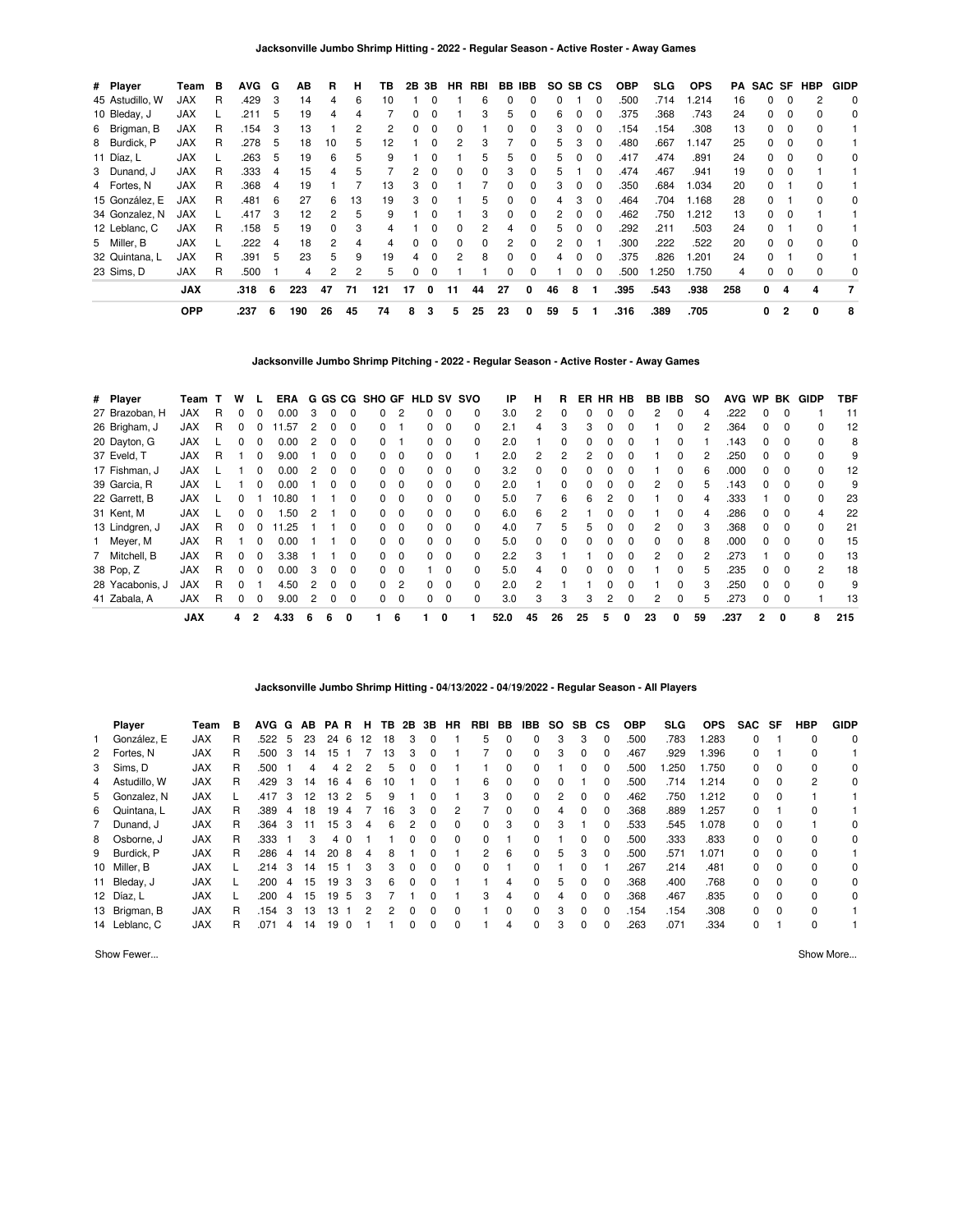| # Player        | Team       | в | <b>AVG</b> | G  | АB  | R  | н  | ΤВ  | 2В | 3B       | HR       | RBI      |    | BB IBB | SO. | SB CS    |          | <b>OBP</b> | SLG.  | <b>OPS</b> | PA  |    |                | SAC SF HBP | <b>GIDP</b> |
|-----------------|------------|---|------------|----|-----|----|----|-----|----|----------|----------|----------|----|--------|-----|----------|----------|------------|-------|------------|-----|----|----------------|------------|-------------|
| 45 Astudillo, W | <b>JAX</b> | R | .429       | -3 | 14  | 4  | 6  | 10  |    |          |          | 6        |    | 0      | 0   |          | $\Omega$ | .500       | .714  | .214       | 16  | 0  |                |            | $\mathbf 0$ |
| 10 Bleday, J    | <b>JAX</b> |   | .211       | 5  | 19  | 4  |    |     | n. |          |          | 3        | 5  | 0      | 6   |          |          | .375       | .368  | .743       | 24  | 0  |                | $\Omega$   | 0           |
| 6 Brigman, B    | <b>JAX</b> | R | .154       | -3 | 13  |    | 2  | 2   | 0  |          |          |          | 0  | 0      | 3   |          | 0        | 154        | .154  | .308       | 13  | 0  | 0              |            |             |
| 8 Burdick, P    | <b>JAX</b> | R | .278       | 5  | 18  | 10 | 5. | 12  |    | $\Omega$ | 2        | 3        |    | 0      | 5   | з        | $\Omega$ | .480       | .667  | 1.147      | 25  | 0  | $\Omega$       | $\Omega$   |             |
| 11 Díaz, L      | <b>JAX</b> |   | .263       | 5  | 19  | 6  | 5. | 9   |    | $\Omega$ |          | 5        | 5  | 0      | 5   |          | $\Omega$ | .417       | .474  | .891       | 24  | 0  | $\Omega$       | $\Omega$   | 0           |
| 3 Dunand, J     | <b>JAX</b> | R | .333       | 4  | 15  | 4  | 5  |     | 2  |          |          | $\Omega$ | з  | 0      | 5   |          |          | .474       | .467  | .941       | 19  | O. |                |            |             |
| 4 Fortes, N     | <b>JAX</b> | R | .368       | 4  | 19  |    |    | 13  | 3  |          |          |          |    |        | 3   |          | 0        | .350       | .684  | 1.034      | 20  | O. |                | $\Omega$   |             |
| 15 González, E  | <b>JAX</b> | R | .481       | 6  | 27  | 6  | 13 | 19  | 3  |          |          | 5        | 0  | 0      | 4   | з        | 0        | .464       | .704  | 1.168      | 28  | 0  |                |            | 0           |
| 34 Gonzalez, N  | <b>JAX</b> |   | .417       | 3  | 12  | 2  | 5  | 9   |    | $\Omega$ |          | 3        | 0  | 0      | 2   | $\Omega$ | $\Omega$ | .462       | .750  | 1.212      | 13  | 0  | 0              |            |             |
| 12 Leblanc, C   | <b>JAX</b> | R | .158       | -5 | 19  | 0  | 3  | 4   |    | $\Omega$ | $\Omega$ | 2        | 4  | 0      | 5   | $\Omega$ | $\Omega$ | .292       | .211  | .503       | 24  | 0  |                | $\Omega$   |             |
| 5 Miller, B     | <b>JAX</b> |   | 222        | 4  | 18  | 2  | 4  | 4   | n. | $\Omega$ | $\Omega$ | $\Omega$ | 2  | 0      | 2   |          |          | .300       | .222  | .522       | 20  | 0  | $\Omega$       | $\Omega$   | 0           |
| 32 Quintana, L  | <b>JAX</b> | R | .391       | 5  | 23  | 5  | 9  | 19  | 4  |          | 2        | 8        |    |        |     |          |          | .375       | .826  | .201       | 24  | 0  |                | $\Omega$   |             |
| 23 Sims, D      | JAX        | R | .500       |    | 4   | 2  | 2  | 5   | 0  | $\Omega$ |          |          | 0  | 0      |     | 0        | 0        | .500       | 1.250 | 1.750      | 4   | 0  |                | $\Omega$   | 0           |
|                 | <b>JAX</b> |   | .318       | 6  | 223 | 47 | 71 | 121 | 17 | $\Omega$ | 11       | 44       | 27 | 0      | 46  | 8        |          | .395       | .543  | .938       | 258 | 0  | 4              | 4          |             |
|                 | <b>OPP</b> |   | .237       | 6  | 190 | 26 | 45 | 74  | 8  | 3        | 5        | 25       | 23 | 0      | 59  | 5        |          | .316       | .389  | .705       |     | 0  | $\overline{2}$ | 0          | 8           |

**Jacksonville Jumbo Shrimp Pitching - 2022 - Regular Season - Active Roster - Away Games**

| # Player        | Team       |   | W            |              | ERA   |   | G GS CG |   | SHO GF HLD SV SVO |              |              |             |              | IP   | н        | R            | ER | <b>HR</b> | <b>HB</b>    | BB IBB        |              | SO. | <b>AVG</b> | <b>WP</b>    | BK       | GIDP         | TBF |
|-----------------|------------|---|--------------|--------------|-------|---|---------|---|-------------------|--------------|--------------|-------------|--------------|------|----------|--------------|----|-----------|--------------|---------------|--------------|-----|------------|--------------|----------|--------------|-----|
| 27 Brazoban, H  | <b>JAX</b> | R |              | <sup>0</sup> | 0.00  | 3 |         |   | 0                 | 2            |              |             | 0            | 3.0  | 2        |              |    |           |              | 2             | 0            |     | .222       |              |          |              | 11  |
| 26 Brigham, J   | <b>JAX</b> | R |              |              | 1.57  |   |         |   | O.                |              |              | 0           | 0            | 2.1  | 4        |              |    |           |              |               |              |     | .364       |              |          |              | 12  |
| 20 Dayton, G    | <b>JAX</b> |   |              | 0            | 0.00  | 2 |         |   | 0                 |              | <sup>0</sup> | $\mathbf 0$ | 0            | 2.0  |          | 0            |    |           |              |               | 0            |     | .143       | 0            | 0        |              | 8   |
| 37 Eveld, T     | <b>JAX</b> | R |              | $\Omega$     | 9.00  |   | O.      |   | 0                 | $\Omega$     | <sup>0</sup> | 0           |              | 2.0  | 2        | 2            |    |           |              |               | 0            |     | .250       | <sup>0</sup> | - 0      |              | 9   |
| 17 Fishman, J   | <b>JAX</b> |   |              | 0            | 0.00  |   |         |   | <sup>o</sup>      | <sup>0</sup> |              | $\Omega$    |              | 3.2  |          |              |    |           |              |               | <sup>0</sup> |     | .000       |              |          |              | 12  |
| 39 Garcia, R    | <b>JAX</b> |   |              | 0            | 0.00  |   | O.      |   | 0                 | $\Omega$     | 0            | $\mathbf 0$ | 0            | 2.0  |          | 0            |    |           | 0            | 2             | 0            | 5   | .143       | 0            | $\Omega$ |              | 9   |
| 22 Garrett, B   | <b>JAX</b> |   | <sup>n</sup> |              | 10.80 |   |         |   | 0                 | $\Omega$     | <sup>n</sup> | $\mathbf 0$ | 0            | 5.0  |          | 6            | 6  |           | U            |               | <sup>0</sup> | 4   | .333       |              | $\Omega$ | <sup>0</sup> | 23  |
| 31 Kent, M      | <b>JAX</b> |   |              | <sup>0</sup> | .50   |   |         |   | <sup>o</sup>      | $\Omega$     |              | $\Omega$    | <sup>0</sup> | 6.0  | 6        |              |    |           |              |               | <sup>0</sup> |     | .286       |              |          |              | 22  |
| 13 Lindgren, J  | JAX        | R | 0            | <sup>0</sup> | 11.25 |   |         |   | 0                 | $\Omega$     | 0            | $\mathbf 0$ | 0            | 4.0  |          | 5            |    |           | 0            |               | 0            |     | .368       | 0            | 0        | 0            | 21  |
| 1 Meyer, M      | <b>JAX</b> | R |              | $\Omega$     | 0.00  |   |         |   | 0                 | $\Omega$     | <sup>n</sup> | $\Omega$    | 0            | 5.0  | $\Omega$ | <sup>0</sup> |    |           | <sup>0</sup> | O.            | $\Omega$     | 8   | .000       | <sup>0</sup> | $\Omega$ | <sup>0</sup> | 15  |
| 7 Mitchell, B   | <b>JAX</b> | R |              |              | 3.38  |   |         |   | O.                | $\Omega$     |              | $\Omega$    | ŋ            | 2.2  | 3        |              |    |           | 0            | $\mathcal{P}$ | $\Omega$     |     | .273       |              |          |              | 13  |
| 38 Pop, Z       | <b>JAX</b> | R |              | <sup>0</sup> | 0.00  | 3 | 0       |   | 0                 | $\Omega$     |              | $\Omega$    | 0            | 5.0  | 4        |              |    |           |              |               | <sup>0</sup> | 5   | .235       | <sup>n</sup> |          | 2            | 18  |
| 28 Yacabonis, J | <b>JAX</b> | R |              |              | 4.50  | 2 | O.      |   | 0                 | 2            | n.           | $\Omega$    | 0            | 2.0  | 2        |              |    |           | U            |               | <sup>0</sup> | 3   | .250       | <sup>0</sup> | $\Omega$ | <sup>0</sup> | 9   |
| 41 Zabala, A    | <b>JAX</b> | R |              | $\Omega$     | 9.00  | 2 | 0       |   | 0                 | $\Omega$     |              | $\mathbf 0$ | 0            | 3.0  | 3        | 3            | 3  | 2         | 0            | 2             | 0            | 5   | .273       | 0            | $\Omega$ |              | 13  |
|                 | <b>JAX</b> |   | 4            |              | 4.33  | 6 | 6       | 0 |                   | 6            |              | 0           |              | 52.0 | 45       | 26           | 25 | 5         | 0            | 23            |              | 59  | .237       | 2            | 0        | 8            | 215 |

# **Jacksonville Jumbo Shrimp Hitting - 04/13/2022 - 04/19/2022 - Regular Season - All Players**

| <b>Player</b>  | Team       | в | AVG G AB PAR |    |    |     |          | H  |    |          | <b>TB 2B 3B</b> | HR       | RBI          | BB       | IBB.     | SO.      | SB.          | СS       | <b>OBP</b> | SLG  | <b>OPS</b> | <b>SAC</b>   | SF       | HBP      | <b>GIDP</b> |
|----------------|------------|---|--------------|----|----|-----|----------|----|----|----------|-----------------|----------|--------------|----------|----------|----------|--------------|----------|------------|------|------------|--------------|----------|----------|-------------|
| González, E    | <b>JAX</b> | R | .522         | -5 | 23 | 246 |          | 12 | 18 | 3        | $\Omega$        |          | 5            | 0        | $\Omega$ | 3        | 3            | 0        | .500       | .783 | 1.283      | $\Omega$     |          | $\Omega$ | $\Omega$    |
| 2 Fortes, N    | <b>JAX</b> | R | .500         | 3  | 14 | 15  |          |    | 13 | 3        | 0               |          |              | 0        | $\Omega$ | 3        | 0            | 0        | 467        | .929 | 1.396      | $\Omega$     |          | $\Omega$ |             |
| 3 Sims, D      | <b>JAX</b> | R | .500         |    | 4  | 4   | 2        | 2  | 5  |          |                 |          |              | 0        | 0        |          |              | 0        | .500       | .250 | 1.750      | 0            | $\Omega$ | 0        | 0           |
| 4 Astudillo, W | <b>JAX</b> | R | .429         | 3  | 14 | 16  | 4        | 6  | 10 |          | $\Omega$        |          | 6            | $\Omega$ | $\Omega$ | $\Omega$ |              | 0        | .500       | .714 | 1.214      | $\Omega$     | $\Omega$ | 2        | 0           |
| 5 Gonzalez, N  | <b>JAX</b> |   | .417         | 3  | 12 | 13  | 2        | 5  | 9  |          | 0               |          | 3            | $\Omega$ | $\Omega$ | 2        | 0            | 0        | .462       | .750 | 1.212      | $\mathbf{0}$ | $\Omega$ |          |             |
| 6 Quintana, L  | <b>JAX</b> | R | .389         | 4  | 18 | 19  | 4        |    | 16 | 3        | $\Omega$        | 2        |              | $\Omega$ | $\Omega$ | 4        | $\Omega$     | 0        | .368       | .889 | 1.257      | $\Omega$     |          | $\Omega$ |             |
| 7 Dunand, J    | <b>JAX</b> | R | .364         | 3  | 11 | 15  | 3        | 4  | 6  | 2        | $\Omega$        | 0        | 0            | 3        | 0        | 3        |              | 0        | .533       | .545 | 1.078      | $\Omega$     | $\Omega$ |          | $\Omega$    |
| 8 Osborne, J   | <b>JAX</b> | R | .333         |    | 3  | 4   | $\Omega$ |    |    | $\Omega$ | $\Omega$        | $\Omega$ | <sup>0</sup> |          | $\Omega$ |          | <sup>0</sup> | $\Omega$ | .500       | .333 | .833       | $\Omega$     | $\Omega$ | $\Omega$ | $\Omega$    |
| 9 Burdick, P   | <b>JAX</b> | R | .286         | 4  | 14 | 20  | 8        | 4  | 8  |          | $\Omega$        |          | 2            | 6        | $\Omega$ | 5        | З.           | 0        | .500       | .571 | 1.071      | $\Omega$     | $\Omega$ | 0        |             |
| 10 Miller, B   | <b>JAX</b> |   | .214         | 3  | 14 | 15  |          | 3  | 3  | $\Omega$ | $\Omega$        | $\Omega$ | <sup>0</sup> |          | 0        |          |              |          | .267       | .214 | .481       | $\Omega$     | $\Omega$ | $\Omega$ | $\Omega$    |
| 11 Bleday, J   | <b>JAX</b> |   | .200         | 4  | 15 | 19  | 3        | 3  | 6  | $\Omega$ | $\Omega$        |          |              | 4        | 0        | 5        |              | 0        | .368       | .400 | .768       | $\Omega$     | $\Omega$ | 0        | 0           |
| 12 Díaz, L     | <b>JAX</b> |   | .200         | 4  | 15 | 19  | 5        | 3  |    |          |                 |          | 3            | 4        | $\Omega$ | 4        | <sup>0</sup> | $\Omega$ | .368       | .467 | .835       | $\Omega$     | $\Omega$ | $\Omega$ | $\Omega$    |
| 13 Brigman, B  | <b>JAX</b> | R | .154         | 3  | 13 | 13  |          | 2  | 2  | 0        | $\Omega$        | 0        |              | 0        | $\Omega$ | 3        | <sup>0</sup> | 0        | .154       | .154 | .308       | $\Omega$     | $\Omega$ | $\Omega$ |             |
| 14 Leblanc, C  | <b>JAX</b> | R | .071         | 4  | 14 | 19  |          |    |    |          |                 | 0        |              | 4        | $\Omega$ | 3        | 0            | $\Omega$ | 263        | .071 | .334       | $\Omega$     |          | $\Omega$ |             |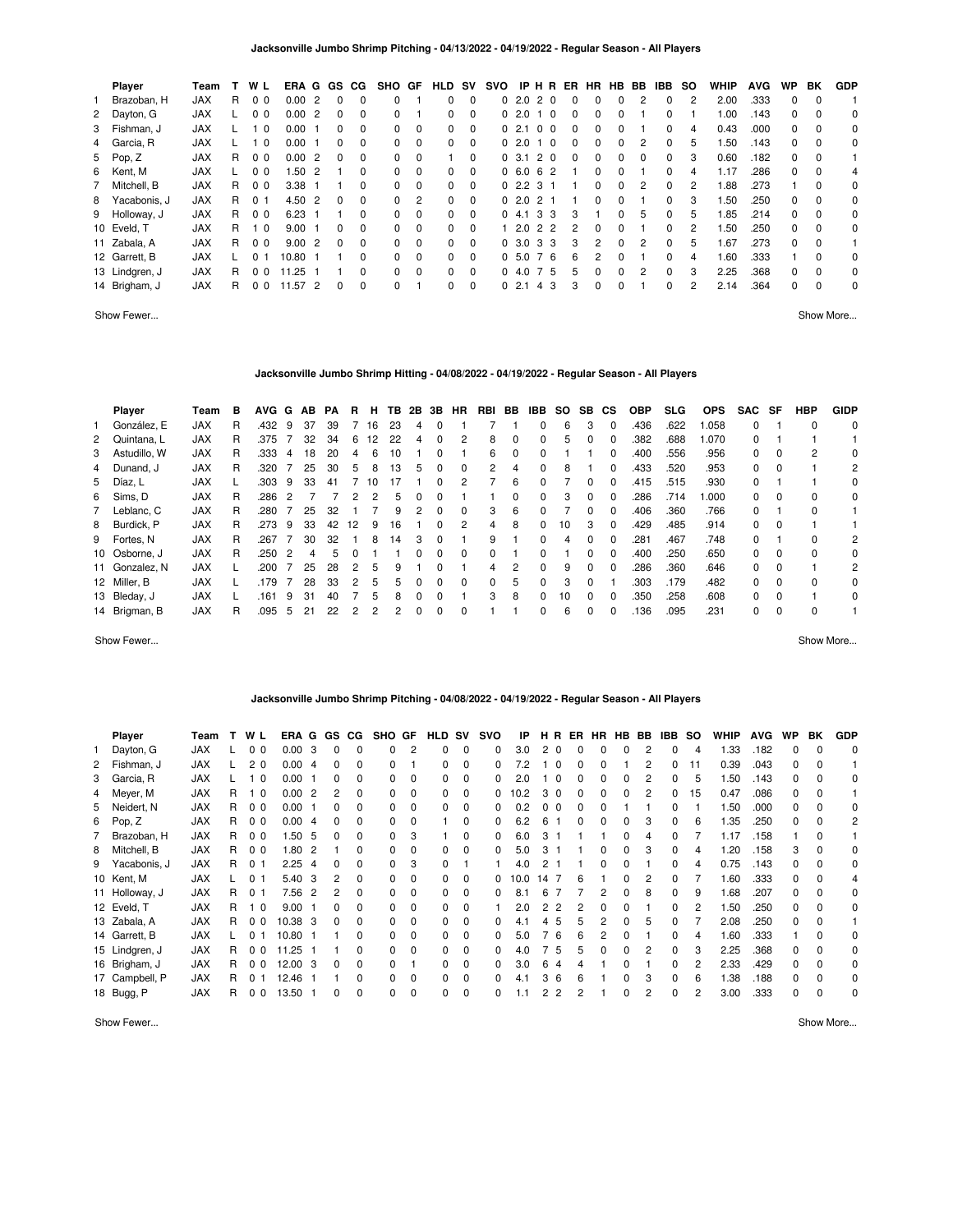| Player         | Team       |    | W L            | ERA G    |                | GS.      | CG.      | <b>SHO</b> | GF       | HLD          | sv       | <b>SVO</b> |        | IP H R         | ER | HR       | HB.      | BB           | <b>IBB</b> | so | <b>WHIP</b> | <b>AVG</b> | <b>WP</b> | BK       | <b>GDP</b> |
|----------------|------------|----|----------------|----------|----------------|----------|----------|------------|----------|--------------|----------|------------|--------|----------------|----|----------|----------|--------------|------------|----|-------------|------------|-----------|----------|------------|
| Brazoban, H    | <b>JAX</b> | R  | 0 <sub>0</sub> | 0.00     | $\overline{2}$ | $\Omega$ |          | $\Omega$   |          | 0            | $\Omega$ |            |        | 02.020         | 0  | $\Omega$ | 0        | 2            | $\Omega$   | 2  | 2.00        | .333       | $\Omega$  | $\Omega$ |            |
| 2 Dayton, G    | <b>JAX</b> |    | 0 <sub>0</sub> | 0.002    |                | $\Omega$ | $\Omega$ | $\Omega$   |          | 0            | $\Omega$ |            | 02.01  | ∣ 0            | 0  | $\Omega$ | $\Omega$ |              | $\Omega$   |    | 1.00        | .143       | $\Omega$  | $\Omega$ | 0          |
| 3 Fishman, J   | <b>JAX</b> |    | 1 <sub>0</sub> | 0.00     |                | $\Omega$ | $\Omega$ | $\Omega$   | $\Omega$ | <sup>0</sup> | $\Omega$ |            | 02.1   | 0 <sub>0</sub> | 0  | $\Omega$ | $\Omega$ |              | 0          | 4  | 0.43        | .000       | $\Omega$  | $\Omega$ | 0          |
| 4 Garcia, R    | <b>JAX</b> |    | 1 <sub>0</sub> | $0.00$ 1 |                | $\Omega$ | $\Omega$ | $\Omega$   | - 0      | $\Omega$     | $\Omega$ |            |        | 02.010         | 0  | $\Omega$ | $\Omega$ | 2            | $\Omega$   | 5  | 1.50        | .143       | $\Omega$  | $\Omega$ | 0          |
| 5 Pop, Z       | <b>JAX</b> | R  | 0 <sub>0</sub> | 0.002    |                | $\Omega$ | $\Omega$ | $\Omega$   | $\Omega$ |              | $\Omega$ |            | 0, 3.1 | 20             | 0  | $\Omega$ | $\Omega$ | <sup>0</sup> | $\Omega$   | 3  | 0.60        | .182       | $\Omega$  | $\Omega$ |            |
| 6 Kent, M      | <b>JAX</b> |    | 0 <sub>0</sub> | 1.502    |                |          | $\Omega$ | $\Omega$   | $\Omega$ | 0            | $\Omega$ |            |        | 06.062         |    | $\Omega$ | $\Omega$ |              | $\Omega$   | 4  | 1.17        | .286       | $\Omega$  | $\Omega$ | 4          |
| 7 Mitchell, B  | <b>JAX</b> | R  | 0 <sub>0</sub> | 3.38     |                |          | $\Omega$ | $\Omega$   | $\Omega$ | 0            | $\Omega$ |            |        | 02.231         |    | $\Omega$ | $\Omega$ | 2            | $\Omega$   | 2  | 1.88        | .273       |           | $\Omega$ | 0          |
| 8 Yacabonis, J | <b>JAX</b> | R  | 0 <sub>1</sub> | 4.50 2   |                | $\Omega$ | $\Omega$ | $\Omega$   | 2        | 0            | $\Omega$ |            | 02.0   | 2 1            |    | $\Omega$ | $\Omega$ |              | $\Omega$   | 3  | 1.50        | .250       | $\Omega$  | $\Omega$ | 0          |
| 9 Holloway, J  | <b>JAX</b> | R  | 0 <sub>0</sub> | 6.23     |                |          | $\Omega$ | $\Omega$   | $\Omega$ | $\Omega$     | $\Omega$ |            | 04.1   | 33             | 3  |          | $\Omega$ | 5            | $\Omega$   | 5  | 1.85        | .214       | $\Omega$  | $\Omega$ | 0          |
| 10 Eveld, T    | <b>JAX</b> | R  | 1 <sub>0</sub> | 9.00     |                | $\Omega$ | $\Omega$ | $\Omega$   | $\Omega$ | 0            | $\Omega$ |            |        | 1 2.0 2 2      | 2  | $\Omega$ | $\Omega$ |              | $\Omega$   | 2  | 1.50        | .250       | $\Omega$  | $\Omega$ | 0          |
| 11 Zabala, A   | <b>JAX</b> | R  | 0 <sub>0</sub> | 9.002    |                | $\Omega$ | $\Omega$ | $\Omega$   | $\Omega$ | $\Omega$     | $\Omega$ |            |        | 0, 3.0, 3, 3   | 3  | 2        | $\Omega$ | 2            | $\Omega$   | 5  | 1.67        | .273       | $\Omega$  | $\Omega$ |            |
| 12 Garrett, B  | <b>JAX</b> |    | 0 <sub>1</sub> | 10.80    |                |          | $\Omega$ | $\Omega$   | $\Omega$ | 0            | $\Omega$ |            | 0, 5.0 | 76             | 6  | 2        | $\Omega$ |              | $\Omega$   | 4  | 1.60        | .333       |           | $\Omega$ | 0          |
| 13 Lindgren, J | <b>JAX</b> | R. | 0 <sub>0</sub> | 11.25    |                |          | $\Omega$ | $\Omega$   | - 0      | 0            | $\Omega$ |            |        | 04.075         | 5  | $\Omega$ | $\Omega$ | 2            | $\Omega$   | 3  | 2.25        | .368       | $\Omega$  | $\Omega$ | $\Omega$   |
| 14 Brigham, J  | <b>JAX</b> | R. | 0 <sub>0</sub> | 11.57 2  |                | $\Omega$ | $\Omega$ | $\Omega$   |          | 0            | $\Omega$ |            | 02.1   | 4 3            | 3  | $\Omega$ | $\Omega$ |              | $\Omega$   | 2  | 2.14        | .364       | $\Omega$  | $\Omega$ | 0          |

Show Fewer... Show More...

# **Jacksonville Jumbo Shrimp Hitting - 04/08/2022 - 04/19/2022 - Regular Season - All Players**

| <b>Player</b>  | Team       | в | <b>AVG</b> | G | AB | РA | R  | н  | TB. | 2В           | 3В           | <b>HR</b> | RBI          | BB       | IBB.         | SO. | SB.          | <b>CS</b> | <b>OBP</b> | SLG. | <b>OPS</b> | <b>SAC</b> | SF       | HBP      | <b>GIDP</b>    |
|----------------|------------|---|------------|---|----|----|----|----|-----|--------------|--------------|-----------|--------------|----------|--------------|-----|--------------|-----------|------------|------|------------|------------|----------|----------|----------------|
| González. E    | <b>JAX</b> | R | .432       | 9 | 37 | 39 |    | 16 | 23  | 4            | $\Omega$     |           |              |          |              | 6   | 3            | $\Omega$  | .436       | .622 | .058       | $\Omega$   |          | $\Omega$ | 0              |
| 2 Quintana, L  | <b>JAX</b> | R | .375       |   | 32 | 34 | 6  | 12 | 22  | 4            |              | 2         | 8            | $\Omega$ |              | 5   | <sup>0</sup> | $\Omega$  | .382       | .688 | .070       | $\Omega$   |          |          |                |
| 3 Astudillo, W | <b>JAX</b> | R | .333       | 4 | 18 | 20 |    | 6  | 10  |              |              |           | 6            | $\Omega$ |              |     |              | $\Omega$  | .400       | .556 | .956       | $\Omega$   | $\Omega$ | 2        | 0              |
| 4 Dunand, J    | <b>JAX</b> | R | .320       |   | 25 | 30 | 5  | 8  | 13  | 5.           | $\Omega$     | $\Omega$  | 2            | 4        | 0            | 8   |              | $\Omega$  | .433       | .520 | .953       | $\Omega$   | $\Omega$ |          | 2              |
| 5 Díaz, L      | <b>JAX</b> |   | .303       | 9 | 33 | 41 |    | 10 | 17  |              |              | 2         |              | 6        |              |     | $\Omega$     | $\Omega$  | .415       | .515 | .930       | $\Omega$   |          |          | 0              |
| 6 Sims, D      | <b>JAX</b> | R | .286       | 2 |    |    | 2  | 2  | 5.  | $\Omega$     | $\Omega$     |           |              | 0        | 0            | 3   | $\Omega$     | $\Omega$  | .286       | .714 | .000       | $\Omega$   | $\Omega$ | $\Omega$ | 0              |
| 7 Leblanc, C   | <b>JAX</b> | R | .280       |   | 25 | 32 |    |    |     |              |              | 0         | 3            | 6        |              |     | $\Omega$     | $\Omega$  | .406       | .360 | .766       | $\Omega$   |          | $\Omega$ |                |
| 8 Burdick, P   | <b>JAX</b> | R | .273       | 9 | 33 | 42 | 12 | 9  | 16  |              | <sup>n</sup> | 2         | 4            | 8        | 0            | 10  | 3            | $\Omega$  | .429       | .485 | .914       | $\Omega$   | $\Omega$ |          |                |
| 9 Fortes, N    | <b>JAX</b> | R | .267       |   | 30 | 32 |    | 8  | 14  | 3            |              |           | 9            |          |              | 4   |              |           | .281       | .467 | .748       | $\Omega$   |          | 0        | 2              |
| 10 Osborne, J  | <b>JAX</b> | R | 250        | 2 | 4  | 5  |    |    |     | n.           |              | $\Omega$  | <sup>0</sup> |          |              |     | <sup>0</sup> | $\Omega$  | .400       | .250 | .650       | $\Omega$   | $\Omega$ | $\Omega$ | 0              |
| 11 Gonzalez, N | <b>JAX</b> |   | .200       |   | 25 | 28 |    | 5  | 9   |              |              |           | 4            | 2        |              | 9   |              |           | .286       | .360 | .646       | $\Omega$   | $\Omega$ |          | $\overline{2}$ |
| 12 Miller, B   | <b>JAX</b> |   | .179       |   | 28 | 33 |    | 5  | 5.  | <sup>0</sup> | $\Omega$     | $\Omega$  | $\Omega$     | 5        | <sup>0</sup> | 3   | $\Omega$     |           | .303       | .179 | .482       | $\Omega$   | $\Omega$ | $\Omega$ | 0              |
| 13 Bleday, J   | <b>JAX</b> |   | .161       | 9 | 31 | 40 |    | 5  | 8   | $\Omega$     | $\Omega$     |           | 3            | 8        |              | 10  | <sup>0</sup> | $\Omega$  | .350       | .258 | .608       | $\Omega$   | $\Omega$ |          | $\Omega$       |
| 14 Brigman, B  | <b>JAX</b> | R | .095       | 5 | 21 | 22 |    |    |     | 0            | $\Omega$     | 0         |              |          | 0            | 6   | $\Omega$     | 0         | .136       | .095 | .231       | $\Omega$   | $\Omega$ | $\Omega$ |                |

Show Fewer... Show More...

#### **Jacksonville Jumbo Shrimp Pitching - 04/08/2022 - 04/19/2022 - Regular Season - All Players**

| Player         | Team       |    | W L                     | ERA G GS |                |              | CG.          | SHO          | GF       | <b>HLD</b> | sv       | svo      | IP        | HR.                             | ER.      | HR.          | HB BB |   | <b>IBB</b>   | <b>SO</b> | <b>WHIP</b> | <b>AVG</b> | WP | BK           | <b>GDP</b> |
|----------------|------------|----|-------------------------|----------|----------------|--------------|--------------|--------------|----------|------------|----------|----------|-----------|---------------------------------|----------|--------------|-------|---|--------------|-----------|-------------|------------|----|--------------|------------|
| Dayton, G      | <b>JAX</b> |    | 0 <sub>0</sub>          | 0.00     | 3              | 0            | 0            | 0            | 2        | 0          | 0        | $\Omega$ | 3.0       | 2 <sub>0</sub>                  | $\Omega$ | $\Omega$     | 0     | 2 | $\Omega$     | 4         | .33         | .182       | 0  |              | 0          |
| 2 Fishman, J   | <b>JAX</b> |    | 2 <sub>0</sub>          | 0.00     | $\overline{4}$ | 0            | 0            | 0            |          | 0          | 0        | $\Omega$ | 7.2       | $\Omega$                        | 0        |              |       | 2 | 0            | 11        | 0.39        | .043       | 0  |              |            |
| 3 Garcia, R    | <b>JAX</b> |    | $\Omega$                | 0.00     |                | 0            | 0            | O.           | $\Omega$ | 0          | 0        | 0        | 2.0       | - 0                             | 0        |              | 0     | 2 | 0            | 5         | 1.50        | .143       | 0  |              | 0          |
| 4 Meyer, M     | <b>JAX</b> | R. | 0                       | 0.00     | -2             | 2            | 0            | <sup>o</sup> | $\Omega$ | 0          | $\Omega$ | 0        | 10.2      | 3 0                             | 0        | <sup>0</sup> | 0     | 2 | $\Omega$     | 15        | 0.47        | .086       | 0  | $\Omega$     |            |
| 5 Neidert, N   | JAX        | R  | 0 <sub>0</sub>          | 0.00     |                |              | 0            | <sup>o</sup> | 0        | 0          | 0        | 0        | 0.2       | 0 <sub>0</sub>                  | 0        |              |       |   | $\Omega$     |           | 1.50        | .000       | 0  | <sup>0</sup> | 0          |
| 6 Pop, Z       | <b>JAX</b> | R  | 0 <sub>0</sub>          | 0.00     | -4             | 0            | 0            | O.           | $\Omega$ |            | 0        | $\Omega$ | 6.2       | 6                               | 0        | 0            | 0     | 3 | $\Omega$     | 6         | 1.35        | .250       | 0  | $\Omega$     | 2          |
| 7 Brazoban, H  | JAX        | R  | 0 <sub>0</sub>          | 1.50     | -5             | 0            | 0            | 0            | 3        |            | 0        | 0        | 6.0       | 3                               |          |              | 0     | 4 | 0            |           | 1.17        | .158       |    |              |            |
| 8 Mitchell, B  | <b>JAX</b> | R  | 0 <sub>0</sub>          | 1.80     | $\overline{2}$ |              | 0            | O.           | $\Omega$ | 0          | 0        | 0        | 5.0       | 3                               |          | 0            | 0     | 3 | 0            | 4         | 1.20        | .158       | 3  |              | 0          |
| 9 Yacabonis, J | JAX        | R  | 01                      | 2.25     | -4             | 0            | 0            | 0            | 3        | 0          |          |          | 4.0       | 2                               |          |              | ი     |   | 0            | 4         | 0.75        | .143       | 0  |              | 0          |
| 10 Kent, M     | <b>JAX</b> |    | 0 <sub>1</sub>          | 5.40     | 3              | 2            | 0            | 0            | $\Omega$ | 0          | 0        | 0        | 10.0      | 14                              | 6        |              | 0     | 2 | 0            |           | 1.60        | .333       | 0  |              |            |
| 11 Holloway, J | JAX        | R  | 0 <sub>1</sub>          | 7.56     | $\overline{2}$ |              | 0            | 0            | $\Omega$ | 0          | 0        | 0        | 8.1       | 6                               |          |              | 0     | 8 | 0            | 9         | 1.68        | .207       | 0  |              | 0          |
| 12 Eveld, T    | <b>JAX</b> | R  | $\overline{\mathbf{0}}$ | 9.00     |                |              | 0            | <sup>o</sup> | 0        | 0          | 0        |          | 2.0       | $\overline{2}$<br>$\mathcal{P}$ |          |              | ი     |   | 0            | 2         | .50         | .250       | 0  |              | 0          |
| 13 Zabala, A   | <b>JAX</b> | R  | 0 <sub>0</sub>          | 10.38    | - 3            | <sup>0</sup> | 0            | 0            | $\Omega$ | 0          |          | 0        | 4.1       | 5<br>4                          | 5        |              | 0     | 5 | <sup>0</sup> |           | 2.08        | .250       | 0  |              |            |
| 14 Garrett, B  | <b>JAX</b> |    | 0 <sub>1</sub>          | 10.80    |                |              | 0            | 0            | $\Omega$ | 0          |          | 0        | 5.0       | 6                               | 6        |              | ი     |   | <sup>0</sup> | 4         | 1.60        | .333       |    |              | 0          |
| 15 Lindgren, J | <b>JAX</b> | R. | 0 <sub>0</sub>          | 11.25    |                |              | <sup>0</sup> | 0            | $\Omega$ | 0          |          | 0        | 4.0       | 5                               | ҕ        |              | n     | 2 | <sup>0</sup> | 3         | 2.25        | .368       | 0  |              | 0          |
| 16 Brigham, J  | <b>JAX</b> | R  | 0 <sub>0</sub>          | 12.00    | -3             |              | 0            | O.           |          | 0          | ŋ        | 0        | 3.0       | 6                               |          |              | ი     |   | <sup>0</sup> | 2         | 2.33        | .429       | 0  |              | 0          |
| 17 Campbell, P | <b>JAX</b> | R  | $\Omega$                | 12.46    |                |              | <sup>0</sup> | n.           | $\Omega$ | 0          | ŋ        | 0        | 4.1       | 3                               | 6        |              | n     | 3 | <sup>0</sup> | 6         | .38         | .188       | 0  |              | 0          |
| 18 Bugg, P     | <b>JAX</b> | R  | 0 <sub>0</sub>          | 13.50    |                |              | 0            | 0            | $\Omega$ | 0          | 0        | 0        | $\cdot$ 1 | 2<br>2                          |          |              | 0     | 2 | 0            | 2         | 3.00        | .333       | 0  |              | 0          |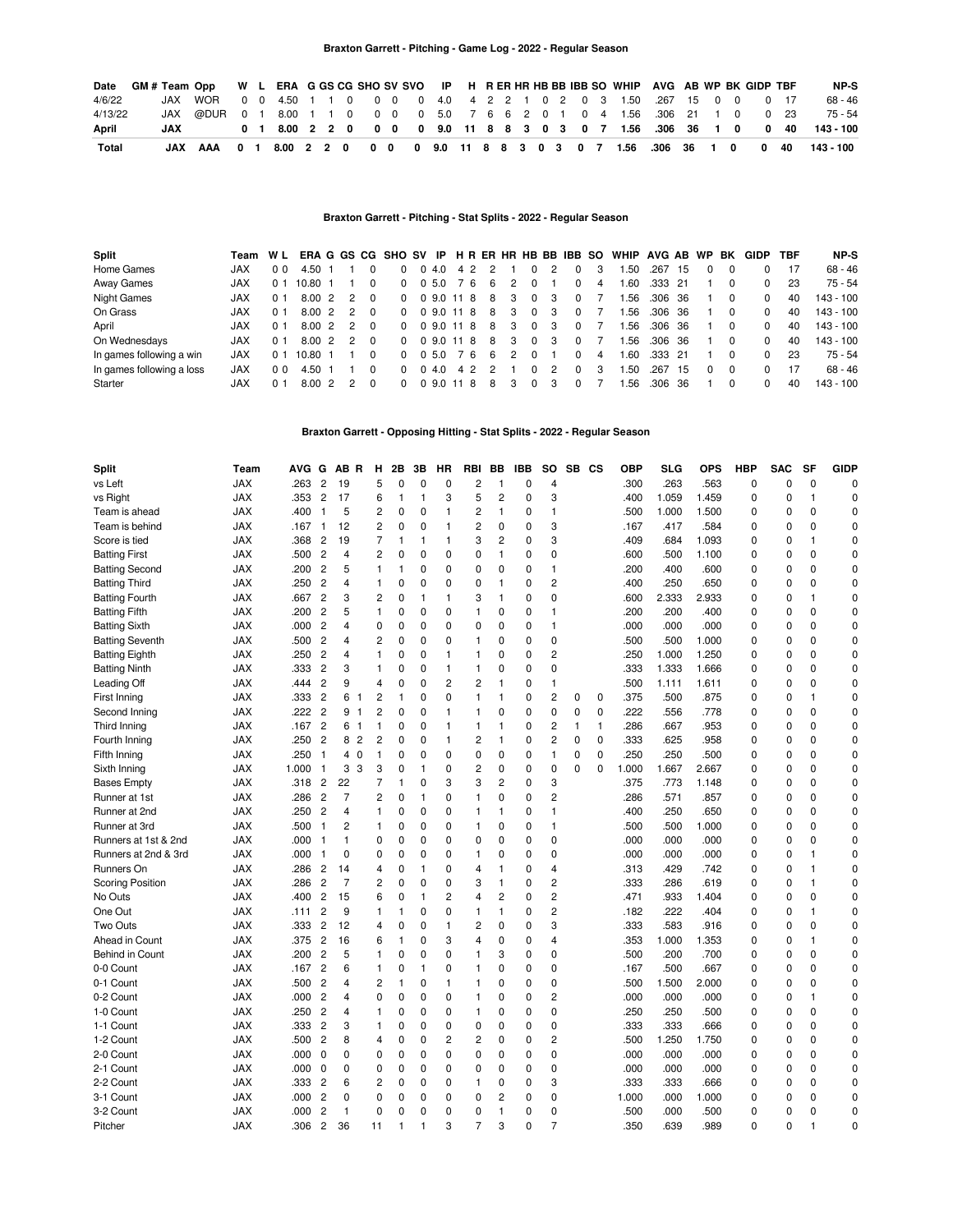| Date    |     | GM#Team Opp W L ERA G GS CG SHO SV SVO IP H R ER HR HB BB IBB SO WHIP AVG AB WP BK GIDP TBF                                |  |  |  |  |  |  |  |  |  |  |  |  | NP-S                                                                      |
|---------|-----|----------------------------------------------------------------------------------------------------------------------------|--|--|--|--|--|--|--|--|--|--|--|--|---------------------------------------------------------------------------|
| 4/6/22  |     | JAX WOR        0   0   4.50   1   1   0   0   0   0   4.0   4   2   2   1   0   2   0   3   1.50   267  15   0   0   0  17 |  |  |  |  |  |  |  |  |  |  |  |  | $68 - 46$                                                                 |
| 4/13/22 |     | JAX @DUR 0 1 8.00 1 1 0 0 0 0 5.0 7 6 6 2 0 1 0 4 1.56 .306 21 1 0 0 23                                                    |  |  |  |  |  |  |  |  |  |  |  |  | 75 - 54                                                                   |
| April   | JAX |                                                                                                                            |  |  |  |  |  |  |  |  |  |  |  |  | 0 1 8.00 2 2 0 0 0 0 9.0 11 8 8 3 0 3 0 7 1.56 .306 36 1 0 0 40 143 - 100 |
| Total   |     | JAX AAA 0 1                                                                                                                |  |  |  |  |  |  |  |  |  |  |  |  | 8.00 2 2 0 0 0 0 9.0 11 8 8 3 0 3 0 7 1.56 .306 36 1 0 0 40 143-100       |

#### **Braxton Garrett - Pitching - Stat Splits - 2022 - Regular Season**

| <b>Split</b>              | Team WL ERA G GS CG SHO SV IP H R ER HR HB BB IBB SO |     |                    |               |          |              |            |     |    |   |          |    |          |   | WHIP AVG AB WP BK |         |      |          | <b>GIDP</b>  | TBF | NP-S      |
|---------------------------|------------------------------------------------------|-----|--------------------|---------------|----------|--------------|------------|-----|----|---|----------|----|----------|---|-------------------|---------|------|----------|--------------|-----|-----------|
| Home Games                | <b>JAX</b>                                           | 00  | 4.50               |               |          |              | 04.0       | 4 2 |    |   |          |    | $\Omega$ | 3 | .50               | .267    | 15   |          |              | 17  | $68 - 46$ |
| Away Games                | <b>JAX</b>                                           | 0 1 | 10.80              |               |          | 0            | 0 5.0      | 76  | 6  | 2 |          |    | $\Omega$ | 4 | .60               | .333    | -21  |          | 0            | 23  | $75 - 54$ |
| Night Games               | <b>JAX</b>                                           | 0 1 | 8.002              | $\mathcal{P}$ |          | 0            | 0 9.0 11 8 |     | 8  | 3 | 0        | -3 | $\Omega$ |   | .56               | .306    | -36  | $\Omega$ | 0            | 40  | 143 - 100 |
| On Grass                  | <b>JAX</b>                                           | 0 1 | 8.00 2             | $\mathcal{P}$ | $\Omega$ | $\Omega$     | 0 9.0 11 8 |     | 8  | 3 | $\Omega$ | 3  | $\Omega$ |   | 56. ا             | .306 36 |      | $\Omega$ | 0            | 40  | 143 - 100 |
| April                     | <b>JAX</b>                                           | 0 1 | 8.00 2             | $\mathcal{P}$ |          | $\Omega$     | 0 9.0 11 8 |     | 8  | 3 | 0        | 3  | $\Omega$ |   | .56               | .306    | -36  |          | <sup>0</sup> | 40  | 143 - 100 |
| On Wednesdays             | <b>JAX</b>                                           | 0 1 | $8.00\text{ }2$    | $\mathcal{P}$ |          | <sup>0</sup> | 0 9.0 11 8 |     | 8  | 3 | 0        | 3  | $\Omega$ |   | .56               | .306    | -36  | 0        | 0            | 40  | 143 - 100 |
| In games following a win  | <b>JAX</b>                                           | 0 1 | $10.80 \text{ } 1$ |               |          | <sup>0</sup> | 0 5.0      | 76  | -6 | 2 | 0        |    | $\Omega$ | 4 | .60               | .333    | - 21 | $\Omega$ | 0            | 23  | 75 - 54   |
| In games following a loss | <b>JAX</b>                                           | 00  | 4.50               |               |          | <sup>0</sup> | 0.4.0      | 4 2 | 2  |   | O.       | 2  | $\Omega$ | 3 | 50. ا             | .267    | -15  | $\Omega$ | <sup>0</sup> | 17  | 68 - 46   |
| Starter                   | JAX                                                  |     | 8.002              |               |          | 0            | 09.0       | 118 | 8  |   | 0        |    | $\Omega$ |   | .56               | .306    | -36  | 0        | <sup>0</sup> | 40  | 143 - 100 |

**Braxton Garrett - Opposing Hitting - Stat Splits - 2022 - Regular Season**

| Split                   | Team       | AVG G |                | AB R           | н                                | 2B           | 3B           | ΗR             | <b>RBI</b>     | BB             | <b>IBB</b>  | SO.            | SB CS        |              | <b>OBP</b> | <b>SLG</b> | <b>OPS</b> | <b>HBP</b> | <b>SAC</b>  | <b>SF</b>      | <b>GIDP</b> |
|-------------------------|------------|-------|----------------|----------------|----------------------------------|--------------|--------------|----------------|----------------|----------------|-------------|----------------|--------------|--------------|------------|------------|------------|------------|-------------|----------------|-------------|
| vs Left                 | <b>JAX</b> | .263  | $\overline{c}$ | 19             | 5                                | $\mathbf 0$  | 0            | $\mathbf 0$    | $\overline{c}$ | $\mathbf{1}$   | 0           | 4              |              |              | .300       | .263       | .563       | 0          | $\mathbf 0$ | $\mathbf 0$    | $\Omega$    |
| vs Right                | <b>JAX</b> | .353  | $\overline{c}$ | 17             | 6                                | $\mathbf{1}$ | 1            | 3              | 5              | $\overline{c}$ | $\Omega$    | 3              |              |              | .400       | 1.059      | 1.459      | $\Omega$   | $\mathbf 0$ | $\mathbf{1}$   | $\Omega$    |
| Team is ahead           | <b>JAX</b> | .400  | 1              | 5              | $\overline{c}$                   | $\mathbf 0$  | $\Omega$     | $\mathbf{1}$   | $\overline{c}$ | $\mathbf{1}$   | 0           | $\mathbf{1}$   |              |              | .500       | 1.000      | 1.500      | 0          | $\mathbf 0$ | $\Omega$       | $\Omega$    |
| Team is behind          | <b>JAX</b> | .167  | -1             | 12             | $\overline{c}$                   | $\mathbf 0$  | 0            | $\overline{1}$ | $\overline{c}$ | 0              | 0           | 3              |              |              | .167       | .417       | .584       | 0          | $\Omega$    | $\Omega$       | $\Omega$    |
| Score is tied           | <b>JAX</b> | .368  | $\overline{c}$ | 19             | $\overline{7}$                   | 1            | 1            | $\overline{1}$ | 3              | 2              | $\Omega$    | 3              |              |              | .409       | .684       | 1.093      | $\Omega$   | $\mathbf 0$ | $\mathbf{1}$   | 0           |
| <b>Batting First</b>    | <b>JAX</b> | .500  | $\overline{c}$ | $\overline{4}$ | $\overline{c}$                   | $\mathbf 0$  | 0            | 0              | 0              | 1              | 0           | 0              |              |              | .600       | .500       | 1.100      | 0          | 0           | $\mathbf 0$    | 0           |
| <b>Batting Second</b>   | <b>JAX</b> | .200  | $\overline{c}$ | 5              | 1                                | $\mathbf{1}$ | 0            | 0              | $\mathbf 0$    | 0              | 0           | 1              |              |              | .200       | .400       | .600       | 0          | $\mathbf 0$ | $\Omega$       | $\mathbf 0$ |
| <b>Batting Third</b>    | <b>JAX</b> | .250  | $\overline{c}$ | 4              | 1                                | $\mathbf 0$  | 0            | 0              | $\mathbf 0$    | 1              | 0           | $\overline{c}$ |              |              | .400       | .250       | .650       | 0          | $\mathbf 0$ | $\mathbf 0$    | 0           |
| <b>Batting Fourth</b>   | <b>JAX</b> | .667  | $\overline{c}$ | 3              | 2                                | 0            | 1            | $\mathbf{1}$   | 3              | 1              | 0           | 0              |              |              | .600       | 2.333      | 2.933      | 0          | $\mathbf 0$ | $\mathbf{1}$   | $\Omega$    |
| <b>Batting Fifth</b>    | <b>JAX</b> | .200  | $\overline{c}$ | 5              | $\mathbf{1}$                     | $\mathbf 0$  | $\Omega$     | 0              | $\mathbf{1}$   | 0              | 0           | 1              |              |              | .200       | .200       | .400       | 0          | 0           | $\Omega$       | $\mathbf 0$ |
| <b>Batting Sixth</b>    | <b>JAX</b> | .000  | $\overline{c}$ | 4              | 0                                | 0            | 0            | 0              | 0              | 0              | 0           | 1              |              |              | .000       | .000       | .000       | 0          | 0           | $\mathbf 0$    | 0           |
| <b>Batting Seventh</b>  | <b>JAX</b> | .500  | $\overline{2}$ | 4              | 2                                | 0            | 0            | $\mathbf 0$    | 1              | 0              | 0           | 0              |              |              | .500       | .500       | 1.000      | 0          | $\mathbf 0$ | $\mathbf 0$    | $\mathbf 0$ |
| <b>Batting Eighth</b>   | <b>JAX</b> | .250  | $\overline{c}$ | 4              | 1                                | 0            | 0            | $\mathbf{1}$   | 1              | 0              | 0           | $\overline{c}$ |              |              | .250       | 1.000      | 1.250      | 0          | 0           | $\mathbf 0$    | 0           |
| <b>Batting Ninth</b>    | <b>JAX</b> | .333  | $\overline{2}$ | 3              | 1                                | 0            | 0            | $\mathbf{1}$   | 1              | 0              | 0           | 0              |              |              | .333       | 1.333      | 1.666      | 0          | 0           | $\mathbf 0$    | 0           |
| Leading Off             | <b>JAX</b> | .444  | $\overline{c}$ | 9              | 4                                | $\mathbf 0$  | $\Omega$     | $\overline{c}$ | $\overline{c}$ | 1              | 0           | 1              |              |              | .500       | 1.111      | 1.611      | 0          | $\mathbf 0$ | $\Omega$       | $\mathbf 0$ |
| First Inning            | <b>JAX</b> | .333  | $\overline{c}$ | 6              | $\overline{c}$<br>$\mathbf{1}$   | $\mathbf{1}$ | 0            | $\mathbf 0$    | 1              | 1              | 0           | 2              | $\mathbf 0$  | $\pmb{0}$    | 375        | .500       | .875       | 0          | $\mathbf 0$ | $\mathbf{1}$   | 0           |
| Second Inning           | <b>JAX</b> | .222  | $\overline{c}$ | 9              | $\overline{c}$<br>$\mathbf{1}$   | $\mathbf 0$  | 0            | $\mathbf{1}$   | $\mathbf{1}$   | 0              | 0           | 0              | $\mathbf 0$  | $\pmb{0}$    | .222       | .556       | .778       | 0          | $\mathbf 0$ | $\mathbf 0$    | $\mathbf 0$ |
| Third Inning            | <b>JAX</b> | .167  | $\overline{c}$ | 6              | $\mathbf{1}$<br>$\overline{1}$   | 0            | 0            | $\mathbf{1}$   | $\mathbf{1}$   | 1              | 0           | $\overline{c}$ | $\mathbf{1}$ | $\mathbf{1}$ | 286        | .667       | .953       | 0          | $\mathbf 0$ | $\mathbf 0$    | $\mathbf 0$ |
| Fourth Inning           | <b>JAX</b> | .250  | $\overline{c}$ | 8              | $\overline{c}$<br>$\overline{c}$ | 0            | 0            | $\mathbf{1}$   | $\overline{c}$ | 1              | 0           | $\overline{c}$ | $\mathbf 0$  | $\mathbf 0$  | .333       | .625       | .958       | 0          | $\mathbf 0$ | $\mathbf 0$    | $\mathbf 0$ |
| Fifth Inning            | <b>JAX</b> | .250  | $\overline{1}$ | 4              | $\mathbf{1}$<br>$\mathbf 0$      | $\mathbf 0$  | $\Omega$     | $\mathbf 0$    | $\mathbf 0$    | 0              | 0           | $\mathbf{1}$   | $\mathbf 0$  | $\mathbf 0$  | .250       | .250       | .500       | 0          | $\mathbf 0$ | $\mathbf 0$    | $\mathbf 0$ |
| Sixth Inning            | <b>JAX</b> | 1.000 | $\overline{1}$ | 3              | 3<br>3                           | $\mathbf 0$  | 1            | $\mathbf 0$    | $\overline{c}$ | $\mathbf 0$    | 0           | 0              | $\mathbf{0}$ | 0            | 1.000      | 1.667      | 2.667      | 0          | 0           | $\mathbf 0$    | $\mathbf 0$ |
| <b>Bases Empty</b>      | <b>JAX</b> | .318  | $\overline{c}$ | 22             | $\overline{7}$                   | $\mathbf{1}$ | 0            | 3              | 3              | 2              | 0           | 3              |              |              | .375       | .773       | 1.148      | 0          | 0           | $\mathbf 0$    | 0           |
| Runner at 1st           | <b>JAX</b> | .286  | $\overline{c}$ | $\overline{7}$ | $\overline{c}$                   | $\mathbf 0$  | 1            | 0              | $\mathbf{1}$   | 0              | 0           | $\overline{c}$ |              |              | .286       | .571       | .857       | 0          | $\mathbf 0$ | $\mathbf 0$    | $\mathbf 0$ |
| Runner at 2nd           | <b>JAX</b> | .250  | $\overline{c}$ | 4              | 1                                | 0            | 0            | $\mathbf 0$    | $\mathbf{1}$   | 1              | 0           | $\mathbf{1}$   |              |              | .400       | .250       | .650       | 0          | $\mathbf 0$ | $\mathbf 0$    | $\mathbf 0$ |
| Runner at 3rd           | <b>JAX</b> | .500  | $\mathbf{1}$   | 2              | 1                                | 0            | 0            | 0              | 1              | 0              | 0           | 1              |              |              | .500       | .500       | 1.000      | 0          | 0           | $\mathbf 0$    | $\mathbf 0$ |
| Runners at 1st & 2nd    | <b>JAX</b> | .000  | $\overline{1}$ | 1              | $\mathbf 0$                      | 0            | $\Omega$     | 0              | $\mathbf 0$    | $\Omega$       | $\Omega$    | 0              |              |              | .000       | .000       | .000       | $\Omega$   | $\Omega$    | $\Omega$       | $\Omega$    |
| Runners at 2nd & 3rd    | <b>JAX</b> | .000  | $\overline{1}$ | 0              | $\Omega$                         | $\mathbf 0$  | $\Omega$     | $\Omega$       | 1              | $\Omega$       | 0           | $\Omega$       |              |              | .000       | .000       | .000       | 0          | $\mathbf 0$ | $\mathbf{1}$   | $\Omega$    |
| Runners On              | <b>JAX</b> | .286  | $\overline{c}$ | 14             | 4                                | 0            | $\mathbf{1}$ | 0              | 4              | 1              | $\Omega$    | 4              |              |              | .313       | .429       | .742       | $\Omega$   | $\mathbf 0$ | $\mathbf{1}$   | 0           |
| <b>Scoring Position</b> | <b>JAX</b> | .286  | $\overline{2}$ | $\overline{7}$ | 2                                | $\mathbf 0$  | $\Omega$     | $\mathbf 0$    | 3              | $\mathbf{1}$   | $\mathbf 0$ | $\overline{c}$ |              |              | .333       | .286       | .619       | 0          | $\mathbf 0$ | $\mathbf{1}$   | $\mathbf 0$ |
| No Outs                 | <b>JAX</b> | .400  | $\overline{c}$ | 15             | 6                                | $\Omega$     | 1            | $\overline{2}$ | $\overline{4}$ | 2              | 0           | $\overline{c}$ |              |              | .471       | .933       | 1.404      | 0          | $\mathbf 0$ | $\Omega$       | $\mathbf 0$ |
| One Out                 | <b>JAX</b> | .111  | $\overline{c}$ | 9              | 1                                | $\mathbf{1}$ | $\Omega$     | 0              | 1              | $\mathbf{1}$   | $\Omega$    | $\overline{c}$ |              |              | .182       | .222       | .404       | $\Omega$   | $\Omega$    | $\mathbf{1}$   | $\Omega$    |
| Two Outs                | <b>JAX</b> | .333  | $\overline{c}$ | 12             | 4                                | $\mathbf 0$  | $\Omega$     | $\mathbf{1}$   | $\overline{c}$ | 0              | 0           | 3              |              |              | .333       | .583       | .916       | 0          | $\mathbf 0$ | $\Omega$       | $\Omega$    |
| Ahead in Count          | <b>JAX</b> | .375  | $\overline{c}$ | 16             | 6                                | $\mathbf{1}$ | 0            | 3              | 4              | 0              | 0           | 4              |              |              | .353       | 1.000      | 1.353      | 0          | 0           | $\mathbf{1}$   | 0           |
| <b>Behind in Count</b>  | <b>JAX</b> | .200  | $\overline{c}$ | 5              | 1                                | 0            | 0            | $\mathbf 0$    | 1              | 3              | 0           | 0              |              |              | .500       | .200       | .700       | 0          | $\mathbf 0$ | $\Omega$       | 0           |
| 0-0 Count               | <b>JAX</b> | .167  | $\overline{2}$ | 6              | 1                                | 0            | 1            | 0              | 1              | 0              | 0           | 0              |              |              | .167       | .500       | .667       | 0          | 0           | $\mathbf 0$    | $\mathbf 0$ |
| 0-1 Count               | <b>JAX</b> | .500  | $\overline{c}$ | 4              | 2                                | $\mathbf{1}$ | 0            | $\mathbf{1}$   | 1              | 0              | 0           | 0              |              |              | .500       | 1.500      | 2.000      | 0          | $\mathbf 0$ | $\Omega$       | $\mathbf 0$ |
| 0-2 Count               | <b>JAX</b> | .000  | $\overline{c}$ | 4              | 0                                | 0            | 0            | $\mathbf 0$    | 1              | $\Omega$       | 0           | $\overline{c}$ |              |              | .000       | .000       | .000       | 0          | 0           | $\mathbf{1}$   | $\Omega$    |
| 1-0 Count               | <b>JAX</b> | .250  | $\overline{c}$ | 4              | 1                                | 0            | 0            | 0              | 1              | 0              | 0           | 0              |              |              | .250       | .250       | .500       | 0          | 0           | $\mathbf 0$    | 0           |
| 1-1 Count               | <b>JAX</b> | .333  | $\overline{c}$ | 3              | 1                                | 0            | 0            | $\mathbf 0$    | 0              | 0              | 0           | 0              |              |              | .333       | .333       | .666       | 0          | 0           | $\mathbf 0$    | $\mathbf 0$ |
| 1-2 Count               | <b>JAX</b> | .500  | $\overline{c}$ | 8              | 4                                | $\mathbf 0$  | 0            | $\overline{c}$ | $\overline{c}$ | 0              | 0           | $\overline{c}$ |              |              | .500       | 1.250      | 1.750      | 0          | $\mathbf 0$ | $\mathbf 0$    | $\mathbf 0$ |
| 2-0 Count               | <b>JAX</b> | .000  | 0              | 0              | $\mathbf 0$                      | $\mathbf 0$  | 0            | $\mathbf 0$    | $\mathbf 0$    | 0              | $\mathbf 0$ | 0              |              |              | .000       | .000       | .000       | 0          | $\mathbf 0$ | $\mathbf 0$    | $\mathbf 0$ |
| 2-1 Count               | <b>JAX</b> | .000  | 0              | $\Omega$       | $\mathbf 0$                      | $\mathbf 0$  | $\Omega$     | $\mathbf 0$    | $\mathbf 0$    | $\Omega$       | 0           | 0              |              |              | .000       | .000       | .000       | 0          | 0           | $\mathbf 0$    | $\mathbf 0$ |
| 2-2 Count               | <b>JAX</b> | .333  | $\overline{c}$ | 6              | 2                                | 0            | 0            | 0              | 1              | 0              | 0           | 3              |              |              | .333       | .333       | .666       | 0          | $\mathbf 0$ | $\mathbf 0$    | $\mathbf 0$ |
| 3-1 Count               | JAX        | .000  | $\overline{c}$ | 0              | $\mathbf 0$                      | $\mathbf 0$  | 0            | $\mathbf 0$    | 0              | $\overline{c}$ | $\mathbf 0$ | 0              |              |              | 1.000      | .000       | 1.000      | 0          | 0           | $\mathbf 0$    | $\mathbf 0$ |
| 3-2 Count               | <b>JAX</b> | .000  | $\overline{c}$ | $\mathbf{1}$   | 0                                | $\mathbf 0$  | 0            | 0              | 0              | 1              | 0           | 0              |              |              | .500       | .000       | .500       | 0          | 0           | $\mathbf 0$    | $\mathbf 0$ |
| Pitcher                 | <b>JAX</b> | .306  | $\overline{c}$ | 36             | 11                               | $\mathbf{1}$ | 1            | 3              | $\overline{7}$ | 3              | $\Omega$    | 7              |              |              | .350       | .639       | 989        | $\Omega$   | 0           | $\overline{1}$ | $\Omega$    |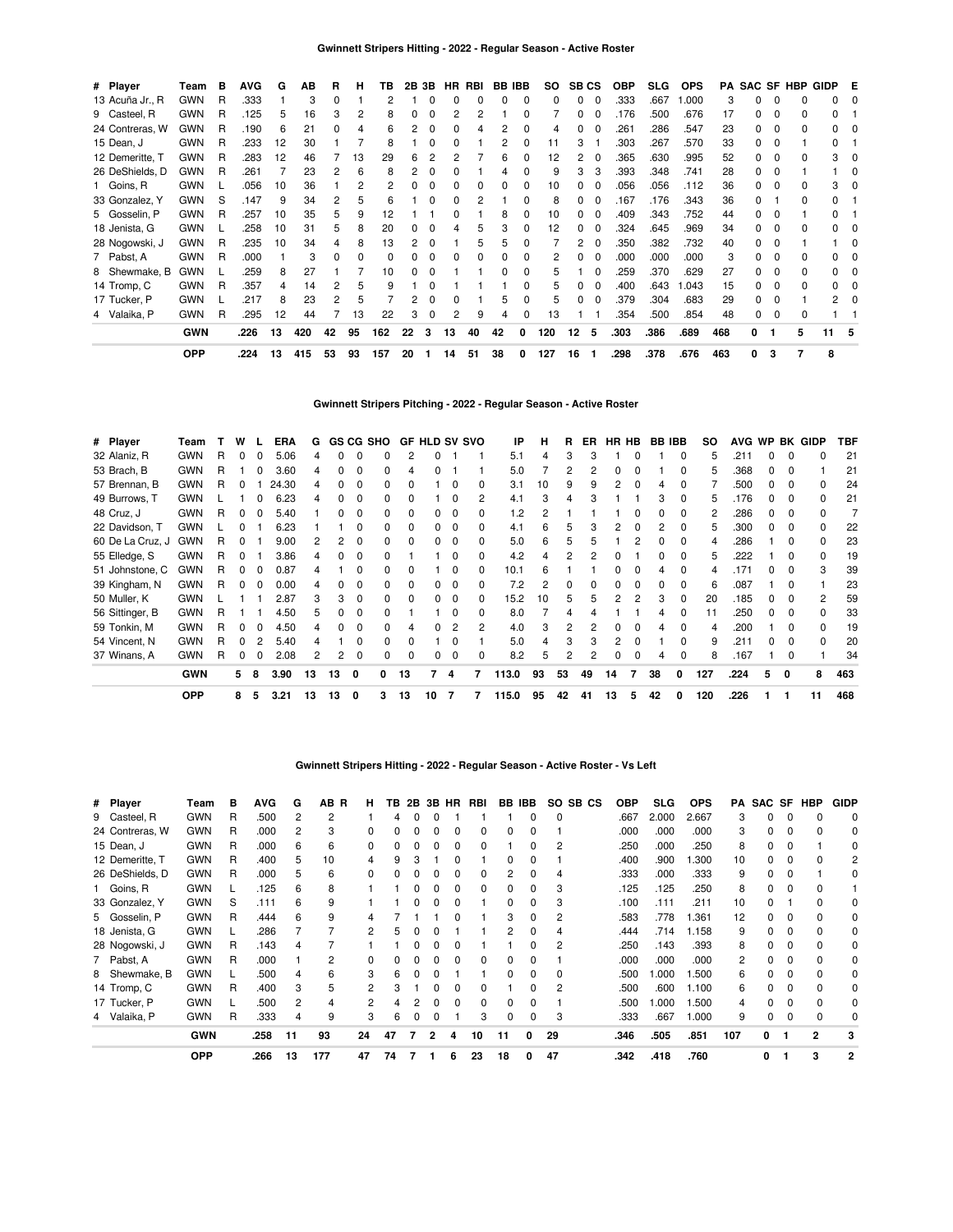| # Player        | Team       | в | <b>AVG</b> | G  | AВ  | R  | н  | ΤВ  | 2В | 3В       |    | HR RBI |    | BB IBB       | SO. |              | SB <sub>CS</sub> | <b>OBP</b> | <b>SLG</b> | <b>OPS</b> |     |    |             | PA SAC SF HBP | GIDP E |  |
|-----------------|------------|---|------------|----|-----|----|----|-----|----|----------|----|--------|----|--------------|-----|--------------|------------------|------------|------------|------------|-----|----|-------------|---------------|--------|--|
| 13 Acuña Jr., R | <b>GWN</b> | R | .333       |    | 3   |    |    |     |    |          |    |        | 0  |              | 0   | 0            |                  | .333       | .667       | 1.000      | 3   |    | 0           |               |        |  |
| 9 Casteel, R    | <b>GWN</b> | R | .125       | 5  | 16  |    | 2  | 8   | 0  | $\Omega$ |    |        |    |              |     | 0            |                  | .176       | .500       | .676       | 17  |    | 0           |               |        |  |
| 24 Contreras, W | GWN        | R | .190       | 6  | 21  |    |    | 6   |    | $\Omega$ | ი  |        |    |              | Δ   |              |                  | .261       | .286       | .547       | 23  |    | $\Omega$    |               |        |  |
| 15 Dean, J      | <b>GWN</b> | R | .233       | 12 | 30  |    |    | 8   |    | $\Omega$ | n  |        |    |              | 11  | 3            |                  | .303       | 267        | .570       | 33  |    | $\Omega$    |               |        |  |
| 12 Demeritte, T | GWN        | R | .283       | 12 | 46  |    | 13 | 29  | 6  | 2        |    |        | հ  |              | 12  | 2            |                  | .365       | .630       | .995       | 52  |    | $\Omega$    |               | 3      |  |
| 26 DeShields, D | GWN        | R | .261       |    | 23  |    | 6  | 8   | 2  | $\Omega$ | ი  |        |    |              | 9   | 3            | 3                | .393       | .348       | .741       | 28  |    | $\Omega$    |               |        |  |
| 1 Goins, R      | <b>GWN</b> |   | .056       | 10 | 36  |    |    |     | n  | $\Omega$ | 0  |        | 0  | <sup>0</sup> | 10  | 0            | 0                | .056       | .056       | .112       | 36  |    | $\Omega$    |               | 3      |  |
| 33 Gonzalez, Y  | <b>GWN</b> | S | .147       | 9  | 34  | 2  | 5  | 6   |    | 0        | 0  |        |    | 0            | 8   | 0            | 0                | .167       | .176       | .343       | 36  | 0  |             | $\Omega$      |        |  |
| 5 Gosselin, P   | <b>GWN</b> | R | .257       | 10 | 35  | 5  | 9  | 12  |    |          | 0  |        | 8  |              | 10  | 0            | 0                | .409       | .343       | .752       | 44  | O. | $\Omega$    |               |        |  |
| 18 Jenista, G   | <b>GWN</b> |   | .258       | 10 | 31  | 5  | 8  | 20  | 0  | 0        |    |        | 3  |              | 12  | 0            |                  | .324       | .645       | .969       | 34  |    | $\Omega$    |               |        |  |
| 28 Nogowski, J  | <b>GWN</b> | R | .235       | 10 | 34  |    | 8  | 13  |    | $\Omega$ |    | 'n.    | 5  |              |     |              | 0                | .350       | .382       | .732       | 40  |    | $\Omega$    |               |        |  |
| 7 Pabst, A      | <b>GWN</b> | R | .000       |    | 3   |    | 0  |     |    | 0        |    |        |    |              | 2   |              |                  | .000       | .000       | .000       | 3   |    | 0           |               |        |  |
| 8 Shewmake, B   | GWN        |   | .259       | 8  | 27  |    |    | 10  |    |          |    |        |    |              | 5   |              |                  | 259        | .370       | .629       | 27  |    | $\Omega$    |               |        |  |
| 14 Tromp, C     | <b>GWN</b> | R | .357       | 4  | 14  |    | 5  | q   |    |          |    |        |    |              | 5   | <sup>0</sup> | <sup>0</sup>     | .400       | .643       | .043       | 15  |    | $\Omega$    |               |        |  |
| 17 Tucker, P    | <b>GWN</b> |   | .217       | 8  | 23  |    | 5  |     | 2  | $\Omega$ | 0  |        | 5  | C            | 5   | 0            | 0                | .379       | .304       | .683       | 29  | 0  | 0           |               |        |  |
| 4 Valaika, P    | <b>GWN</b> | R | .295       | 12 | 44  |    | 13 | 22  | 3  | 0        | 2  | 9      | 4  | <sup>0</sup> | 13  |              |                  | .354       | .500       | .854       | 48  | 0  | $\mathbf 0$ | <sup>0</sup>  |        |  |
|                 | <b>GWN</b> |   | .226       | 13 | 420 | 42 | 95 | 162 | 22 | 3        | 13 | 40     | 42 | 0            | 120 | 12           | 5                | .303       | .386       | .689       | 468 | 0  |             | 5             | 11     |  |
|                 | <b>OPP</b> |   | .224       | 13 | 415 | 53 | 93 | 157 | 20 |          | 14 | 51     | 38 | 0            | 127 | 16           |                  | .298       | .378       | .676       | 463 | 0  | 3           |               | 8      |  |

# **Gwinnett Stripers Pitching - 2022 - Regular Season - Active Roster**

| # Player         | Team       |   | w            |   | <b>ERA</b> | G  |    |   | <b>GS CG SHO</b> |              |              |   | <b>GF HLD SV SVO</b> | ΙP    | н  | R            | ER. |    | HR HB    |    | <b>BB IBB</b> | so  | AVG WP |   |              | <b>BK GIDP</b> | TBF |
|------------------|------------|---|--------------|---|------------|----|----|---|------------------|--------------|--------------|---|----------------------|-------|----|--------------|-----|----|----------|----|---------------|-----|--------|---|--------------|----------------|-----|
| 32 Alaniz, R     | <b>GWN</b> | R |              |   | 5.06       |    |    | 0 |                  | 2            |              |   |                      | 5.1   | 4  | 3            |     |    |          |    | $\Omega$      | 5   | .211   |   | 0            | 0              | 21  |
| 53 Brach, B      | <b>GWN</b> | R |              |   | 3.60       | 4  |    | 0 | 0                | 4            |              |   |                      | 5.0   |    | 2            |     | 0  |          |    | 0             | 5   | .368   | 0 | 0            |                | 21  |
| 57 Brennan, B    | <b>GWN</b> | R | <sup>0</sup> |   | 24.30      | 4  |    | 0 | 0                |              |              |   | 0                    | 3.1   | 10 | 9            | 9   | 2  | $\Omega$ |    |               |     | .500   |   | 0            | 0              | 24  |
| 49 Burrows, T    | <b>GWN</b> |   |              |   | 6.23       |    |    | 0 | 0                |              |              |   | 2                    | 4.1   | 3  | 4            |     |    |          | 3  |               | 5   | .176   | 0 | 0            | 0              | 21  |
| 48 Cruz, J       | <b>GWN</b> | R |              |   | 5.40       |    |    | 0 | <sup>0</sup>     | 0            |              |   |                      | 1.2   | 2  |              |     |    |          |    |               | 2   | .286   | 0 | 0            | <sup>0</sup>   |     |
| 22 Davidson, T   | <b>GWN</b> |   | <sup>0</sup> |   | 6.23       |    |    | O | <sup>0</sup>     | <sup>0</sup> | 0            |   | 0                    | 4.1   | 6  | 5            |     | 2  |          | 2  |               | 5   | .300   | 0 | 0            | $\Omega$       | 22  |
| 60 De La Cruz, J | <b>GWN</b> | R | <sup>0</sup> |   | 9.00       | 2  |    | 0 | <sup>0</sup>     | <sup>0</sup> | 0            |   | 0                    | 5.0   | 6  | 5            |     |    |          |    |               | 4   | .286   |   | <sup>0</sup> | 0              | 23  |
| 55 Elledge, S    | <b>GWN</b> | R | <sup>0</sup> |   | 3.86       |    | 0  | 0 | <sup>0</sup>     |              |              |   | <sup>0</sup>         | 4.2   | 4  |              |     |    |          |    |               | 5   | .222   |   | O            | <sup>0</sup>   | 19  |
| 51 Johnstone, C  | <b>GWN</b> | R |              |   | 0.87       |    |    | O | <sup>0</sup>     |              |              |   | O.                   | 10.1  | 6  |              |     | 0  |          |    |               | 4   | .171   |   | O            | 3              | 39  |
| 39 Kingham, N    | <b>GWN</b> | R |              |   | 0.00       |    |    | 0 | <sup>0</sup>     | <sup>0</sup> |              |   | 0                    | 7.2   | 2  | <sup>0</sup> |     | 0  |          | 0  | $\Omega$      | 6   | .087   |   |              |                | 23  |
| 50 Muller, K     | <b>GWN</b> |   |              |   | 2.87       | 3  | 3  | 0 | <sup>0</sup>     | <sup>0</sup> | <sup>0</sup> |   | 0                    | 15.2  | 10 | 5            | 'n. | 2  |          | 3  |               | 20  | .185   | o |              | 2              | 59  |
| 56 Sittinger, B  | <b>GWN</b> | R |              |   | 4.50       | 5. |    | 0 | <sup>0</sup>     |              |              |   | O.                   | 8.0   |    | 4            |     |    |          | Δ  |               | 11  | .250   | o | O            | <sup>0</sup>   | 33  |
| 59 Tonkin, M     | <b>GWN</b> | R |              |   | 4.50       |    |    | 0 | <sup>0</sup>     | 4            |              |   | 2                    | 4.0   | 3  | 2            |     | 0  |          |    |               | 4   | .200   |   |              | <sup>0</sup>   | 19  |
| 54 Vincent, N    | <b>GWN</b> | R |              |   | 5.40       |    |    | 0 | 0                | <sup>0</sup> |              |   |                      | 5.0   | 4  | 3            |     | 2  |          |    | $\Omega$      | 9   | .211   |   | <sup>0</sup> | $\Omega$       | 20  |
| 37 Winans, A     | <b>GWN</b> | R | 0            |   | 2.08       | 2  | 2  | 0 | 0                | 0            | 0            |   | 0                    | 8.2   | 5  | 2            |     | 0  | 0        | 4  | $\Omega$      | 8   | .167   |   | 0            |                | 34  |
|                  | <b>GWN</b> |   | 5            | 8 | 3.90       | 13 | 13 | 0 | 0                | 13           | 7            | 4 | 7                    | 113.0 | 93 | 53           | 49  | 14 |          | 38 | 0             | 127 | .224   | 5 | 0            | 8              | 463 |
|                  | <b>OPP</b> |   | 8            | 5 | 3.21       | 13 | 13 | 0 | 3                | 13           | 10           | 7 | 7                    | 115.0 | 95 | 42           | 41  | 13 | 5        | 42 | 0             | 120 | .226   |   |              | 11             | 468 |

# **Gwinnett Stripers Hitting - 2022 - Regular Season - Active Roster - Vs Left**

| # Player        | Team       | в  | <b>AVG</b> | G  | AB R | н. | TB |   |              |   | 2B 3B HR RBI |          | BB IBB |                | SO SB CS | <b>OBP</b> | SLG.  | <b>OPS</b> | PA  | SAC SF |              | HBP | <b>GIDP</b> |
|-----------------|------------|----|------------|----|------|----|----|---|--------------|---|--------------|----------|--------|----------------|----------|------------|-------|------------|-----|--------|--------------|-----|-------------|
| 9 Casteel, R    | <b>GWN</b> | R. | .500       | 2  | 2    |    |    |   |              |   |              |          | 0      | 0              |          | .667       | 2.000 | 2.667      | з   | 0      |              |     | 0           |
| 24 Contreras, W | <b>GWN</b> | R. | .000       | 2  | 3    | 0  |    |   | 0            | 0 | 0            | 0        | 0      |                |          | .000       | .000  | .000       | 3   | 0      | 0            |     | 0           |
| 15 Dean, J      | <b>GWN</b> | R. | .000       | 6  | 6    | 0  |    |   | 0            | O | 0            |          | 0      | 2              |          | .250       | .000  | .250       | 8   | 0      |              |     | 0           |
| 12 Demeritte. T | <b>GWN</b> | R  | .400       | 5  | 10   |    | 9  | з |              |   |              | 0        | 0      |                |          | .400       | .900  | 1.300      | 10  | 0      |              |     | 2           |
| 26 DeShields, D | <b>GWN</b> | R. | .000       | 5  | 6    |    |    |   |              |   | 0            |          | 0      | 4              |          | .333       | .000  | .333       | 9   | 0      |              |     | 0           |
| 1 Goins, R      | <b>GWN</b> |    | .125       | 6  | 8    |    |    |   | ŋ            | O | 0            | 0        | 0      | 3              |          | .125       | .125  | .250       | 8   | 0      |              |     |             |
| 33 Gonzalez, Y  | <b>GWN</b> | S  | .111       | 6  | 9    |    |    |   | ŋ            |   |              | 0        | 0      | 3              |          | .100       | .111  | .211       | 10  | 0      |              |     | 0           |
| 5 Gosselin, P   | <b>GWN</b> | R  | .444       | 6  | 9    |    |    |   |              |   |              | 3        | 0      | 2              |          | .583       | .778  | 1.361      | 12  | 0      |              |     | 0           |
| 18 Jenista, G   | <b>GWN</b> |    | .286       |    |      | 2  | 5  |   | O            |   |              | 2        | 0      | 4              |          | .444       | .714  | 1.158      | 9   | 0      |              |     | 0           |
| 28 Nogowski, J  | <b>GWN</b> | R. | .143       | 4  |      |    |    |   | ŋ            | O |              |          | 0      | $\overline{c}$ |          | .250       | .143  | .393       | 8   | 0      |              |     | 0           |
| 7 Pabst, A      | <b>GWN</b> | R  | .000       |    | 2    | 0  |    |   | 0            | O | 0            | 0        | 0      |                |          | .000       | .000  | .000       | 2   | 0      | 0            |     | 0           |
| 8 Shewmake, B   | <b>GWN</b> |    | .500       | 4  | 6    | 3  | 6  |   | O            |   |              | 0        | 0      | 0              |          | .500       | .000  | 1.500      | 6   | 0      |              |     | 0           |
| 14 Tromp, C     | <b>GWN</b> | R  | .400       | 3  | 5    | 2  | 3  |   | <sup>0</sup> | O | 0            |          | 0      | $\overline{c}$ |          | .500       | .600  | 1.100      | 6   | 0      | <sup>0</sup> |     | 0           |
| 17 Tucker, P    | <b>GWN</b> |    | .500       | 2  | 4    | 2  |    |   | O            | O | 0            | $\Omega$ | 0      |                |          | .500       | .000  | 1.500      | 4   | 0      | 0            |     | 0           |
| 4 Valaika, P    | <b>GWN</b> | R. | .333       | 4  | 9    | 3  | 6  | 0 | 0            |   | 3            | $\Omega$ | 0      | 3              |          | .333       | .667  | 1.000      | 9   | 0      | 0            |     | 0           |
|                 | <b>GWN</b> |    | .258       | 11 | 93   | 24 | 47 |   | 2            | 4 | 10           | 11       | 0      | 29             |          | .346       | .505  | .851       | 107 | 0      |              | 2   | 3           |
|                 | <b>OPP</b> |    | .266       | 13 | 177  | 47 | 74 |   |              | 6 | 23           | 18       | 0      | 47             |          | .342       | .418  | .760       |     | 0      |              | 3   | 2           |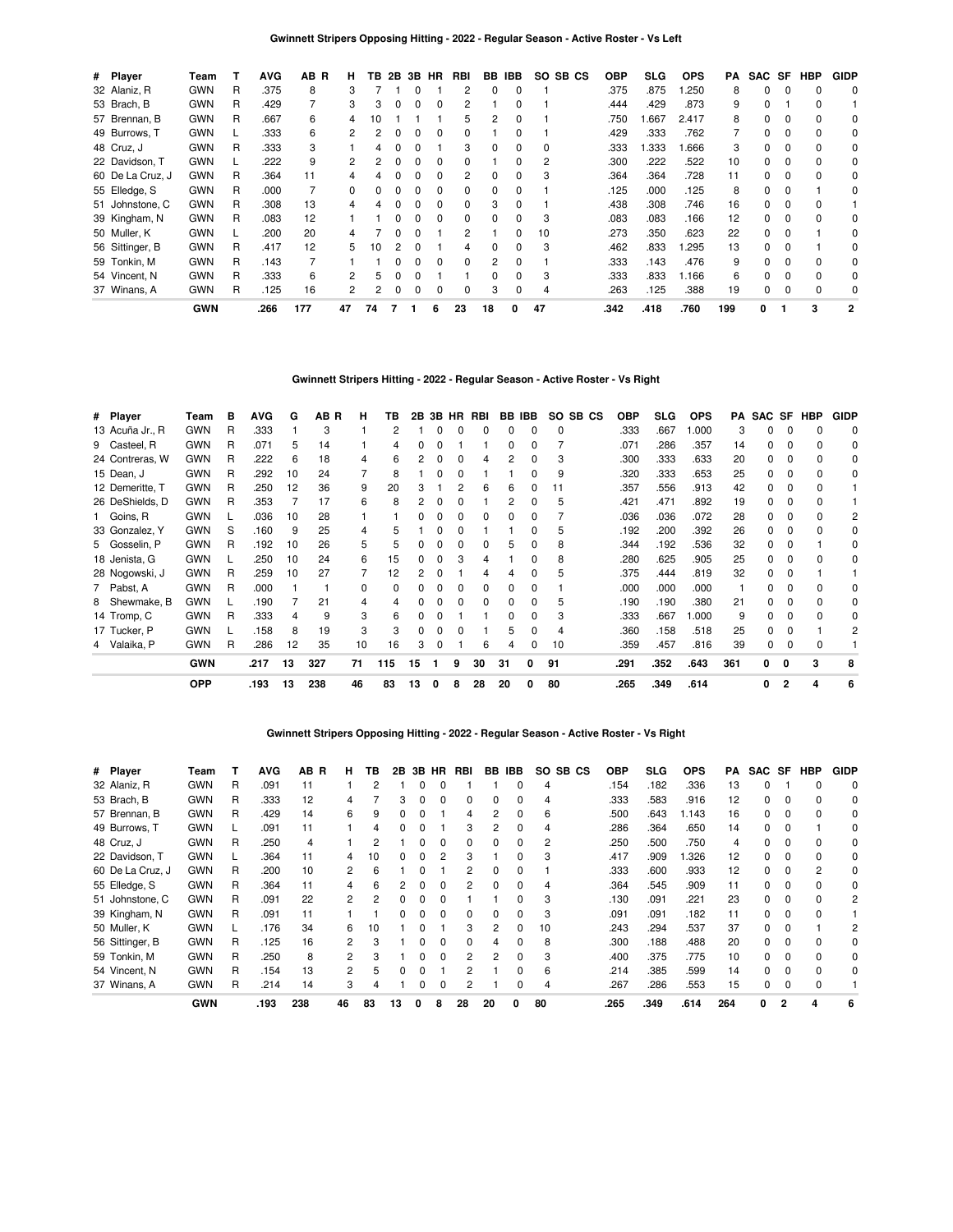| # Player         | Team       |   | <b>AVG</b> | AB R | н. | ΤВ | 2B           |              | 3B HR        | <b>RBI</b>     | BB           | <b>IBB</b>   | SO SB CS |      | <b>OBP</b> | SLG   | <b>OPS</b> | PA  | SAC SF   |          | HBP      | <b>GIDP</b>    |
|------------------|------------|---|------------|------|----|----|--------------|--------------|--------------|----------------|--------------|--------------|----------|------|------------|-------|------------|-----|----------|----------|----------|----------------|
| 32 Alaniz, R     | <b>GWN</b> | R | .375       | 8    | 3  |    |              | $\Omega$     |              | $\overline{c}$ | 0            | 0            |          |      | .375       | .875  | .250       | 8   | $\Omega$ | $\Omega$ | $\Omega$ | 0              |
| 53 Brach, B      | <b>GWN</b> | R | .429       |      | 3  | 3  | <sup>0</sup> |              | 0            | $\overline{c}$ |              | O            |          |      | .444       | .429  | .873       | 9   | 0        |          | $\Omega$ |                |
| 57 Brennan, B    | <b>GWN</b> | R | .667       | 6    | 4  | 10 |              |              |              | 5              | 2            |              |          |      | .750       | .667  | 2.417      | 8   | 0        |          | $\Omega$ | 0              |
| 49 Burrows, T    | <b>GWN</b> |   | .333       | 6    |    |    |              |              | 0            | 0              |              |              |          |      | .429       | .333  | .762       |     | 0        |          | $\Omega$ | 0              |
| 48 Cruz, J       | <b>GWN</b> | R | .333       | 3    |    |    |              |              |              | 3              | 0            | 0            | 0        |      | .333       | 1.333 | .666       | 3   | 0        | 0        | 0        | 0              |
| 22 Davidson, T   | <b>GWN</b> |   | .222       | 9    | 2  | 2  | <sup>0</sup> | $\Omega$     | <sup>0</sup> | 0              |              | 0            | 2        |      | .300       | .222  | .522       | 10  | $\Omega$ | $\Omega$ | $\Omega$ | 0              |
| 60 De La Cruz, J | <b>GWN</b> | R | .364       | 11   | 4  |    | <sup>0</sup> | <sup>0</sup> | <sup>0</sup> | 2              | <sup>0</sup> | 0            | 3        |      | .364       | .364  | .728       | 11  | 0        | $\Omega$ | $\Omega$ | 0              |
| 55 Elledge, S    | <b>GWN</b> | R | .000       |      | 0  |    |              |              | $\Omega$     | 0              | <sup>0</sup> | <sup>0</sup> |          |      | .125       | .000  | .125       | 8   | $\Omega$ | $\Omega$ |          | 0              |
| 51 Johnstone, C  | <b>GWN</b> | R | .308       | 13   |    |    |              |              | <sup>0</sup> | $\Omega$       | 3            |              |          |      | .438       | .308  | .746       | 16  | $\Omega$ | $\Omega$ | $\Omega$ |                |
| 39 Kingham, N    | <b>GWN</b> | R | .083       | 12   |    |    |              |              | <sup>0</sup> | $\Omega$       | <sup>0</sup> |              | 3        |      | .083       | .083  | .166       | 12  | 0        |          | $\Omega$ | 0              |
| 50 Muller, K     | <b>GWN</b> |   | .200       | 20   |    |    |              |              |              | $\overline{c}$ |              | 0            | 10       |      | .273       | .350  | .623       | 22  | 0        | 0        |          | 0              |
| 56 Sittinger, B  | <b>GWN</b> | R | .417       | 12   | 5  | 10 | 2            | <sup>0</sup> |              | 4              | 0            | 0            | 3        |      | .462       | .833  | .295       | 13  | 0        | 0        |          | 0              |
| 59 Tonkin, M     | <b>GWN</b> | R | .143       |      |    |    | <sup>n</sup> | $\Omega$     | <sup>0</sup> | $\Omega$       | 2            | $\Omega$     |          |      | .333       | .143  | .476       | 9   | $\Omega$ | $\Omega$ | $\Omega$ | $\Omega$       |
| 54 Vincent, N    | <b>GWN</b> | R | .333       | 6    | 2  | 5  | <sup>0</sup> | n            |              |                | <sup>n</sup> | <sup>0</sup> | 3        |      | .333       | .833  | 1.166      | 6   | $\Omega$ | $\Omega$ | $\Omega$ | 0              |
| 37 Winans, A     | <b>GWN</b> | R | .125       | 16   | 2  |    | $\Omega$     |              | 0            | 0              | 3            | 0            | 4        |      | .263       | .125  | .388       | 19  | 0        | 0        | 0        | 0              |
|                  | <b>GWN</b> |   | .266       | 177  | 47 | 74 |              |              | 6            | 23             | 18           | 0            | 47       | .342 |            | .418  | .760       | 199 | 0        |          | 3        | $\overline{2}$ |

# **Gwinnett Stripers Hitting - 2022 - Regular Season - Active Roster - Vs Right**

| # Player        | Team       | в | AVG  | G  | AB R | н  | ΤВ  | 2В |   | 3B HR | RBI | BB | IBB | SO. | SB CS | <b>OBP</b> | <b>SLG</b> | <b>OPS</b> | PA  | SAC SF |   | HBP | <b>GIDP</b> |
|-----------------|------------|---|------|----|------|----|-----|----|---|-------|-----|----|-----|-----|-------|------------|------------|------------|-----|--------|---|-----|-------------|
| 13 Acuña Jr., R | <b>GWN</b> | R | .333 |    | 3    |    | 2   |    |   |       |     |    |     |     |       | .333       | .667       | 1.000      | З   |        |   |     | 0           |
| 9 Casteel, R    | <b>GWN</b> | R | .071 | 5  | 14   |    | 4   | 0  |   |       |     | 0  | ŋ   |     |       | .071       | .286       | .357       | 14  | 0      |   |     | 0           |
| 24 Contreras, W | <b>GWN</b> | R | .222 | 6  | 18   | 4  | 6   |    |   |       | 4   |    | 0   | 3   |       | .300       | .333       | .633       | 20  | 0      |   |     | 0           |
| 15 Dean, J      | <b>GWN</b> | R | .292 | 10 | 24   |    | 8   |    |   |       |     |    | 0   | 9   |       | .320       | .333       | .653       | 25  | 0      |   |     | 0           |
| 12 Demeritte, T | <b>GWN</b> | R | .250 | 12 | 36   | 9  | 20  | 3  |   |       | հ   | 6  | 0   | 11  |       | .357       | .556       | .913       | 42  | 0      |   |     |             |
| 26 DeShields, D | <b>GWN</b> | R | .353 |    | 17   | 6  | 8   | 2  |   |       |     |    | 0   | 5   |       | .421       | .471       | .892       | 19  | 0      |   |     |             |
| 1 Goins, R      | <b>GWN</b> |   | .036 | 10 | 28   |    |     | O. |   |       | 0   | 0  | 0   |     |       | .036       | .036       | .072       | 28  | 0      |   |     | 2           |
| 33 Gonzalez, Y  | <b>GWN</b> | S | .160 | 9  | 25   | 4  | 5   |    |   |       |     |    | 0   | 5   |       | .192       | .200       | .392       | 26  | 0      |   |     | 0           |
| 5 Gosselin, P   | <b>GWN</b> | R | .192 | 10 | 26   | 5  | 5   | 0  |   |       | 0   | 5  | 0   | 8   |       | .344       | .192       | .536       | 32  | 0      |   |     | 0           |
| 18 Jenista, G   | <b>GWN</b> | L | .250 | 10 | 24   | 6  | 15  | O. |   | 3     |     |    | 0   | 8   |       | .280       | .625       | .905       | 25  | 0      |   |     | 0           |
| 28 Nogowski, J  | <b>GWN</b> | R | .259 | 10 | 27   |    | 12  |    |   |       |     |    | 0   | 5   |       | .375       | .444       | .819       | 32  | 0      |   |     |             |
| 7 Pabst, A      | <b>GWN</b> | R | .000 |    |      | 0  | 0   | 0  |   |       | 0   |    | 0   |     |       | .000       | .000       | .000       |     | 0      |   |     | 0           |
| 8 Shewmake, B   | <b>GWN</b> |   | .190 |    | 21   | 4  |     |    |   |       |     |    | ŋ   |     |       | .190       | .190       | .380       | 21  | 0      |   |     | 0           |
| 14 Tromp, C     | <b>GWN</b> | R | .333 |    | 9    | 3  | 6   | 0  |   |       |     | 0  | ŋ   | 3   |       | .333       | .667       | 1.000      | 9   | n.     |   |     | 0           |
| 17 Tucker, P    | <b>GWN</b> |   | .158 | 8  | 19   | 3  | 3   | O. |   |       |     |    | n   | 4   |       | .360       | .158       | .518       | 25  | 0      |   |     | 2           |
| 4 Valaika, P    | <b>GWN</b> | R | .286 | 12 | 35   | 10 | 16  | 3  |   |       | 6   |    | 0   | 10  |       | .359       | .457       | .816       | 39  | 0      |   |     |             |
|                 | GWN        |   | .217 | 13 | 327  | 71 | 115 | 15 |   | 9     | 30  | 31 | 0   | 91  |       | .291       | .352       | .643       | 361 | 0      | 0 | 3   | 8           |
|                 | <b>OPP</b> |   | .193 | 13 | 238  | 46 | 83  | 13 | 0 | 8     | 28  | 20 |     | 80  |       | .265       | .349       | .614       |     | 0      | 2 | 4   | 6           |

**Gwinnett Stripers Opposing Hitting - 2022 - Regular Season - Active Roster - Vs Right**

| # Player         | Team       |   | <b>AVG</b> | AB R | н  | ΤВ | 2В | 3B           | <b>HR</b>    | RBI      | BB. | <b>IBB</b>   | SO.<br>SB CS   | <b>OBP</b> | <b>SLG</b> | <b>OPS</b> | PA  | <b>SAC</b> | SF       | HBP      | <b>GIDP</b> |
|------------------|------------|---|------------|------|----|----|----|--------------|--------------|----------|-----|--------------|----------------|------------|------------|------------|-----|------------|----------|----------|-------------|
| 32 Alaniz, R     | <b>GWN</b> | R | .091       | 11   |    |    |    |              |              |          |     |              | 4              | .154       | .182       | .336       | 13  | $\Omega$   |          | $\Omega$ | $\Omega$    |
| 53 Brach, B      | <b>GWN</b> | R | .333       | 12   |    |    |    |              |              |          |     |              | 4              | .333       | .583       | .916       | 12  | $\Omega$   | 0        |          | 0           |
| 57 Brennan, B    | <b>GWN</b> | R | .429       | 14   | 6  | 9  |    |              |              |          |     |              | 6              | .500       | .643       | 1.143      | 16  | 0          | 0        | $\Omega$ | 0           |
| 49 Burrows, T    | <b>GWN</b> |   | .091       | 11   |    | 4  |    |              |              | 3        | 2   |              | 4              | .286       | .364       | .650       | 14  | 0          | 0        |          | 0           |
| 48 Cruz, J       | <b>GWN</b> | R | .250       | 4    |    |    |    |              | 0            | $\Omega$ | 0   | 0            | $\overline{c}$ | .250       | .500       | .750       | 4   | $\Omega$   | 0        | $\Omega$ | 0           |
| 22 Davidson, T   | <b>GWN</b> |   | .364       | 11   | 4  | 10 | 0  | <sup>0</sup> | 2            | 3        |     | <sup>0</sup> | 3              | .417       | .909       | .326       | 12  | $\Omega$   | $\Omega$ | $\Omega$ | 0           |
| 60 De La Cruz, J | <b>GWN</b> | R | .200       | 10   | 2  | 6  |    |              |              | 2        | 0   | 0            |                | .333       | .600       | .933       | 12  | $\Omega$   | 0        | 2        | 0           |
| 55 Elledge, S    | <b>GWN</b> | R | .364       | 11   |    | 6  |    |              |              | 2        | 0   |              | 4              | .364       | .545       | .909       | 11  | 0          | $\Omega$ | $\Omega$ | 0           |
| 51 Johnstone, C  | <b>GWN</b> | R | .091       | 22   |    |    |    |              |              |          |     |              | 3              | .130       | .091       | .221       | 23  | 0          | 0        | $\Omega$ | 2           |
| 39 Kingham, N    | <b>GWN</b> | R | .091       | 11   |    |    |    |              |              | 0        | 0   | 0            | 3              | .091       | .091       | .182       | 11  | 0          | 0        | $\Omega$ |             |
| 50 Muller, K     | <b>GWN</b> |   | .176       | 34   | 6  | 10 |    |              |              | 3        | 2   | 0            | 10             | .243       | .294       | .537       | 37  | 0          | $\Omega$ |          | 2           |
| 56 Sittinger, B  | <b>GWN</b> | R | .125       | 16   | 2  | з  |    |              | 0            | $\Omega$ | 4   | <sup>0</sup> | 8              | .300       | .188       | .488       | 20  | $\Omega$   | $\Omega$ | $\Omega$ | 0           |
| 59 Tonkin, M     | <b>GWN</b> | R | .250       | 8    | 2  | з  |    |              | <sup>0</sup> | 2        | 2   | <sup>0</sup> | 3              | .400       | .375       | .775       | 10  | 0          | $\Omega$ | $\Omega$ | 0           |
| 54 Vincent, N    | <b>GWN</b> | R | .154       | 13   | 2  |    |    |              |              | 2        |     |              | 6              | .214       | .385       | .599       | 14  | 0          | $\Omega$ | $\Omega$ | 0           |
| 37 Winans, A     | <b>GWN</b> | R | .214       | 14   | 3  |    |    |              | 0            |          |     |              | 4              | .267       | .286       | .553       | 15  | 0          | $\Omega$ | $\Omega$ |             |
|                  | <b>GWN</b> |   | .193       | 238  | 46 | 83 | 13 | O            | 8            | 28       | 20  | 0            | 80             | .265       | .349       | .614       | 264 | 0          |          | 4        | 6           |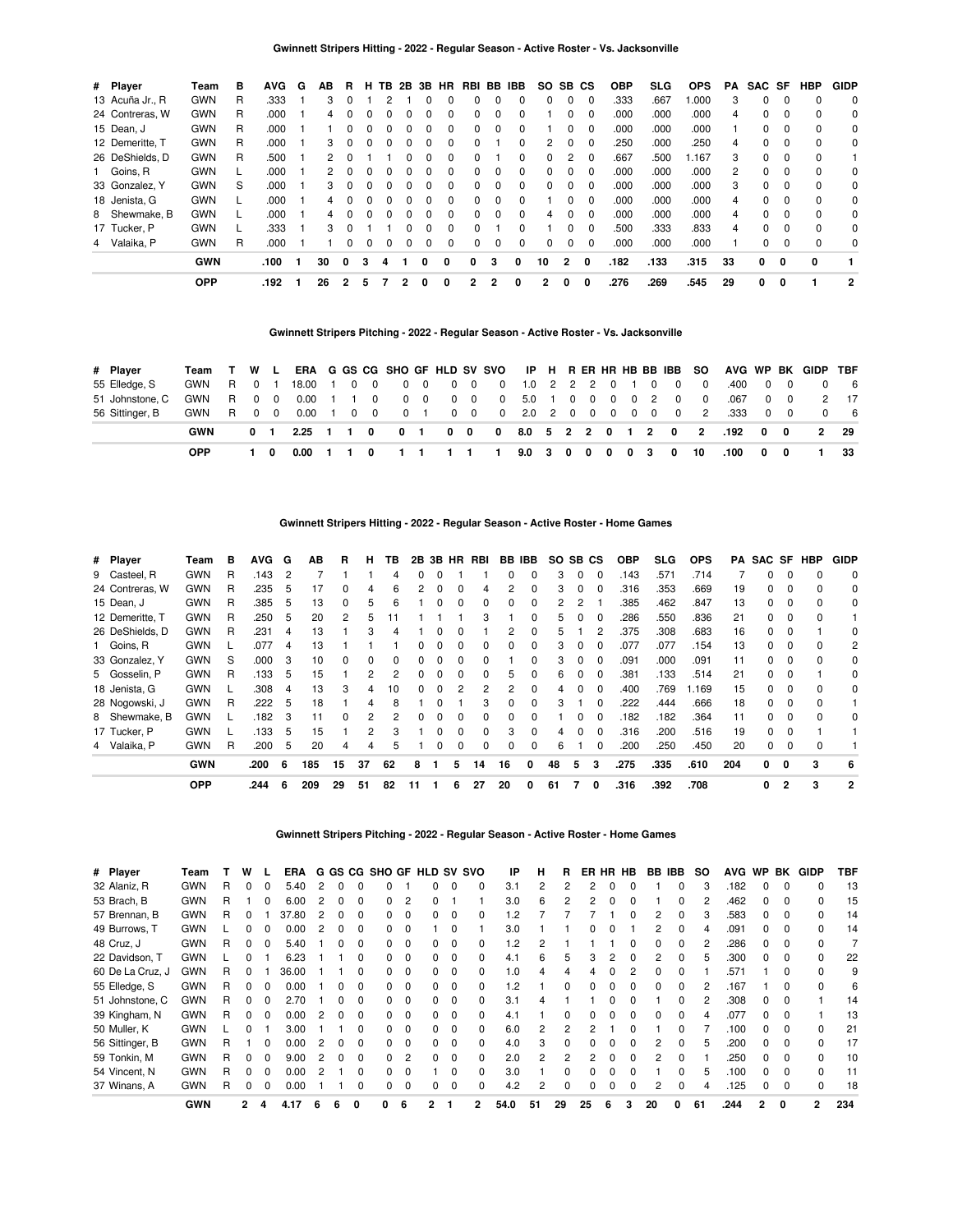| # Player        | Team       | в | <b>AVG</b> | G | AB | R. | н            | TB. | 2B 3B        |              | <b>HR</b>    | RBI BB |          | IBB          | SO.            | SB CS        |          | <b>OBP</b> | <b>SLG</b> | <b>OPS</b> | PA | SAC SF |          | <b>HBP</b> | <b>GIDP</b> |
|-----------------|------------|---|------------|---|----|----|--------------|-----|--------------|--------------|--------------|--------|----------|--------------|----------------|--------------|----------|------------|------------|------------|----|--------|----------|------------|-------------|
| 13 Acuña Jr., R | <b>GWN</b> | R | .333       |   | 3  |    |              |     |              | <sup>0</sup> |              | 0      |          |              | 0              | 0            | $\Omega$ | .333       | .667       | .000       | 3  | 0      | $\Omega$ | $\Omega$   | 0           |
| 24 Contreras, W | <b>GWN</b> | R | .000       |   | 4  |    | 0            | 0   |              | $\Omega$     | 0            | 0      | $\Omega$ | $\Omega$     |                | 0            | $\Omega$ | .000       | .000       | .000       | 4  | 0      | $\Omega$ | $\Omega$   | 0           |
| 15 Dean, J      | <b>GWN</b> | R | .000       |   |    |    | 0            | 0   |              | 0            | 0            | 0      | 0        |              |                |              | $\Omega$ | .000       | .000       | .000       |    | 0      | $\Omega$ | $\Omega$   | 0           |
| 12 Demeritte. T | <b>GWN</b> | R | .000       |   | 3  |    | 0            | 0   |              | $\Omega$     | 0            | 0      |          | <sup>0</sup> | 2              | 0            | $\Omega$ | .250       | .000       | .250       | 4  | 0      | $\Omega$ | $\Omega$   | 0           |
| 26 DeShields, D | <b>GWN</b> | R | .500       |   | 2  |    |              |     |              | $\Omega$     | 0            | 0      |          | 0            | 0              |              | $\Omega$ | .667       | .500       | 1.167      | 3  | 0      | $\Omega$ | $\Omega$   |             |
| 1 Goins, R      | <b>GWN</b> |   | .000       |   | 2  |    | <sup>0</sup> | 0   |              | $\Omega$     | 0            | 0      | 0        | $\Omega$     | 0              | <sup>0</sup> | $\Omega$ | .000       | .000       | .000       | 2  | 0      | $\Omega$ | $\Omega$   | 0           |
| 33 Gonzalez, Y  | <b>GWN</b> | S | .000       |   | 3  |    | 0            | 0   |              | 0            | 0            | 0      | 0        | 0            | 0              | 0            | $\Omega$ | .000       | .000       | .000       | 3  | 0      | 0        | $\Omega$   | 0           |
| 18 Jenista, G   | <b>GWN</b> |   | .000       |   | 4  |    | 0            | 0   | <sup>0</sup> | $\Omega$     | $\Omega$     | 0      | $\Omega$ | $\Omega$     |                | <sup>0</sup> | $\Omega$ | .000       | .000       | .000       | 4  | 0      | $\Omega$ | $\Omega$   | 0           |
| 8 Shewmake, B   | <b>GWN</b> |   | .000       |   |    |    | <sup>0</sup> | 0   |              | $\Omega$     | 0            | 0      | 0        | <sup>0</sup> | 4              | <sup>0</sup> | $\Omega$ | .000       | .000       | .000       | 4  | 0      | $\Omega$ | $\Omega$   | 0           |
| 17 Tucker, P    | <b>GWN</b> |   | .333       |   | 3  |    |              |     |              | $\Omega$     | <sup>0</sup> | 0      |          |              |                | <sup>0</sup> | $\Omega$ | .500       | .333       | .833       | 4  | 0      | $\Omega$ | $\Omega$   | 0           |
| 4 Valaika, P    | <b>GWN</b> | R | .000       |   |    |    | 0            | 0   |              | 0            | 0            | 0      | 0        | $\Omega$     | 0              | 0            | $\Omega$ | .000       | .000       | .000       |    | 0      | $\Omega$ | $\Omega$   | 0           |
|                 | <b>GWN</b> |   | .100       |   | 30 | 0  | 3            | 4   |              | 0            | 0            | 0      | з        | 0            | 10             | $\mathbf{2}$ | 0        | .182       | .133       | .315       | 33 | 0      | 0        | 0          |             |
|                 | <b>OPP</b> |   | .192       |   | 26 | 2  | 5            |     |              |              | 0            | 2      | 2        | 0            | $\overline{2}$ | 0            | 0        | .276       | .269       | .545       | 29 | 0      | 0        |            | 2           |

# **Gwinnett Stripers Pitching - 2022 - Regular Season - Active Roster - Vs. Jacksonville**

| # Plaver        | Team | W L   |             |                                |                |              |                         |             |            |            | ERA G GS CG SHO GF HLD SV SVO IP H R ER HR HB BB IBB SO |              |   |   |   |              |     |                   |                         | AVG WP BK GIDP TBF             |              |              |              |      |
|-----------------|------|-------|-------------|--------------------------------|----------------|--------------|-------------------------|-------------|------------|------------|---------------------------------------------------------|--------------|---|---|---|--------------|-----|-------------------|-------------------------|--------------------------------|--------------|--------------|--------------|------|
| 55 Elledge, S   | GWN  | R 0 1 |             | 18.00                          | $\blacksquare$ | $\mathbf{0}$ | $\overline{\mathbf{0}}$ |             | $0\quad 0$ |            | 0 0 0 1.0 2 2 2 0 1 0                                   |              |   |   |   |              |     | $\overline{0}$    | $\overline{\mathbf{0}}$ | .400                           |              | $0\quad 0$   |              | 6    |
| 51 Johnstone, C | GWN  | R 0 0 |             | $0.00 \quad 1 \quad 1 \quad 0$ |                |              |                         |             | $0\quad 0$ | $0\quad 0$ | $\sim$ 0                                                |              |   |   |   |              |     | 5.0 1 0 0 0 0 2 0 | $\overline{\mathbf{0}}$ | .067                           |              | $0\quad 0$   |              | 2 17 |
| 56 Sittinger, B | GWN  | R 0 0 |             | $0.00 \quad 1$                 |                |              | $0\quad 0$              | $0 \quad 1$ |            |            | 0 0 0 2.0 2 0 0 0 0 0 0 2                               |              |   |   |   |              |     |                   |                         | .333                           |              | $0\quad 0$   |              | - 6  |
|                 | GWN  |       | $0 \quad 1$ | $2.25 \quad 1 \quad 1 \quad 0$ |                |              |                         | $0 \quad 1$ |            |            |                                                         |              |   |   |   |              |     |                   |                         | 0 0 0 8.0 5 2 2 0 1 2 0 2 .192 | $\mathbf{0}$ | $\mathbf{0}$ | $\mathbf{2}$ | - 29 |
|                 | OPP  |       | - 0         | 0.00                           |                |              |                         |             |            |            |                                                         | $9.0\quad 3$ | 0 | 0 | 0 | $\mathbf{0}$ | - 3 | 0                 | - 10                    | .100                           | 0            | 0            |              | 33   |

| Player          | Team       | в | <b>AVG</b> | G  | ΑВ | R | н | ΤВ |   |          | RBI      |          |              |                    |   |          | <b>OBP</b> | <b>SLG</b> | <b>OPS</b> |    |    |          |                                                     | <b>GIDP</b>             |
|-----------------|------------|---|------------|----|----|---|---|----|---|----------|----------|----------|--------------|--------------------|---|----------|------------|------------|------------|----|----|----------|-----------------------------------------------------|-------------------------|
| 9 Casteel, R    | <b>GWN</b> | R | .143       | -2 |    |   |   | 4  |   |          |          | 0        | 0            | 3                  |   | 0        | .143       | .571       | .714       |    | 0  |          | 0                                                   | 0                       |
| 24 Contreras, W | <b>GWN</b> | R | 235        | 5  | 17 | 0 | 4 | 6  | 0 | $\Omega$ | 4        | 2        | 0            | 3                  | 0 | $\Omega$ | .316       | .353       | .669       | 19 |    | $\Omega$ | $\Omega$                                            | 0                       |
| 15 Dean, J      | <b>GWN</b> | R | .385       | 5  | 13 | 0 | 5 | 6  | 0 | $\Omega$ | $\Omega$ | 0        | $\Omega$     | 2                  |   |          | .385       | .462       | .847       | 13 |    | 0        | $\Omega$                                            | 0                       |
| 12 Demeritte. T | <b>GWN</b> | R | 250        | 5  | 20 | 2 | 5 |    |   |          | 3        |          | 0            | 5                  |   | $\Omega$ | 286        | .550       | .836       | 21 |    | $\Omega$ | $\Omega$                                            |                         |
| 26 DeShields, D | <b>GWN</b> | R | .231       | 4  | 13 |   | 3 | 4  |   | 0        |          | 2        | 0            | 5                  |   |          | .375       | .308       | .683       | 16 |    |          |                                                     | 0                       |
| Goins, R        | <b>GWN</b> |   | .077       | 4  | 13 |   |   |    |   |          | 0        | 0        | 0            | 3                  |   |          | .077       | .077       | 154        |    |    |          | $\Omega$                                            | 2                       |
| 33 Gonzalez, Y  | <b>GWN</b> | S | .000       | 3  | 10 | 0 | 0 | 0  | 0 | $\Omega$ | $\Omega$ |          | 0            | 3                  |   | $\Omega$ | .091       | .000       | .091       | 11 |    | $\Omega$ | $\Omega$                                            | 0                       |
| 5 Gosselin, P   | <b>GWN</b> | R | .133       | 5  | 15 |   | 2 | 2  |   |          | $\Omega$ |          | 0            | 6                  |   | $\Omega$ | .381       | .133       | .514       | 21 |    |          |                                                     | 0                       |
| 18 Jenista, G   | <b>GWN</b> |   | 308        | 4  | 13 | 3 | 4 | 10 |   | 2        | 2        | 2        | 0            | 4                  |   | $\Omega$ | .400       | .769       | 1.169      | 15 |    | $\Omega$ | <sup>0</sup>                                        | 0                       |
| 28 Nogowski, J  | <b>GWN</b> | R | 222        | 5  | 18 |   | 4 | 8  |   |          | 3        | 0        | 0            | 3                  |   |          | 222        | .444       | .666       | 18 |    | $\Omega$ | $\Omega$                                            |                         |
| 8 Shewmake, B   | <b>GWN</b> |   | 182        | -3 | 11 | 0 | 2 | 2  |   | $\Omega$ | 0        | 0        | <sup>0</sup> |                    |   |          | .182       | .182       | .364       | 11 |    | $\Omega$ | $\Omega$                                            | 0                       |
| 17 Tucker, P    | <b>GWN</b> |   | 133        | 5  | 15 |   | 2 | 3  | 0 | $\Omega$ | $\Omega$ | 3        | $\Omega$     | 4                  |   | $\Omega$ | .316       | .200       | .516       | 19 |    | $\Omega$ |                                                     |                         |
| Valaika, P      | <b>GWN</b> | R | .200       | 5  | 20 | 4 | 4 | 5  |   | $\Omega$ | 0        | $\Omega$ | 0            | 6                  |   |          | .200       | .250       | .450       | 20 | 0  | 0        | $\Omega$                                            |                         |
|                 |            |   |            |    |    |   |   |    |   | 2B       |          | 3B HR    |              | <b>BB IBB</b><br>5 |   |          | SO SB CS   |            |            |    | 13 |          | 0<br>0<br>0<br>0<br>0<br>0<br>0<br>0<br>0<br>0<br>0 | PA SAC SF<br><b>HBP</b> |

**Gwinnett Stripers Hitting - 2022 - Regular Season - Active Roster - Home Games**

**Gwinnett Stripers Pitching - 2022 - Regular Season - Active Roster - Home Games**

[GWN](https://research.mlb.com/teams/431/stats#timeframe=2022) 200 6 185 15 37 62 8 1 5 14 16 0 48 5 3 275 335 610 204 0 0 3 6 OPP 3244 6 209 29 51 82 11 1 6 27 20 0 61 7 0 316 392 708 0 2 3 2

| # Player         | Team       |    | w            |              | ERA   |   |              | G GS CG SHO GF HLD SV SVO |                |   |              |   | ΙP             | н  | R            |    |   | ER HR HB     | BB IBB |   | SO. | <b>AVG</b> | <b>WP</b>    | BK           | GIDP           | TBF |
|------------------|------------|----|--------------|--------------|-------|---|--------------|---------------------------|----------------|---|--------------|---|----------------|----|--------------|----|---|--------------|--------|---|-----|------------|--------------|--------------|----------------|-----|
| 32 Alaniz, R     | <b>GWN</b> | R  | 0            | 0            | 5.40  |   |              |                           |                |   |              |   | 3.1            |    |              |    |   |              |        |   |     | .182       |              |              |                | 13  |
| 53 Brach, B      | <b>GWN</b> |    |              |              | 6.00  |   |              |                           | 2              |   |              |   | 3.0            | 6. |              |    |   |              |        |   |     | .462       |              |              |                | 15  |
| 57 Brennan, B    | <b>GWN</b> | R  | 0            |              | 37.80 |   |              |                           | $\Omega$       |   |              |   | .2             |    |              |    |   |              |        |   |     | .583       |              |              |                | 14  |
| 49 Burrows, T    | <b>GWN</b> |    | 0            |              | 0.00  |   |              |                           | $\Omega$       |   | 0            |   | 3.0            |    |              |    |   |              |        |   |     | .091       |              |              |                | 14  |
| 48 Cruz, J       | <b>GWN</b> | R  | 0            | $\Omega$     | 5.40  | 0 | <sup>0</sup> | <sup>o</sup>              | $\Omega$       |   | 0            |   | .2             | 2  |              |    |   |              |        |   |     | .286       | <sup>0</sup> | $\Omega$     |                |     |
| 22 Davidson, T   | <b>GWN</b> |    |              |              | 6.23  |   |              |                           | $\Omega$       |   | 0            |   | 4.1            | 6  | 5            | З  |   | <sup>0</sup> |        |   |     | .300       | <sup>n</sup> | $\Omega$     | 0              | 22  |
| 60 De La Cruz, J | GWN        | R. | O            |              | 36.00 |   |              |                           | $\Omega$       |   | 0            |   | $\overline{0}$ |    |              |    |   |              |        |   |     | .571       |              |              |                | 9   |
| 55 Elledge, S    | <b>GWN</b> | R  | 0            |              | 0.00  |   |              |                           | $\Omega$       |   | <sup>0</sup> |   | $\cdot$        |    |              |    |   |              |        |   |     | .167       |              |              |                | 6   |
| 51 Johnstone, C  | <b>GWN</b> | R  | 0            |              | 2.70  |   |              |                           | 0              |   | 0            |   | 3.1            |    |              |    |   |              |        |   |     | .308       |              |              |                | 14  |
| 39 Kingham, N    | <b>GWN</b> | R  | 0            | 0            | 0.00  | 0 | 0            | O.                        | $\Omega$       | 0 | $\Omega$     |   | 4.1            |    | <sup>0</sup> |    |   |              |        |   |     | .077       | <sup>0</sup> | <sup>0</sup> |                | 13  |
| 50 Muller, K     | <b>GWN</b> |    | 0            |              | 3.00  |   | <sup>0</sup> | n.                        | $\Omega$       | 0 | $\Omega$     |   | 6.0            |    | 2            |    |   |              |        |   |     | .100       | <sup>n</sup> | $\Omega$     | <sup>0</sup>   | 21  |
| 56 Sittinger, B  | <b>GWN</b> | R  |              | <sup>0</sup> | 0.00  |   |              |                           | $\Omega$       |   | 0            |   | 4.0            | 3  | <sup>0</sup> |    |   |              |        |   |     | .200       | <sup>n</sup> | $\Omega$     |                | 17  |
| 59 Tonkin, M     | <b>GWN</b> | R  | 0            |              | 9.00  |   |              |                           | $\overline{2}$ |   |              |   | 2.0            | 2  | 2            |    |   |              |        |   |     | .250       |              |              |                | 10  |
| 54 Vincent, N    | <b>GWN</b> | R  | 0            |              | 0.00  |   |              |                           | 0              |   | 0            |   | 3.0            |    |              |    |   |              |        |   |     | .100       |              |              |                | 11  |
| 37 Winans, A     | <b>GWN</b> |    | 0            | 0            | 0.00  |   |              |                           | $\Omega$       |   |              |   | 4.2            |    |              |    |   |              |        |   |     | .125       |              | 0            |                | 18  |
|                  | <b>GWN</b> |    | $\mathbf{2}$ | 4            | 4.17  |   |              | 0                         | 6              |   |              | 2 | 54.0           | 51 | 29           | 25 | 6 |              | 20     | 0 | 61  | .244       | 2            | $\Omega$     | $\overline{2}$ | 234 |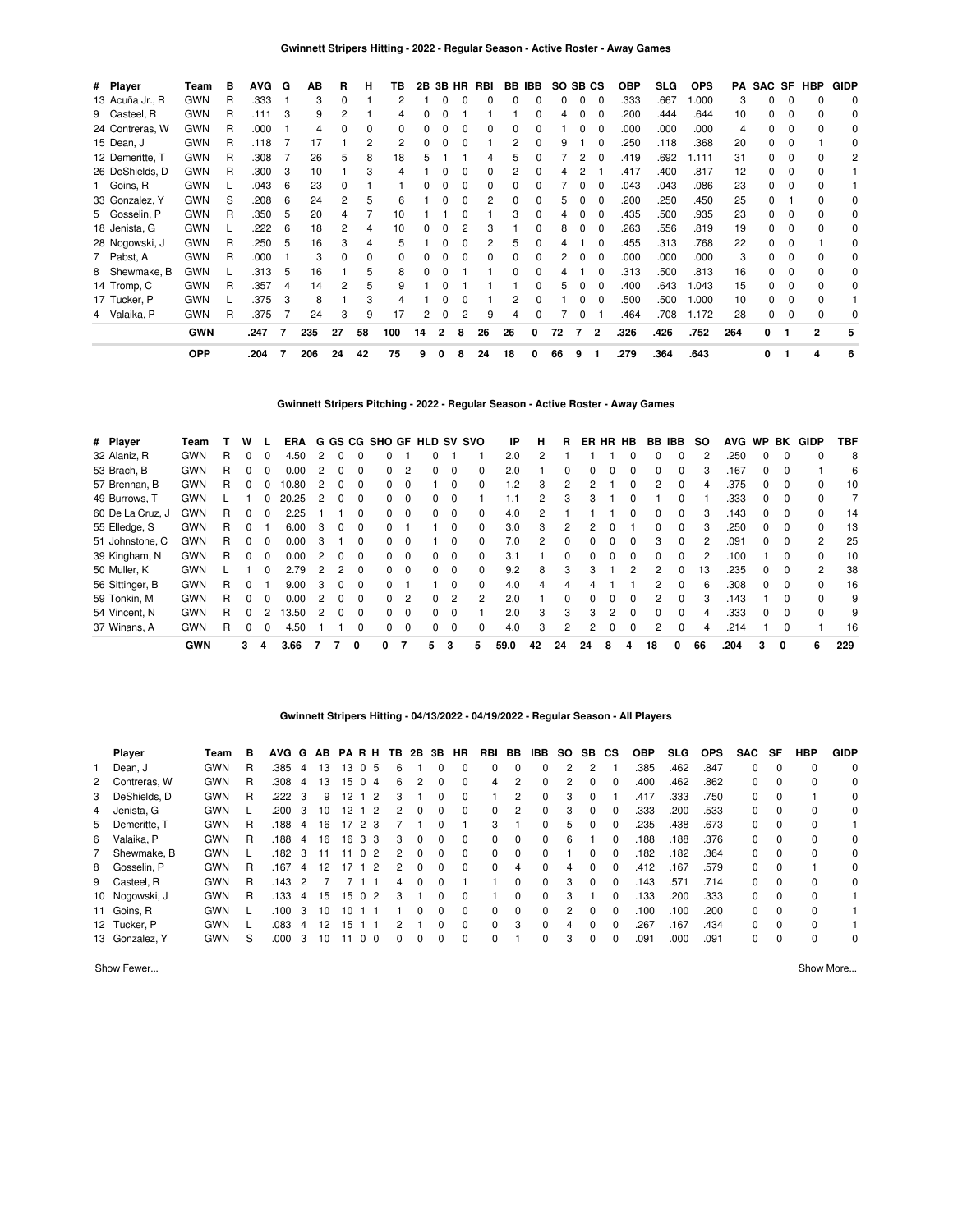| # Player        | Team       | в | <b>AVG</b> | G | ΑВ  | R  | н  | ΤВ  | 2В | 3Β | <b>HR</b> | RBI |          | BB IBB | SO SB CS |              |              | <b>OBP</b> | <b>SLG</b> | <b>OPS</b> | PA  | SAC SF |   | <b>HBP</b>     | <b>GIDP</b>  |
|-----------------|------------|---|------------|---|-----|----|----|-----|----|----|-----------|-----|----------|--------|----------|--------------|--------------|------------|------------|------------|-----|--------|---|----------------|--------------|
| 13 Acuña Jr., R | <b>GWN</b> | R | .333       |   | 3   | 0  |    |     |    |    |           | 0   | $\Omega$ | 0      | 0        | $\Omega$     | $\Omega$     | .333       | .667       | 1.000      | 3   | 0      | 0 |                | 0            |
| 9 Casteel, R    | <b>GWN</b> | R | .111       | 3 | 9   | 2  |    | 4   |    |    |           |     |          | ŋ      | 4        | $\Omega$     | 0            | .200       | .444       | .644       | 10  | 0      | 0 |                | 0            |
| 24 Contreras, W | <b>GWN</b> | R | .000       |   | 4   |    |    |     |    |    |           |     |          |        |          |              |              | .000       | .000       | .000       |     |        | 0 |                |              |
| 15 Dean, J      | <b>GWN</b> | R | .118       |   | 17  |    | 2  | 2   |    |    |           |     |          |        |          |              |              | .250       | .118       | .368       | 20  | 0      |   |                | <sup>0</sup> |
| 12 Demeritte, T | <b>GWN</b> | R | .308       |   | 26  | 5  | 8  | 18  |    |    |           |     | 5        |        |          |              |              | .419       | .692       | 1.111      | 31  |        | o |                | 2            |
| 26 DeShields, D | <b>GWN</b> | R | .300       | 3 | 10  |    | 3  | 4   |    |    |           |     | 2        |        |          |              |              | .417       | .400       | .817       | 12  |        | 0 |                |              |
| 1 Goins, R      | <b>GWN</b> |   | .043       | 6 | 23  | 0  |    |     |    |    |           |     |          |        |          |              | <sup>0</sup> | .043       | .043       | .086       | 23  |        | ŋ |                |              |
| 33 Gonzalez, Y  | <b>GWN</b> | S | .208       | 6 | 24  | 2  | 5  | 6   |    |    |           |     | ŋ        | n      | 5.       | 0            | $\Omega$     | .200       | .250       | .450       | 25  |        |   |                | 0            |
| 5 Gosselin, P   | <b>GWN</b> | R | .350       | 5 | 20  | 4  |    | 10  |    |    | 0         |     | 3        | 0      | 4        | $\Omega$     | $\Omega$     | .435       | .500       | .935       | 23  | 0      | 0 |                | 0            |
| 18 Jenista, G   | <b>GWN</b> |   | .222       | 6 | 18  |    | 4  | 10  |    |    |           |     |          |        | 8        | 0            | 0            | .263       | .556       | .819       | 19  |        | 0 |                |              |
| 28 Nogowski, J  | <b>GWN</b> | R | .250       | 5 | 16  | 3  |    | 5   |    |    |           |     | 5        |        |          |              | 0            | .455       | .313       | .768       | 22  | 0      | o |                | 0            |
| 7 Pabst, A      | <b>GWN</b> | R | .000       |   | 3   | n  | U  | 0   |    |    |           |     |          |        |          |              |              | .000       | .000       | .000       |     |        | ი |                | 0            |
| 8 Shewmake, B   | <b>GWN</b> |   | .313       | 5 | 16  |    | 5  | 8   |    |    |           |     | ŋ        |        |          |              |              | .313       | .500       | .813       | 16  |        | 0 |                | 0            |
| 14 Tromp, C     | <b>GWN</b> | R | .357       | 4 | 14  | 2  | 5  | 9   |    |    |           |     |          |        |          |              |              | .400       | .643       | .043       | 15  |        | ŋ |                | 0            |
| 17 Tucker, P    | <b>GWN</b> |   | 375        | 3 | 8   |    | 3  | 4   |    |    |           |     | 2        |        |          | <sup>0</sup> | <sup>0</sup> | .500       | .500       | .000       | 10  | O.     | ŋ |                |              |
| 4 Valaika, P    | <b>GWN</b> | R | .375       |   | 24  | 3  | 9  | 17  | 2  |    |           | 9   | 4        | n      |          | $\Omega$     |              | .464       | .708       | 1.172      | 28  | 0      | 0 | 0              | 0            |
|                 | <b>GWN</b> |   | .247       | 7 | 235 | 27 | 58 | 100 | 14 | 2  | 8         | 26  | 26       | 0      | 72       | 7            | $\mathbf{2}$ | .326       | .426       | .752       | 264 | 0      |   | $\overline{2}$ |              |
|                 | <b>OPP</b> |   | .204       | 7 | 206 | 24 | 42 | 75  | 9  | 0  | 8         | 24  | 18       | 0      | 66       | 9            |              | .279       | .364       | .643       |     | 0      |   | 4              | 6            |

# **Gwinnett Stripers Pitching - 2022 - Regular Season - Active Roster - Away Games**

| # Player         | Team       |   | w        |   | ERA   |   |   |              | G GS CG SHO GF HLD SV SVO |                |    |                |              | IP      | н  | R.       |              | ER HR HB |              | <b>BB IBB</b> |   | <b>SO</b> | <b>AVG</b> | <b>WP</b>    | BK       | <b>GIDP</b>   | TBF |
|------------------|------------|---|----------|---|-------|---|---|--------------|---------------------------|----------------|----|----------------|--------------|---------|----|----------|--------------|----------|--------------|---------------|---|-----------|------------|--------------|----------|---------------|-----|
| 32 Alaniz, R     | <b>GWN</b> | R | 0        | 0 | 4.50  |   |   |              |                           |                |    |                |              | 2.0     | 2  |          |              |          |              |               |   |           | .250       |              |          |               | 8   |
| 53 Brach, B      | <b>GWN</b> | R | 0        | 0 | 0.00  |   |   |              | O.                        | 2              |    |                |              | 2.0     |    | 0        |              |          |              |               |   |           | .167       |              | 0        |               | 6   |
| 57 Brennan, B    | <b>GWN</b> | R | 0        | 0 | 10.80 |   |   |              | 0                         | $\Omega$       |    |                |              | $\cdot$ | 3  | 2        | 2            |          |              | 2             |   |           | .375       |              | $\Omega$ |               | 10  |
| 49 Burrows, T    | <b>GWN</b> |   |          | 0 | 20.25 |   |   |              |                           | - 0            |    |                |              |         |    | 3        | 3            |          |              |               |   |           | .333       |              | 0        |               |     |
| 60 De La Cruz, J | <b>GWN</b> | R | 0        | 0 | 2.25  |   |   |              | <sup>o</sup>              | $\Omega$       | 0  | $\Omega$       | $\Omega$     | 4.0     | 2  |          |              |          | <sup>0</sup> | <sup>0</sup>  |   |           | .143       | <sup>0</sup> | $\Omega$ | <sup>0</sup>  | 14  |
| 55 Elledge, S    | <b>GWN</b> | R | 0        |   | 6.00  | 3 | 0 |              |                           |                |    |                | 0            | 3.0     | 3  | 2        |              |          |              |               |   |           | .250       | <sup>o</sup> |          |               | 13  |
| 51 Johnstone, C  | <b>GWN</b> | R | 0        | 0 | 0.00  | 3 |   | U            | 0                         | $\Omega$       |    | $\Omega$       | <sup>0</sup> | 7.0     | 2  | $\Omega$ | $\Omega$     | $\Omega$ | $\Omega$     | 3             |   |           | .091       | $\Omega$     | $\Omega$ | $\mathcal{P}$ | 25  |
| 39 Kingham, N    | <b>GWN</b> | R | 0        | 0 | 0.00  |   |   |              | O.                        | $\Omega$       | O. | $\Omega$       |              | 3.1     |    | 0        |              |          |              | <sup>n</sup>  |   |           | .100       |              |          |               | 10  |
| 50 Muller, K     | <b>GWN</b> |   |          | 0 | 2.79  |   | 2 | <sup>0</sup> | <sup>o</sup>              | $\Omega$       | 0  | $\Omega$       | <sup>0</sup> | 9.2     | 8  | 3        | з            |          | 2            | 2             |   | 13        | .235       | <sup>0</sup> | $\Omega$ | 2             | 38  |
| 56 Sittinger, B  | <b>GWN</b> | R | 0        |   | 9.00  | з | 0 | O            | O.                        |                |    | 0              | <sup>0</sup> | 4.0     | 4  | 4        |              |          |              | 2             |   |           | .308       | <sup>0</sup> | $\Omega$ |               | 16  |
| 59 Tonkin, M     | <b>GWN</b> | R | 0        | 0 | 0.00  |   | 0 | <sup>0</sup> | <sup>o</sup>              | $\overline{2}$ | 0  | $\overline{2}$ | 2            | 2.0     |    | $\Omega$ | <sup>0</sup> | $\Omega$ | $\Omega$     | 2             |   |           | .143       |              | $\Omega$ | $\Omega$      | 9   |
| 54 Vincent, N    | <b>GWN</b> | R | $\Omega$ | 2 | 13.50 | 2 | 0 | O            | <sup>n</sup>              | $\Omega$       | 0  | 0              |              | 2.0     | 3  | 3        | 3            | 2        | <sup>0</sup> | U             |   |           | .333       | <sup>n</sup> | $\Omega$ | <sup>0</sup>  | 9   |
| 37 Winans, A     | <b>GWN</b> | R | 0        | 0 | 4.50  |   |   |              | O.                        | 0              | 0  | $\Omega$       |              | 4.0     | 3  | 2        |              |          |              | 2             |   | 4         | .214       |              |          |               | 16  |
|                  | <b>GWN</b> |   | 3        | 4 | 3.66  |   |   | 0            | 0                         |                | 5  | 3              | 5            | 59.0    | 42 | 24       | 24           | 8        | 4            | 18            | 0 | 66        | .204       | 3            | 0        | 6             | 229 |

# **Gwinnett Stripers Hitting - 04/13/2022 - 04/19/2022 - Regular Season - All Players**

|   | Player         | Team       | в | <b>AVG</b> | G  | AB              |    | <b>PARH</b>    | TB. | 2B | 3B | <b>HR</b>    | RBI          | BB       | IBB      | SO. | SB.      | СS       | <b>OBP</b> | SLG. | <b>OPS</b> | <b>SAC</b> | SF       | <b>HBP</b> | <b>GIDP</b> |
|---|----------------|------------|---|------------|----|-----------------|----|----------------|-----|----|----|--------------|--------------|----------|----------|-----|----------|----------|------------|------|------------|------------|----------|------------|-------------|
|   | Dean, J        | <b>GWN</b> | R | .385       | 4  | 13              | 13 | 05             | 6   |    | 0  |              | 0            | 0        | $\Omega$ | 2   |          |          | .385       | .462 | .847       | 0          | 0        | $\Omega$   | $\Omega$    |
|   | 2 Contreras, W | <b>GWN</b> | R | .308       | 4  | 13              | 15 | 0 <sub>4</sub> | 6   | 2  | 0  |              | 4            | 2        | $\Omega$ |     | $\Omega$ | 0        | .400       | .462 | .862       | 0          | $\Omega$ | $\Omega$   | 0           |
| 3 | DeShields, D   | <b>GWN</b> | R | .222       | -3 | 9               | 12 | -2             | 3   |    | 0  |              |              | 2        | $\Omega$ | 3   | $\Omega$ |          | .417       | .333 | .750       | 0          | $\Omega$ |            | 0           |
|   | 4 Jenista, G   | <b>GWN</b> |   | 200        | -3 | 10 <sup>1</sup> | 12 | $\overline{2}$ | 2   | 0  | 0  | <sup>0</sup> | $\Omega$     | 2        | $\Omega$ | 3   | $\Omega$ | 0        | .333       | .200 | .533       | 0          | $\Omega$ | $\Omega$   | $\Omega$    |
|   | 5 Demeritte. T | <b>GWN</b> | R | 188        | 4  | 16              |    | 17, 2, 3       |     |    | 0  |              | 3            |          | 0        | 5   | $\Omega$ | 0        | .235       | .438 | .673       | 0          | $\Omega$ | $\Omega$   |             |
| 6 | Valaika, P     | <b>GWN</b> | R | .188       | -4 | 16              | 16 | 33             | 3   | 0  | 0  |              | 0            | 0        | 0        | 6   |          | 0        | .188       | 188  | .376       | 0          | 0        | $\Omega$   | 0           |
|   | Shewmake, B    | <b>GWN</b> |   | 182        | -3 | 11              | 11 | 0 <sub>2</sub> | 2   | 0  | 0  | <sup>0</sup> | <sup>0</sup> | $\Omega$ | $\Omega$ |     | $\Omega$ | 0        | .182       | .182 | .364       | 0          | $\Omega$ | $\Omega$   | $\Omega$    |
|   | 8 Gosselin, P  | <b>GWN</b> | R | 167        | 4  | 12              | 17 | $\overline{2}$ | 2   | 0  | 0  | <sup>0</sup> | <sup>0</sup> | 4        | $\Omega$ | 4   | $\Omega$ | 0        | .412       | 167  | .579       | 0          | $\Omega$ |            | 0           |
|   | 9 Casteel, R   | <b>GWN</b> | R | .143       | 2  |                 |    |                | 4   | 0  | 0  |              |              | 0        | 0        | 3   | 0        | 0        | .143       | .571 | .714       | 0          | $\Omega$ | $\Omega$   | $\Omega$    |
|   | 10 Nogowski, J | <b>GWN</b> | R | .133       | 4  | 15              | 15 | 0 <sub>2</sub> | 3   |    | 0  | $\Omega$     |              | 0        | $\Omega$ | 3   |          | O        | .133       | .200 | .333       | 0          | $\Omega$ | $\Omega$   |             |
|   | 11 Goins, R    | <b>GWN</b> |   | 100        | 3  | 10              | 10 |                |     | 0  | 0  | <sup>0</sup> | <sup>0</sup> | $\Omega$ | $\Omega$ | 2   | $\Omega$ | $\Omega$ | .100       | 100  | .200       | 0          | $\Omega$ | $\Omega$   |             |
|   | 12 Tucker, P   | <b>GWN</b> |   | .083       | 4  | 12              | 15 |                |     |    | 0  | <sup>0</sup> | $\Omega$     | 3        | $\Omega$ | 4   | $\Omega$ | 0        | .267       | 167  | .434       | 0          | $\Omega$ | $\Omega$   |             |
|   | 13 Gonzalez, Y | <b>GWN</b> | S | .000       | 3  | 10              |    | 0 <sub>0</sub> | 0   | 0  | 0  | $\Omega$     | 0            |          | 0        | 3   | 0        | 0        | .091       | .000 | .091       | $\Omega$   | $\Omega$ | 0          | 0           |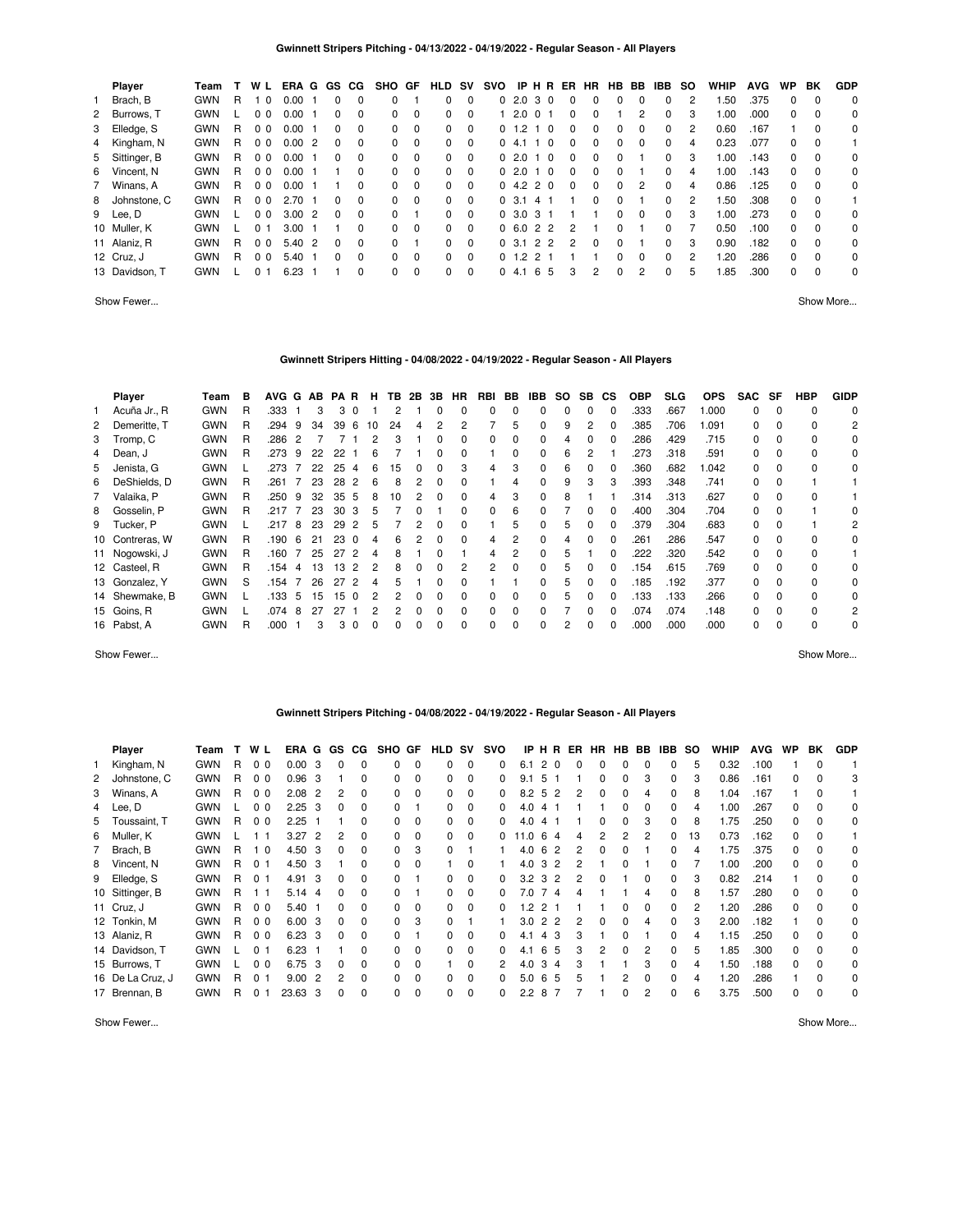| Player         | Team       |    | W L            | ERA G        | GS CG        |          | SHO GF       |             | <b>HLD</b>   | <b>SV</b> | svo |            | <b>IPHR</b>  |          | ER            | <b>HR</b>    | HB.          | BB       | IBB          | so | <b>WHIP</b> | <b>AVG</b> | <b>WP</b> | ΒK       | <b>GDP</b> |
|----------------|------------|----|----------------|--------------|--------------|----------|--------------|-------------|--------------|-----------|-----|------------|--------------|----------|---------------|--------------|--------------|----------|--------------|----|-------------|------------|-----------|----------|------------|
| 1 Brach, B     | <b>GWN</b> | R  | - 0            | 0.00         | 0            | $\Omega$ | 0            |             | $\Omega$     | $\Omega$  |     |            | 02.030       |          | $\Omega$      | 0            | <sup>0</sup> | 0        | 0            | 2  | .50         | .375       | $\Omega$  | $\Omega$ | 0          |
| 2 Burrows, T   | <b>GWN</b> |    | 0 <sub>0</sub> | 0.00         | 0            | 0        | $\Omega$     | $\mathbf 0$ | $\Omega$     | $\Omega$  |     | 1 2.0      | $\Omega$     |          | $\Omega$      | 0            |              | 2        | 0            | 3  | 0.00        | .000       | 0         | $\Omega$ | 0          |
| 3 Elledge, S   | <b>GWN</b> | R. | 0 <sub>0</sub> | 0.00         | 0            | $\Omega$ | $\Omega$     | $\Omega$    | $\Omega$     | $\Omega$  |     | 0, 1, 2, 1 |              | $\Omega$ | $\Omega$      | 0            | $\Omega$     | 0        | 0            | 2  | 0.60        | .167       |           | $\Omega$ | 0          |
| 4 Kingham, N   | <b>GWN</b> | R. | 0 <sub>0</sub> | 0.002        | 0            | $\Omega$ | 0            | $\Omega$    | $\Omega$     | $\Omega$  |     | 04.1       | - 1          | - 0      | $\Omega$      | 0            | <sup>0</sup> | $\Omega$ | 0            | 4  | 0.23        | .077       | $\Omega$  | $\Omega$ |            |
| 5 Sittinger, B | <b>GWN</b> | R. | 0 <sub>0</sub> | 0.00         | 0            | $\Omega$ | $\Omega$     | $\Omega$    | $\Omega$     | $\Omega$  |     | 0, 2.0     |              | $\Omega$ | $\Omega$      | 0            | <sup>0</sup> |          | 0            | 3  | .00         | .143       | $\Omega$  | $\Omega$ | 0          |
| 6 Vincent, N   | <b>GWN</b> | R. | 0 <sub>0</sub> | 0.00         |              | $\Omega$ | $\Omega$     | $\Omega$    | $\Omega$     | $\Omega$  |     | 0, 2.0, 1  |              | $\Omega$ | $\Omega$      | 0            | <sup>0</sup> |          | 0            | 4  | 1.00        | .143       | $\Omega$  | $\Omega$ | $\Omega$   |
| 7 Winans, A    | <b>GWN</b> | R. | 0 <sub>0</sub> | 0.00         |              | $\Omega$ | <sup>0</sup> | $\Omega$    | $\Omega$     | $\Omega$  |     |            | 04.220       |          | $\Omega$      | $\Omega$     | 0            | 2        | 0            | 4  | 0.86        | .125       | 0         | $\Omega$ | 0          |
| 8 Johnstone, C | <b>GWN</b> | R. | 0 <sub>0</sub> | 2.70         | 0            | $\Omega$ | $\Omega$     | $\Omega$    | $\Omega$     | $\Omega$  |     | 0, 3.1     | 41           |          |               | 0            | 0            |          | 0            | 2  | .50         | .308       | $\Omega$  | $\Omega$ |            |
| 9 Lee, D       | <b>GWN</b> |    | 0 <sub>0</sub> | $3.00\quad2$ | $\Omega$     | $\Omega$ | $\Omega$     |             | $\Omega$     | $\Omega$  |     |            | 0, 3.0, 3, 1 |          |               |              | 0            | $\Omega$ | 0            | 3  | 00.1        | .273       | $\Omega$  | $\Omega$ | 0          |
| 10 Muller, K   | <b>GWN</b> |    | 0 <sub>1</sub> | 3.00         |              | $\Omega$ | $\Omega$     | $\Omega$    | $\Omega$     | $\Omega$  |     |            | 0, 6.0, 2, 2 |          | $\mathcal{P}$ |              | $\Omega$     |          | 0            |    | 0.50        | .100       | $\Omega$  | $\Omega$ | 0          |
| 11 Alaniz, R   | <b>GWN</b> | R. | 0 <sub>0</sub> | 5.40 2       | <sup>0</sup> | $\Omega$ | $\Omega$     |             | <sup>0</sup> | $\Omega$  |     | 0, 3.1     | 22           |          | $\mathcal{P}$ | <sup>0</sup> | <sup>0</sup> |          | <sup>0</sup> | 3  | 0.90        | .182       | $\Omega$  | $\Omega$ | $\Omega$   |
| 12 Cruz, J     | <b>GWN</b> | R. | 0 <sub>0</sub> | 5.40         | 0            | $\Omega$ | $\Omega$     | $\Omega$    | $\Omega$     | $\Omega$  |     | $0 \t1.2$  | 2 1          |          |               |              | 0            | 0        | 0            | 2  | .20         | .286       | $\Omega$  | $\Omega$ | 0          |
| 13 Davidson, T | <b>GWN</b> |    | 0              | 6.23         |              | $\Omega$ | $\Omega$     | $\Omega$    | <sup>0</sup> | $\Omega$  |     | 04.1       | 6            | -5       | 3             | 2            | $\Omega$     | 2        | 0            | 5  | .85         | .300       | $\Omega$  | $\Omega$ | 0          |

Show Fewer... Show More...

# **Gwinnett Stripers Hitting - 04/08/2022 - 04/19/2022 - Regular Season - All Players**

|   | Player          | Team       | в | AVG G |   | AB | PA | R           | н  | TB. | 2B           | 3B           | HR.      | RBI          | BB.      | IBB          | SO.          | SB.          | СS           | OBP  | <b>SLG</b> | <b>OPS</b> | <b>SAC</b> | SF       | <b>HBP</b>   | <b>GIDP</b> |
|---|-----------------|------------|---|-------|---|----|----|-------------|----|-----|--------------|--------------|----------|--------------|----------|--------------|--------------|--------------|--------------|------|------------|------------|------------|----------|--------------|-------------|
|   | Acuña Jr., R    | <b>GWN</b> | R | .333  |   | 3  |    |             |    |     |              |              |          |              |          |              | <sup>0</sup> |              |              | .333 | .667       | .000       | $\Omega$   | $\Omega$ | $\Omega$     | 0           |
| 2 | Demeritte, T    | <b>GWN</b> | R | .294  | 9 | 34 | 39 | 6           | 10 | 24  |              |              |          |              | 5        |              | 9            |              |              | .385 | .706       | .091       | 0          | 0        | 0            | 2           |
|   | 3 Tromp, C      | <b>GWN</b> | R | .286  |   |    |    |             | 2  |     |              |              | $\Omega$ |              | $\Omega$ |              | 4            |              | $\Omega$     | .286 | .429       | .715       | 0          | $\Omega$ | $\Omega$     | 0           |
|   | 4 Dean, J       | <b>GWN</b> | R | .273  | 9 | 22 | 22 |             | 6  |     |              |              | 0        |              | 0        | 0            | 6            |              |              | 273  | .318       | .591       | $\Omega$   | $\Omega$ | $\Omega$     | $\Omega$    |
|   | 5 Jenista, G    | <b>GWN</b> |   | .273  |   | 22 | 25 | $\mathbf 4$ | հ  | 15  | $\Omega$     | n            | 3        | 4            | 3        | <sup>0</sup> | 6            | $\Omega$     | $\Omega$     | .360 | .682       | .042       | $\Omega$   | $\Omega$ | $\Omega$     | $\Omega$    |
| 6 | DeShields, D    | <b>GWN</b> | R | .261  |   | 23 | 28 |             | հ  | 8   |              |              |          |              |          |              | 9            | 3            | з            | .393 | .348       | .741       | $\Omega$   | -0       |              |             |
|   | 7 Valaika, P    | <b>GWN</b> | R | .250  | 9 | 32 | 35 | .5          | 8  | 10  |              |              | O        | 4            | 3        |              | 8            |              |              | 314  | .313       | .627       | $\Omega$   | $\Omega$ | <sup>0</sup> |             |
|   | 8 Gosselin, P   | <b>GWN</b> | R | .217  |   | 23 | 30 | -3          | 5  |     |              |              | 0        | 0            | 6        |              |              | 0            | 0            | .400 | .304       | .704       | 0          | $\Omega$ |              | 0           |
|   | 9 Tucker, P     | <b>GWN</b> |   | .217  | 8 | 23 | 29 | 2           | 5  |     |              | <sup>0</sup> | 0        |              | 5        |              | 5            | 0            | $\Omega$     | .379 | .304       | .683       | $\Omega$   | $\Omega$ |              | 2           |
|   | 10 Contreras, W | <b>GWN</b> | R | .190  | 6 | 21 | 23 | $\Omega$    | 4  | 6   |              | 0            | $\Omega$ | 4            | 2        | 0            | 4            | <sup>0</sup> | $\Omega$     | 261  | .286       | .547       | $\Omega$   | $\Omega$ | $\Omega$     | $\Omega$    |
|   | 11 Nogowski, J  | <b>GWN</b> | R | .160  |   | 25 | 27 | 2           | 4  | 8   |              |              |          | 4            | 2        | <sup>0</sup> | 5            |              | <sup>0</sup> | 222  | .320       | .542       | $\Omega$   | $\Omega$ | $\Omega$     |             |
|   | 12 Casteel, R   | <b>GWN</b> | R | .154  | 4 | 13 | 13 |             | 2  |     |              |              | 2        | っ            | 0        |              | h            |              |              | 154  | .615       | .769       | 0          | $\Omega$ | $\Omega$     | $\Omega$    |
|   | 13 Gonzalez, Y  | <b>GWN</b> | S | .154  |   | 26 | 27 |             |    |     |              |              | O        |              |          |              | h            |              |              | .185 | .192       | .377       | 0          | $\Omega$ | $\Omega$     | 0           |
|   | 14 Shewmake, B  | <b>GWN</b> |   | .133  | 5 | 15 | 15 | $\Omega$    |    |     | <sup>0</sup> |              | $\Omega$ | 0            | 0        |              | 'n.          |              | $\Omega$     | .133 | .133       | .266       | $\Omega$   | $\Omega$ | 0            | 0           |
|   | 15 Goins, R     | <b>GWN</b> |   | .074  | 8 | 27 | 27 |             | 2  |     | $\Omega$     | <sup>0</sup> | $\Omega$ | 0            | 0        |              |              | <sup>0</sup> | $\Omega$     | .074 | .074       | .148       | $\Omega$   | $\Omega$ | $\Omega$     | 2           |
|   | 16 Pabst, A     | <b>GWN</b> | R | .000  |   | 3  | 3  | $\Omega$    | ŋ  | 0   |              |              | 0        | <sup>0</sup> | 0        |              | 2            | $\Omega$     | $\Omega$     | .000 | .000       | .000       | $\Omega$   | $\Omega$ | $\Omega$     | $\Omega$    |

Show Fewer... Show More...

# **Gwinnett Stripers Pitching - 04/08/2022 - 04/19/2022 - Regular Season - All Players**

|    | <b>Player</b>    | Team       |    | W              | ERA G |                | GS           | CG.      | SHO GF       |          | <b>HLD</b>   | sv       | svo          | IP H | R             |    | ER | HR.      | HB | BB.          | IBB          | <b>SO</b> | WHIP | <b>AVG</b> | WP | ВK | <b>GDP</b> |
|----|------------------|------------|----|----------------|-------|----------------|--------------|----------|--------------|----------|--------------|----------|--------------|------|---------------|----|----|----------|----|--------------|--------------|-----------|------|------------|----|----|------------|
| 1. | Kingham, N       | <b>GWN</b> | R  | 0 <sub>0</sub> | 0.00  | 3              |              | 0        | $\Omega$     | $\Omega$ |              | 0        | 0            | 6.1  | 2<br>$\Omega$ |    |    |          |    |              | 0            | 5         | 0.32 | .100       |    |    |            |
|    | 2 Johnstone, C   | <b>GWN</b> | R  | 0 <sub>0</sub> | 0.96  | 3              |              | 0        | $\Omega$     | $\Omega$ | $\Omega$     | $\Omega$ | 0            | 9.1  | 5             |    |    | $\Omega$ | 0  | 3            | 0            | З         | 0.86 | .161       | 0  |    | 3          |
|    | 3 Winans, A      | <b>GWN</b> | R  | 0 <sub>0</sub> | 2.08  | 2              | 2            | 0        | 0            | $\Omega$ | $\Omega$     | $\Omega$ | 0            | 8.2  | 5<br>-2       |    | 2  | $\Omega$ | 0  | 4            | 0            | 8         | 1.04 | .167       |    |    |            |
|    | 4 Lee, D         | <b>GWN</b> |    | 0 <sub>0</sub> | 2.25  | 3              | 0            | 0        | $\Omega$     |          | $\Omega$     | $\Omega$ | 0            | 4.0  | 4             |    |    |          |    |              | 0            |           | 1.00 | .267       | 0  |    | 0          |
|    | 5 Toussaint, T   | <b>GWN</b> | R  | 0 <sub>0</sub> | 2.25  |                |              | 0        | 0            | $\Omega$ | $\Omega$     | $\Omega$ | 0            | 4.0  | 4             |    |    | 0        | 0  | 3            | 0            | 8         | 1.75 | .250       | 0  |    | 0          |
|    | 6 Muller, K      | <b>GWN</b> |    | 1 1            | 3.27  | $\overline{2}$ |              | 0        | 0            | $\Omega$ | $\Omega$     | $\Omega$ |              | 1.0  | 6             | 4  | 4  |          | 2  | 2            | 0            | 13        | 0.73 | .162       | 0  |    |            |
|    | 7 Brach, B       | <b>GWN</b> | R. | $\Omega$<br>1  | 4.50  | 3              | 0            | $\Omega$ | $\Omega$     | 3        | $\Omega$     |          |              | 4.0  | 6             | -2 | 2  | $\Omega$ | 0  |              | 0            | 4         | 1.75 | .375       | 0  |    | 0          |
|    | 8 Vincent, N     | <b>GWN</b> | R. | $\Omega$<br>-1 | 4.50  | 3              |              | 0        | $\Omega$     | $\Omega$ |              | $\Omega$ |              | 4.0  | 3             | 2  | 2  |          | 0  |              | 0            |           | 1.00 | .200       | 0  |    | 0          |
|    | 9 Elledge, S     | <b>GWN</b> | R  | 0 <sub>1</sub> | 4.91  | 3              | $\Omega$     | $\Omega$ | $\Omega$     |          | $\Omega$     | $\Omega$ | 0            | 3.2  | 3             | 2  | 2  | $\Omega$ |    | 0            | 0            | 3         | 0.82 | .214       |    |    | 0          |
|    | 10 Sittinger, B  | <b>GWN</b> | R  | 1 1            | 5.14  | 4              | <sup>0</sup> | 0        | $\Omega$     |          | $\Omega$     | $\Omega$ | <sup>0</sup> | 7.0  | 7             | 4  | Δ  |          |    | 4            | 0            | 8         | 1.57 | .280       | 0  |    | 0          |
|    | 11 Cruz, J       | <b>GWN</b> | R  | 0 <sub>0</sub> | 5.40  |                | <sup>0</sup> | 0        | $\Omega$     | $\Omega$ | $\Omega$     | $\Omega$ | <sup>0</sup> | 12   | $\mathcal{P}$ |    |    |          | 0  | <sup>0</sup> | <sup>0</sup> | 2         | 1.20 | .286       | 0  |    | 0          |
|    | 12 Tonkin, M     | <b>GWN</b> | R  | 0 <sub>0</sub> | 6.00  | 3              | <sup>0</sup> | 0        | $\Omega$     | 3        | $\Omega$     |          |              | 3.0  | 2<br>-2       |    | 2  | $\Omega$ | 0  | 4            | 0            | 3         | 2.00 | .182       |    |    | 0          |
|    | 13 Alaniz, R     | <b>GWN</b> | R  | 0 <sub>0</sub> | 6.23  | 3              | $\Omega$     | 0        | $\Omega$     |          | <sup>0</sup> | 0        | 0            | 4.1  | 4             | 3  | 3  |          |    |              | <sup>0</sup> | 4         | 1.15 | 250        | 0  |    | 0          |
|    | 14 Davidson, T   | <b>GWN</b> |    | 0              | 6.23  |                |              | $\Omega$ | $\Omega$     | $\Omega$ | $\Omega$     | $\Omega$ | <sup>0</sup> | 4.1  | 6<br>-5       |    | 3  | 2        | 0  | 2            | $\Omega$     | 5         | .85  | .300       | 0  |    | $\Omega$   |
|    | 15 Burrows, T    | <b>GWN</b> |    | 0 <sub>0</sub> | 6.75  | 3              | <sup>0</sup> | 0        | <sup>0</sup> | $\Omega$ |              | $\Omega$ | 2            | 4.0  | 3<br>4        |    | 3  |          |    | З            | O            | 4         | .50  | .188       | 0  |    | 0          |
|    | 16 De La Cruz, J | <b>GWN</b> | R  | $\Omega$       | 9.00  | 2              | 2            | $\Omega$ | <sup>n</sup> | $\Omega$ |              | $\Omega$ | <sup>0</sup> | 5.0  | 6<br>-5       |    | 5  |          |    |              |              | 4         | .20  | 286        |    |    | $\Omega$   |
|    | 17 Brennan, B    | <b>GWN</b> | R  | 0              | 23.63 | 3              |              | $\Omega$ | 0            | $\Omega$ |              | 0        |              | 2.2  | 8             |    |    |          |    | 2            | 0            | 6         | 3.75 | .500       | 0  |    | 0          |